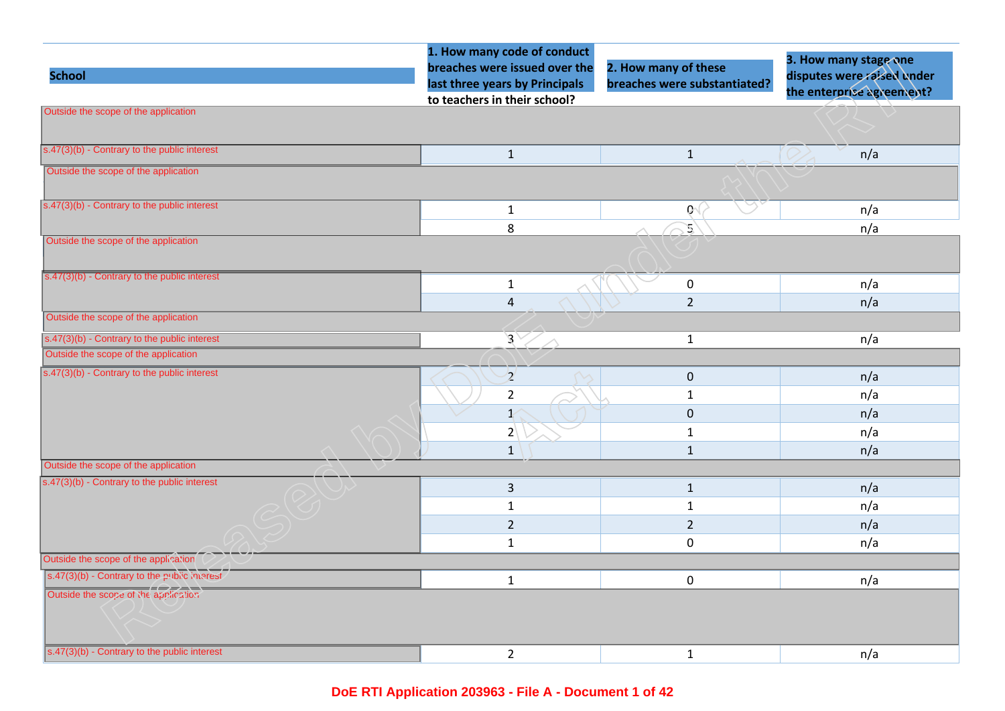|                                                         | 1. How many code of conduct                                                                     |                                                      | 3. How many stage one                                   |
|---------------------------------------------------------|-------------------------------------------------------------------------------------------------|------------------------------------------------------|---------------------------------------------------------|
| <b>School</b>                                           | breaches were issued over the<br>last three years by Principals<br>to teachers in their school? | 2. How many of these<br>breaches were substantiated? | disputes were raised under<br>the enterprise agreement? |
| Outside the scope of the application                    |                                                                                                 |                                                      |                                                         |
|                                                         |                                                                                                 |                                                      |                                                         |
| $s.47(3)(b)$ - Contrary to the public interest          | $\mathbf{1}$                                                                                    | $\mathbf{1}$                                         | n/a                                                     |
| Outside the scope of the application                    |                                                                                                 |                                                      |                                                         |
|                                                         |                                                                                                 |                                                      |                                                         |
| $s.47(3)(b)$ - Contrary to the public interest          | $\mathbf{1}$                                                                                    | $\mathfrak{g}$                                       | n/a                                                     |
|                                                         | $\,8\,$                                                                                         | Ľ,                                                   | n/a                                                     |
| Outside the scope of the application                    |                                                                                                 |                                                      |                                                         |
| $s.47(3)(b)$ - Contrary to the public interest          | $\mathbf{1}$                                                                                    | $\mathbf 0$                                          | n/a                                                     |
|                                                         | $\sqrt{4}$                                                                                      | $\overline{2}$                                       | n/a                                                     |
| Outside the scope of the application                    |                                                                                                 |                                                      |                                                         |
| $s.47(3)(b)$ - Contrary to the public interest          | $\mathcal{S}_{\scriptscriptstyle \nearrow}$                                                     | $\mathbf{1}$                                         | n/a                                                     |
| Outside the scope of the application                    |                                                                                                 |                                                      |                                                         |
| $\sqrt{(s.47(3)(b))}$ - Contrary to the public interest | $\overline{2}$                                                                                  | $\pmb{0}$                                            | n/a                                                     |
|                                                         | $\overline{2}$                                                                                  | $\mathbf{1}$                                         | n/a                                                     |
|                                                         | $\mathbf{1}$                                                                                    | $\pmb{0}$                                            | n/a                                                     |
|                                                         | 2 <sup>1</sup>                                                                                  | $\mathbf{1}$                                         | n/a                                                     |
|                                                         | $1\,$                                                                                           | $\mathbf{1}$                                         | n/a                                                     |
| Outside the scope of the application                    |                                                                                                 |                                                      |                                                         |
| s.47(3)(b) - Contrary to the public interest            | $\mathsf{3}$                                                                                    | $\mathbf{1}$                                         | n/a                                                     |
|                                                         | $\mathbf{1}$                                                                                    | $\mathbf{1}$                                         | n/a                                                     |
|                                                         | $\overline{2}$                                                                                  | $\overline{2}$                                       | n/a                                                     |
|                                                         | $\mathbf{1}$                                                                                    | 0                                                    | n/a                                                     |
| Outside the scope of the application                    |                                                                                                 |                                                      |                                                         |
| s.47(3)(b) - Contrary to the public interest            | $\mathbf{1}$                                                                                    | $\mathbf 0$                                          | n/a                                                     |
| Outside the scope of the application                    |                                                                                                 |                                                      |                                                         |
| s.47(3)(b) - Contrary to the public interest            | $\overline{2}$                                                                                  | $\mathbf{1}$                                         | n/a                                                     |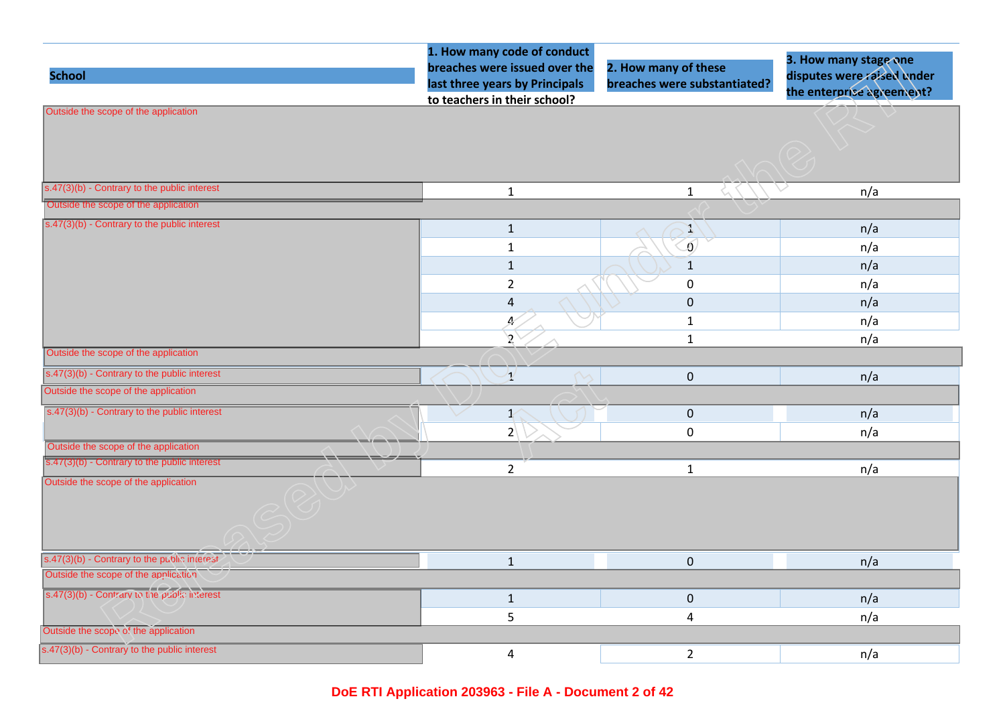| <b>School</b>                                                   | 1. How many code of conduct<br>breaches were issued over the<br>last three years by Principals<br>to teachers in their school? | 2. How many of these<br>breaches were substantiated? | 3. How many stage one<br>disputes were raised under<br>the enterprise agreement? |
|-----------------------------------------------------------------|--------------------------------------------------------------------------------------------------------------------------------|------------------------------------------------------|----------------------------------------------------------------------------------|
| Outside the scope of the application                            |                                                                                                                                |                                                      |                                                                                  |
| $s.47(3)(b)$ - Contrary to the public interest                  | $\mathbf{1}$                                                                                                                   | $\mathbf{1}$                                         | n/a                                                                              |
| Outside the scope of the application                            |                                                                                                                                |                                                      |                                                                                  |
| $s.47(3)(b)$ - Contrary to the public interest                  | $\mathbf{1}$                                                                                                                   | $\mathcal{L}$                                        | n/a                                                                              |
|                                                                 | $\mathbf 1$                                                                                                                    | $\delta$                                             | n/a                                                                              |
|                                                                 | $\mathbf 1$                                                                                                                    | $1\,$                                                | n/a                                                                              |
|                                                                 | $\overline{2}$                                                                                                                 | $\pmb{0}$                                            | n/a                                                                              |
|                                                                 | $\pmb{4}$                                                                                                                      | $\pmb{0}$                                            | n/a                                                                              |
|                                                                 | 4                                                                                                                              | $\mathbf{1}$                                         | n/a                                                                              |
|                                                                 | $\mathcal{S}_{\mathcal{I}}$                                                                                                    | $\mathbf{1}$                                         | n/a                                                                              |
| Outside the scope of the application                            |                                                                                                                                |                                                      |                                                                                  |
| $s.47(3)(b)$ - Contrary to the public interest                  | $\mathcal{V}$                                                                                                                  | $\mathbf 0$                                          | n/a                                                                              |
| Outside the scope of the application                            |                                                                                                                                |                                                      |                                                                                  |
| s.47(3)(b) - Contrary to the public interest                    | $\checkmark$<br>$\mathcal{K}$                                                                                                  | $\pmb{0}$                                            | n/a                                                                              |
|                                                                 | $2\sqrt{ }$                                                                                                                    | $\mathbf 0$                                          | n/a                                                                              |
| Outside the scope of the application                            |                                                                                                                                |                                                      |                                                                                  |
| $\sqrt{\frac{1}{5.47(3)(b)}}$ - Contrary to the public interest | $\overline{2}$                                                                                                                 | $\mathbf 1$                                          | n/a                                                                              |
| Outside the scope of the application                            |                                                                                                                                |                                                      |                                                                                  |
| s.47(3)(b) - Contrary to the public interest                    | $\mathbf 1$                                                                                                                    | $\pmb{0}$                                            | n/a                                                                              |
| Outside the scope of the application                            |                                                                                                                                |                                                      |                                                                                  |
| s.47(3)(b) - Contrary to the public interest                    | $\mathbf{1}$                                                                                                                   | $\mathbf 0$                                          | n/a                                                                              |
|                                                                 | 5                                                                                                                              | 4                                                    | n/a                                                                              |
| Outside the scope of the application                            |                                                                                                                                |                                                      |                                                                                  |
| s.47(3)(b) - Contrary to the public interest                    | 4                                                                                                                              | $\overline{2}$                                       | n/a                                                                              |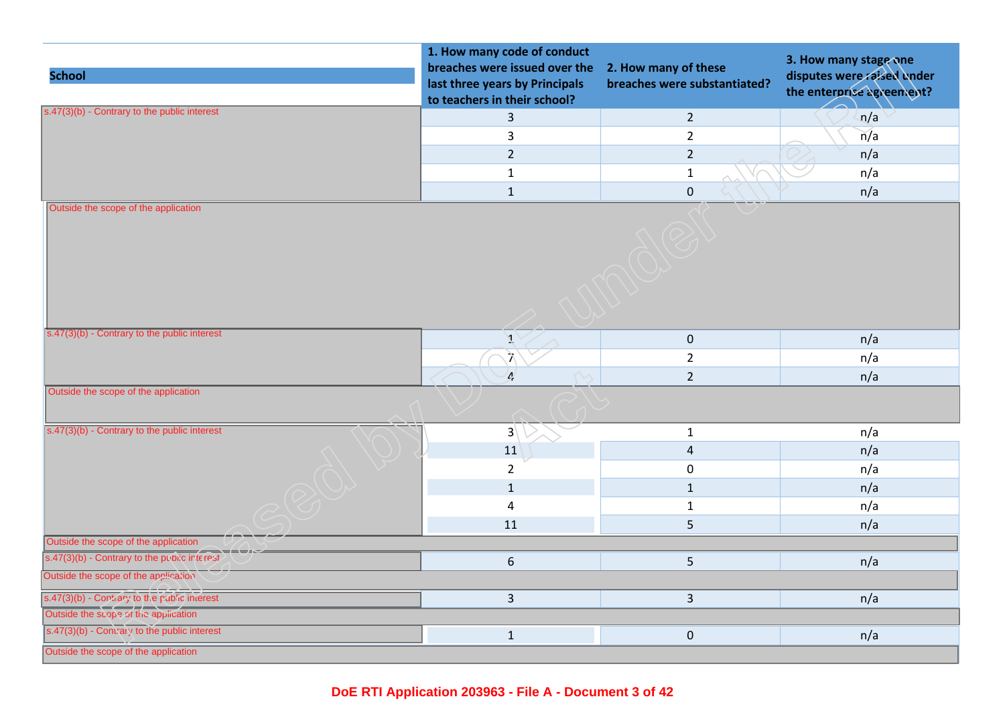| <b>School</b>                                           | 1. How many code of conduct<br>breaches were issued over the<br>last three years by Principals<br>to teachers in their school? | 2. How many of these<br>breaches were substantiated? | 3. How many stage one<br>disputes were raised under<br>the enterprise agreement? |
|---------------------------------------------------------|--------------------------------------------------------------------------------------------------------------------------------|------------------------------------------------------|----------------------------------------------------------------------------------|
| s.47(3)(b) - Contrary to the public interest            | 3                                                                                                                              | $\overline{2}$                                       | n/a                                                                              |
|                                                         | 3                                                                                                                              | $\overline{2}$                                       | n/a                                                                              |
|                                                         | $\overline{2}$                                                                                                                 | $\overline{2}$                                       | n/a                                                                              |
|                                                         | $\mathbf 1$                                                                                                                    | $\mathbf{1}$                                         | n/a                                                                              |
|                                                         | $\mathbf 1$                                                                                                                    | $\pmb{0}$                                            | n/a                                                                              |
|                                                         |                                                                                                                                |                                                      |                                                                                  |
| $\sqrt{(s.47(3)(b))}$ - Contrary to the public interest | $\overline{A}$                                                                                                                 | $\boldsymbol{0}$                                     | n/a                                                                              |
|                                                         | $\widehat{\mathcal{L}}$                                                                                                        | $\overline{2}$                                       | n/a                                                                              |
|                                                         | $\mathcal{L}$                                                                                                                  | $\overline{2}$                                       | n/a                                                                              |
| Outside the scope of the application                    |                                                                                                                                |                                                      |                                                                                  |
| $s.47(3)(b)$ - Contrary to the public interest          | $3\sqrt{ }$                                                                                                                    | $\mathbf{1}$                                         | n/a                                                                              |
|                                                         | 11                                                                                                                             | $\overline{4}$                                       | n/a                                                                              |
|                                                         | $\overline{2}$                                                                                                                 | $\mathsf 0$                                          | n/a                                                                              |
|                                                         | $\mathbf{1}$                                                                                                                   | $\mathbf{1}$                                         | n/a                                                                              |
|                                                         | $\overline{\mathbf{4}}$                                                                                                        | $\mathbf{1}$                                         | n/a                                                                              |
|                                                         | 11                                                                                                                             | 5                                                    | n/a                                                                              |
| Outside the scope of the application                    |                                                                                                                                |                                                      |                                                                                  |
| s.47(3)(b) - Contrary to the public interest            | $\boldsymbol{6}$                                                                                                               | 5                                                    | n/a                                                                              |
| Outside the scope of the application                    |                                                                                                                                |                                                      |                                                                                  |
| s.47(3)(b) - Contrary to the public interest            | $\mathsf{3}$                                                                                                                   | $\overline{3}$                                       | n/a                                                                              |
| Outside the scope of the application                    |                                                                                                                                |                                                      |                                                                                  |
| s.47(3)(b) - Contrary to the public interest            | $\mathbf 1$                                                                                                                    | $\pmb{0}$                                            | n/a                                                                              |
| Outside the scope of the application                    |                                                                                                                                |                                                      |                                                                                  |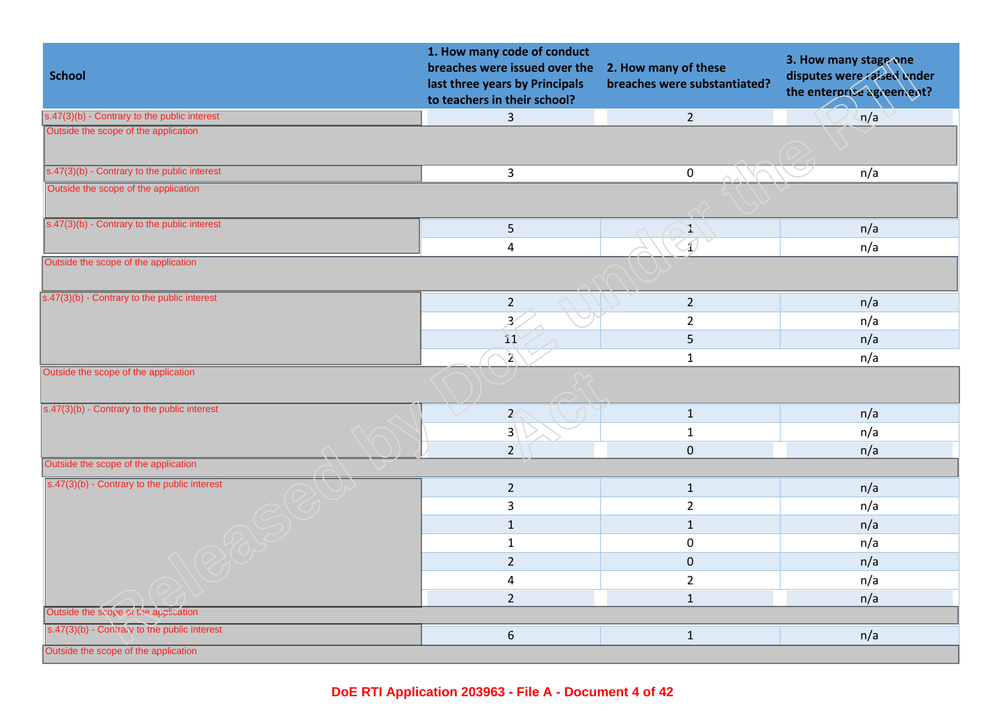| <b>School</b>                                                  | 1. How many code of conduct<br>breaches were issued over the<br>last three years by Principals<br>to teachers in their school? | 2. How many of these<br>breaches were substantiated? | 3. How many stage one<br>disputes were raised under<br>the enterprise agreement? |
|----------------------------------------------------------------|--------------------------------------------------------------------------------------------------------------------------------|------------------------------------------------------|----------------------------------------------------------------------------------|
| $s.47(3)(b)$ - Contrary to the public interest                 | $\overline{3}$                                                                                                                 | $2^{\circ}$                                          | n/a                                                                              |
| Outside the scope of the application                           |                                                                                                                                |                                                      |                                                                                  |
| s.47(3)(b) - Contrary to the public interest                   | $\mathbf{3}$                                                                                                                   | $\mathbf 0$                                          | n/a                                                                              |
| Outside the scope of the application                           |                                                                                                                                |                                                      |                                                                                  |
| $s.47(3)(b)$ - Contrary to the public interest                 | $\sqrt{5}$                                                                                                                     | $\mathbb{Z}^4$                                       | n/a                                                                              |
|                                                                | $\overline{\mathbf{4}}$                                                                                                        | $\overline{\Lambda}$                                 | n/a                                                                              |
| Outside the scope of the application                           |                                                                                                                                |                                                      |                                                                                  |
| $s.47(3)(b)$ - Contrary to the public interest                 | $\sqrt{2}$                                                                                                                     | $\overline{2}$                                       | n/a                                                                              |
|                                                                | $\overline{\mathcal{Z}}$                                                                                                       | $\overline{2}$                                       | n/a                                                                              |
|                                                                | $\overline{11}$                                                                                                                | 5                                                    | n/a                                                                              |
|                                                                | $\lambda$                                                                                                                      | $\mathbf{1}$                                         | n/a                                                                              |
| Outside the scope of the application                           |                                                                                                                                |                                                      |                                                                                  |
| s.47(3)(b) - Contrary to the public interest                   | $\mathcal{X}$                                                                                                                  | $\mathbf{1}$                                         | n/a                                                                              |
|                                                                | 3 <sup>2</sup>                                                                                                                 | $\mathbf{1}$                                         | n/a                                                                              |
|                                                                | $\overline{2}$                                                                                                                 | $\mathbf 0$                                          | n/a                                                                              |
| Outside the scope of the application                           |                                                                                                                                |                                                      |                                                                                  |
| $\boxed{\mathsf{s.47(3)(b)}$ - Contrary to the public interest | $\overline{2}$                                                                                                                 | $\mathbf 1$                                          | n/a                                                                              |
|                                                                | 3                                                                                                                              | $\overline{2}$                                       | n/a                                                                              |
|                                                                | $\mathbf{1}$                                                                                                                   | $\mathbf{1}$                                         | n/a                                                                              |
|                                                                | $\mathbf 1$                                                                                                                    | $\mathbf 0$                                          | n/a                                                                              |
|                                                                | $\overline{2}$                                                                                                                 | $\mathbf 0$                                          | n/a                                                                              |
|                                                                | 4                                                                                                                              | $\overline{2}$                                       | n/a                                                                              |
|                                                                | $\overline{2}$                                                                                                                 | $\mathbf{1}$                                         | n/a                                                                              |
| Outside the scope of the application                           |                                                                                                                                |                                                      |                                                                                  |
| s.47(3)(b) - Contrary to the public interest                   | $\boldsymbol{6}$                                                                                                               | $\mathbf{1}$                                         | n/a                                                                              |
| Outside the scope of the application                           |                                                                                                                                |                                                      |                                                                                  |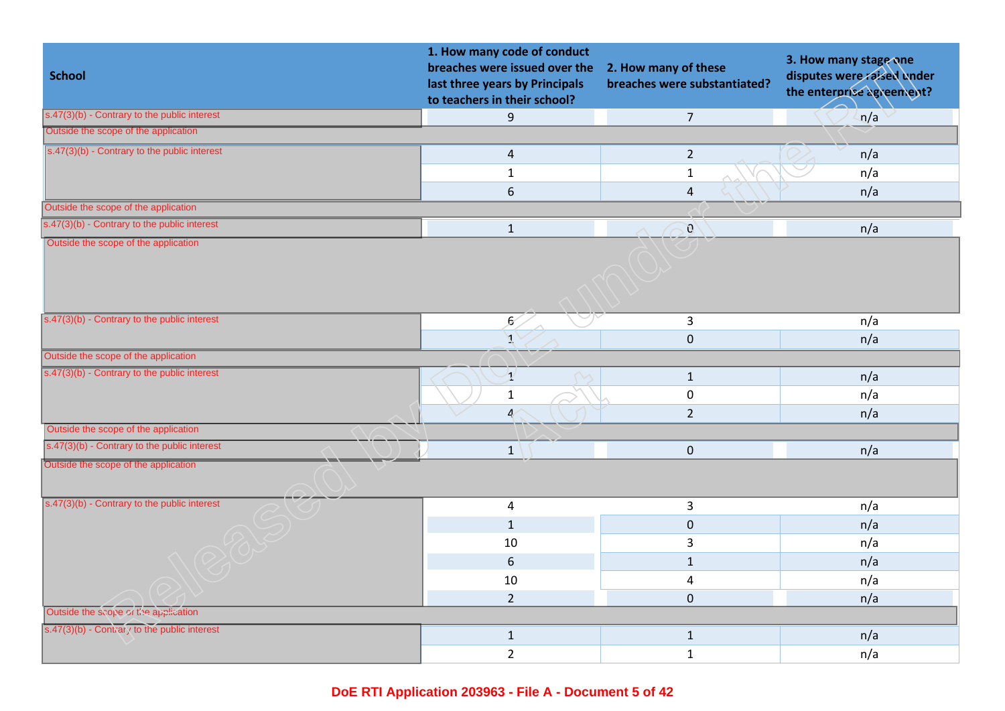| <b>School</b>                                  | 1. How many code of conduct<br>breaches were issued over the<br>last three years by Principals<br>to teachers in their school? | 2. How many of these<br>breaches were substantiated? | 3. How many stage one<br>disputes were raised under<br>the enterprise agreement? |
|------------------------------------------------|--------------------------------------------------------------------------------------------------------------------------------|------------------------------------------------------|----------------------------------------------------------------------------------|
| $s.47(3)(b)$ - Contrary to the public interest | 9                                                                                                                              | $\overline{7}$                                       | n/a                                                                              |
| Outside the scope of the application           |                                                                                                                                |                                                      |                                                                                  |
| $s.47(3)(b)$ - Contrary to the public interest | $\overline{\mathbf{4}}$                                                                                                        | $\overline{2}$                                       | n/a                                                                              |
|                                                | $\mathbf{1}$                                                                                                                   | $\mathbf{1}$                                         | n/a                                                                              |
|                                                | $\boldsymbol{6}$                                                                                                               | $\overline{4}$                                       | n/a                                                                              |
| Outside the scope of the application           |                                                                                                                                |                                                      |                                                                                  |
| s.47(3)(b) - Contrary to the public interest   | $\mathbf 1$                                                                                                                    | $\mathcal{O}$                                        | n/a                                                                              |
| Outside the scope of the application           |                                                                                                                                |                                                      |                                                                                  |
| $s.47(3)(b)$ - Contrary to the public interest | ,6                                                                                                                             | 3                                                    | n/a                                                                              |
|                                                | $\overline{A}$                                                                                                                 | $\mathbf{0}$                                         | n/a                                                                              |
| Outside the scope of the application           |                                                                                                                                |                                                      |                                                                                  |
| s.47(3)(b) - Contrary to the public interest   | $\mathcal{I}$                                                                                                                  | $\mathbf{1}$                                         | n/a                                                                              |
|                                                | $\mathbf 1$                                                                                                                    | $\pmb{0}$                                            | n/a                                                                              |
|                                                | $\mathbf{z}_i$                                                                                                                 | $\overline{2}$                                       | n/a                                                                              |
| Outside the scope of the application           |                                                                                                                                |                                                      |                                                                                  |
| s.47(3)(b) - Contrary to the public interest   | $\mathbf{1}$                                                                                                                   | $\mathbf{0}$                                         | n/a                                                                              |
| Outside the scope of the application           |                                                                                                                                |                                                      |                                                                                  |
| $s.47(3)(b)$ - Contrary to the public interest | 4                                                                                                                              | $\mathbf{3}$                                         | n/a                                                                              |
|                                                | $\mathbf{1}$                                                                                                                   | $\mathbf 0$                                          | n/a                                                                              |
|                                                | 10                                                                                                                             | 3                                                    | n/a                                                                              |
|                                                | $6\,$                                                                                                                          | $\mathbf{1}$                                         | n/a                                                                              |
|                                                | 10                                                                                                                             | $\overline{4}$                                       | n/a                                                                              |
|                                                | $\overline{2}$                                                                                                                 | $\mathbf 0$                                          | n/a                                                                              |
| Outside the scope of the application           |                                                                                                                                |                                                      |                                                                                  |
| s.47(3)(b) - Contrary to the public interest   | $\mathbf 1$                                                                                                                    | $1\,$                                                | n/a                                                                              |
|                                                | $\overline{2}$                                                                                                                 | $\mathbf{1}$                                         | n/a                                                                              |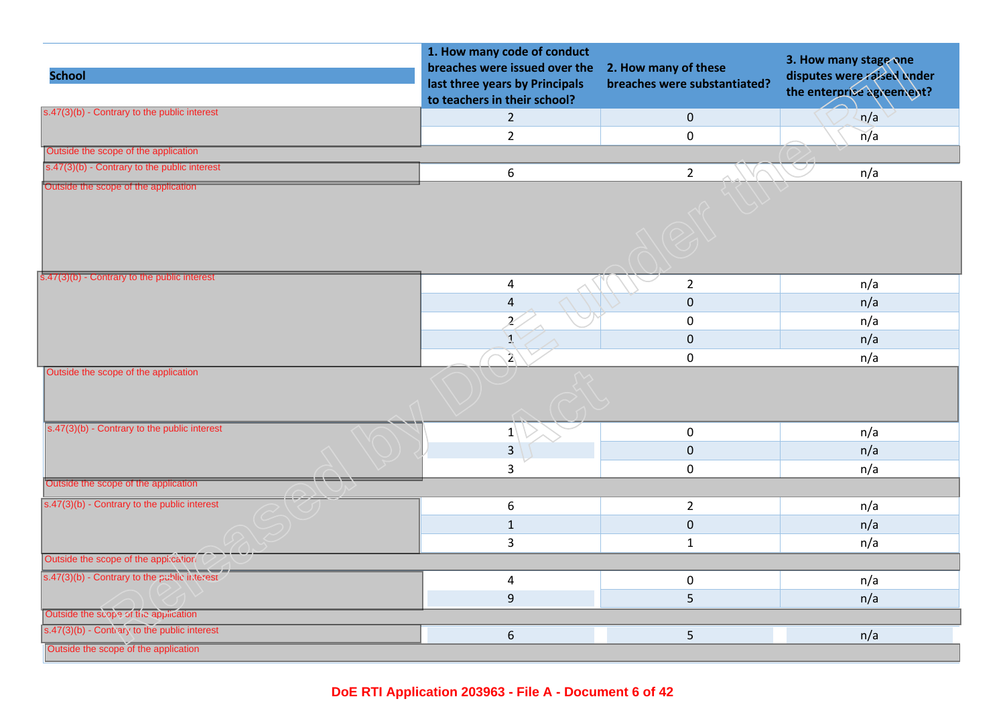| <b>School</b>                                  | 1. How many code of conduct<br>breaches were issued over the<br>last three years by Principals<br>to teachers in their school? | 2. How many of these<br>breaches were substantiated? | 3. How many stage one<br>disputes were raised under<br>the enterprise agreement? |
|------------------------------------------------|--------------------------------------------------------------------------------------------------------------------------------|------------------------------------------------------|----------------------------------------------------------------------------------|
| s.47(3)(b) - Contrary to the public interest   | $\overline{2}$                                                                                                                 | $\overline{0}$                                       | n/a                                                                              |
|                                                | $\overline{2}$                                                                                                                 | $\mathbf 0$                                          | n/a                                                                              |
| Outside the scope of the application           |                                                                                                                                |                                                      |                                                                                  |
| s.47(3)(b) - Contrary to the public interest   | 6                                                                                                                              | $\overline{2}$                                       | n/a                                                                              |
| Outside the scope of the application           |                                                                                                                                |                                                      |                                                                                  |
| s.47(3)(b) - Contrary to the public interest   | 4                                                                                                                              | $\overline{2}$                                       | n/a                                                                              |
|                                                | $\sqrt{4}$                                                                                                                     | $\mathbf 0$                                          | n/a                                                                              |
|                                                | Ž,                                                                                                                             | $\pmb{0}$                                            | n/a                                                                              |
|                                                | A                                                                                                                              | $\mathbf{0}$                                         | n/a                                                                              |
|                                                | $\mathbf{a}$                                                                                                                   | $\mathbf 0$                                          | n/a                                                                              |
| Outside the scope of the application           |                                                                                                                                |                                                      |                                                                                  |
| $s.47(3)(b)$ - Contrary to the public interest | $ 1\rangle$                                                                                                                    | $\mathbf 0$                                          | n/a                                                                              |
|                                                | $\overline{3}$                                                                                                                 | $\mathbf 0$                                          | n/a                                                                              |
|                                                | 3                                                                                                                              | $\mathbf 0$                                          | n/a                                                                              |
| Outside the scope of the application           |                                                                                                                                |                                                      |                                                                                  |
| $s.47(3)(b)$ - Contrary to the public interest | $\boldsymbol{6}$                                                                                                               | $\overline{2}$                                       | n/a                                                                              |
|                                                | $\mathbf 1$                                                                                                                    | $\mathbf{0}$                                         | n/a                                                                              |
|                                                | 3                                                                                                                              | $\mathbf{1}$                                         | n/a                                                                              |
| Outside the scope of the application           |                                                                                                                                |                                                      |                                                                                  |
| s.47(3)(b) - Contrary to the public interest   | $\overline{\mathbf{4}}$                                                                                                        | $\mathbf 0$                                          | n/a                                                                              |
|                                                | $9\,$                                                                                                                          | 5                                                    | n/a                                                                              |
| Outside the scope of the application           |                                                                                                                                |                                                      |                                                                                  |
| s.47(3)(b) - Contrary to the public interest   | $\boldsymbol{6}$                                                                                                               | 5                                                    | n/a                                                                              |
| Outside the scope of the application           |                                                                                                                                |                                                      |                                                                                  |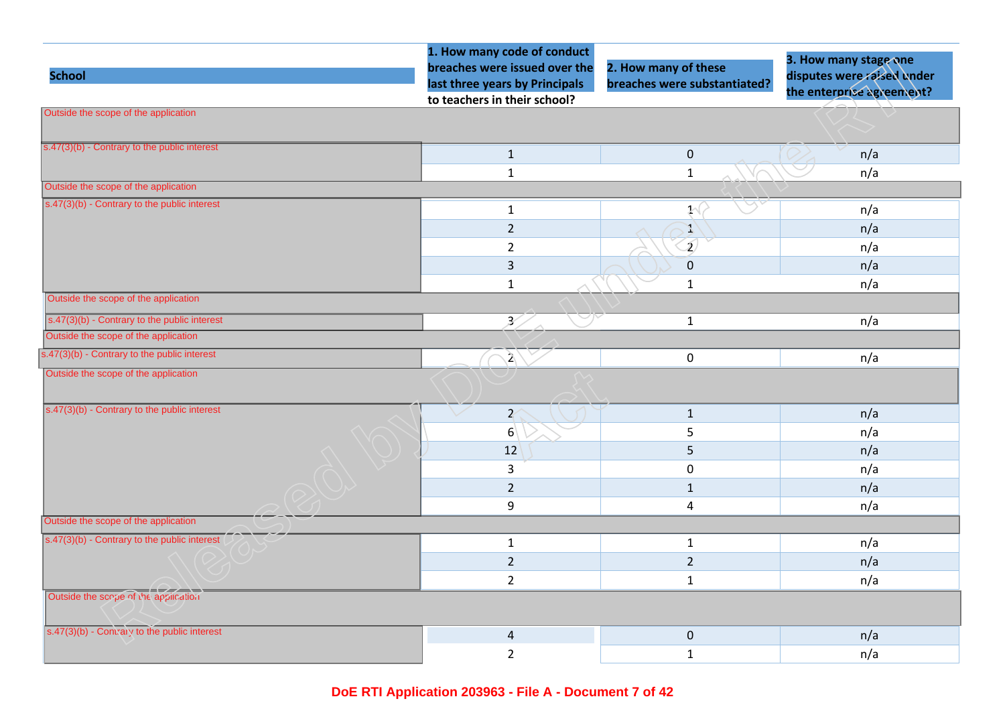|                                                | 1. How many code of conduct    |                              | 3. How many stage one      |
|------------------------------------------------|--------------------------------|------------------------------|----------------------------|
| <b>School</b>                                  | breaches were issued over the  | 2. How many of these         | disputes were raised under |
|                                                | last three years by Principals | breaches were substantiated? | the enterprise agreement?  |
| Outside the scope of the application           | to teachers in their school?   |                              |                            |
|                                                |                                |                              |                            |
| $s.47(3)(b)$ - Contrary to the public interest | $\mathbf 1$                    | $\mathbf 0$                  | n/a                        |
|                                                | $\mathbf{1}$                   | $\mathbf{1}$                 | n/a                        |
| Outside the scope of the application           |                                |                              |                            |
| s.47(3)(b) - Contrary to the public interest   | $\mathbf{1}$                   | $\mathcal{X}^{\langle}$      | n/a                        |
|                                                | $\overline{2}$                 | Y                            | n/a                        |
|                                                | $\overline{2}$                 | $\mathbf{Z}$                 | n/a                        |
|                                                | $\overline{3}$                 | $\pmb{0}$                    | n/a                        |
|                                                | $\mathbf 1$                    | $\mathbf 1$                  | n/a                        |
| Outside the scope of the application           |                                |                              |                            |
| $s.47(3)(b)$ - Contrary to the public interest | B.                             | $\mathbf{1}$                 | n/a                        |
| Outside the scope of the application           |                                |                              |                            |
| s.47(3)(b) - Contrary to the public interest   | $\mathbf{a}$                   | $\mathbf 0$                  | n/a                        |
| Outside the scope of the application           |                                |                              |                            |
|                                                |                                |                              |                            |
| s.47(3)(b) - Contrary to the public interest   | $\mathcal{X}$                  | $\mathbf{1}$                 | n/a                        |
|                                                | 6 <sup>1</sup>                 | 5                            | n/a                        |
|                                                | 12                             | 5                            | n/a                        |
|                                                | $\mathsf{3}$                   | $\mathbf 0$                  | n/a                        |
|                                                | $\overline{2}$                 | $\mathbf{1}$                 | n/a                        |
|                                                | 9                              | $\sqrt{4}$                   | n/a                        |
| Outside the scope of the application           |                                |                              |                            |
| s.47(3)(b) - Contrary to the public interest   | $\mathbf{1}$                   | $\mathbf{1}$                 | n/a                        |
|                                                | $\overline{2}$                 | $\overline{2}$               | n/a                        |
|                                                | $\overline{2}$                 | $\mathbf{1}$                 | n/a                        |
| Outside the scope of the application           |                                |                              |                            |
|                                                |                                |                              |                            |
| s.47(3)(b) - Contrary to the public interest   | $\sqrt{4}$                     | $\mathbf 0$                  | n/a                        |
|                                                | $\overline{2}$                 | $\mathbf 1$                  | n/a                        |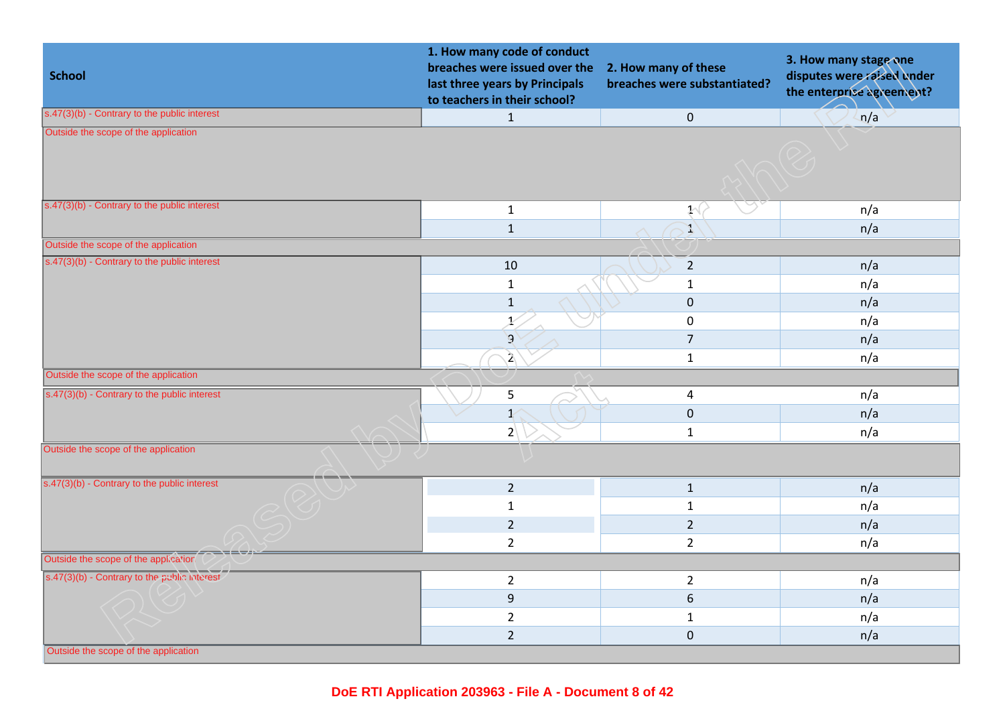| <b>School</b>                                  | 1. How many code of conduct<br>breaches were issued over the<br>last three years by Principals<br>to teachers in their school? | 2. How many of these<br>breaches were substantiated? | 3. How many stage one<br>disputes were raised under<br>the enterprise agreement? |
|------------------------------------------------|--------------------------------------------------------------------------------------------------------------------------------|------------------------------------------------------|----------------------------------------------------------------------------------|
| $s.47(3)(b)$ - Contrary to the public interest | $\mathbf{1}$                                                                                                                   | $\pmb{0}$                                            | n/a                                                                              |
| Outside the scope of the application           |                                                                                                                                |                                                      |                                                                                  |
| s.47(3)(b) - Contrary to the public interest   | $\mathbf{1}$                                                                                                                   | $\mathcal{N}$                                        | n/a                                                                              |
|                                                | $\mathbf 1$                                                                                                                    | Y                                                    | n/a                                                                              |
| Outside the scope of the application           |                                                                                                                                |                                                      |                                                                                  |
| s.47(3)(b) - Contrary to the public interest   | 10                                                                                                                             | $\overline{2}$                                       | n/a                                                                              |
|                                                | $\mathbf{1}$                                                                                                                   | $\mathbf{1}$                                         | n/a                                                                              |
|                                                | $\mathbf 1$                                                                                                                    | $\pmb{0}$                                            | n/a                                                                              |
|                                                | $\chi'$                                                                                                                        | $\pmb{0}$                                            | n/a                                                                              |
|                                                | $\mathcal{G}$                                                                                                                  | $\overline{7}$                                       | n/a                                                                              |
|                                                | $\mathbf{A}$                                                                                                                   | $\mathbf 1$                                          | n/a                                                                              |
| Outside the scope of the application           |                                                                                                                                |                                                      |                                                                                  |
| s.47(3)(b) - Contrary to the public interest   | 5                                                                                                                              | $\overline{4}$                                       | n/a                                                                              |
|                                                | $\mathbf{I}$                                                                                                                   | $\pmb{0}$                                            | n/a                                                                              |
|                                                | $2\backslash$                                                                                                                  | $\mathbf{1}$                                         | n/a                                                                              |
| Outside the scope of the application           |                                                                                                                                |                                                      |                                                                                  |
| s.47(3)(b) - Contrary to the public interest   | $\overline{2}$                                                                                                                 | $\mathbf{1}$                                         | n/a                                                                              |
|                                                | $\mathbf{1}$                                                                                                                   | $\mathbf{1}$                                         | n/a                                                                              |
|                                                | $\overline{2}$                                                                                                                 | $\overline{2}$                                       | n/a                                                                              |
|                                                | $\overline{2}$                                                                                                                 | $\overline{2}$                                       | n/a                                                                              |
| Outside the scope of the application           |                                                                                                                                |                                                      |                                                                                  |
| s.47(3)(b) - Contrary to the public interest   | $\overline{2}$                                                                                                                 | $\overline{2}$                                       | n/a                                                                              |
|                                                | $\mathsf g$                                                                                                                    | $\boldsymbol{6}$                                     | n/a                                                                              |
|                                                | $\overline{2}$                                                                                                                 | $\mathbf{1}$                                         | n/a                                                                              |
|                                                | $\overline{2}$                                                                                                                 | $\mathbf 0$                                          | n/a                                                                              |
| Outside the scope of the application           |                                                                                                                                |                                                      |                                                                                  |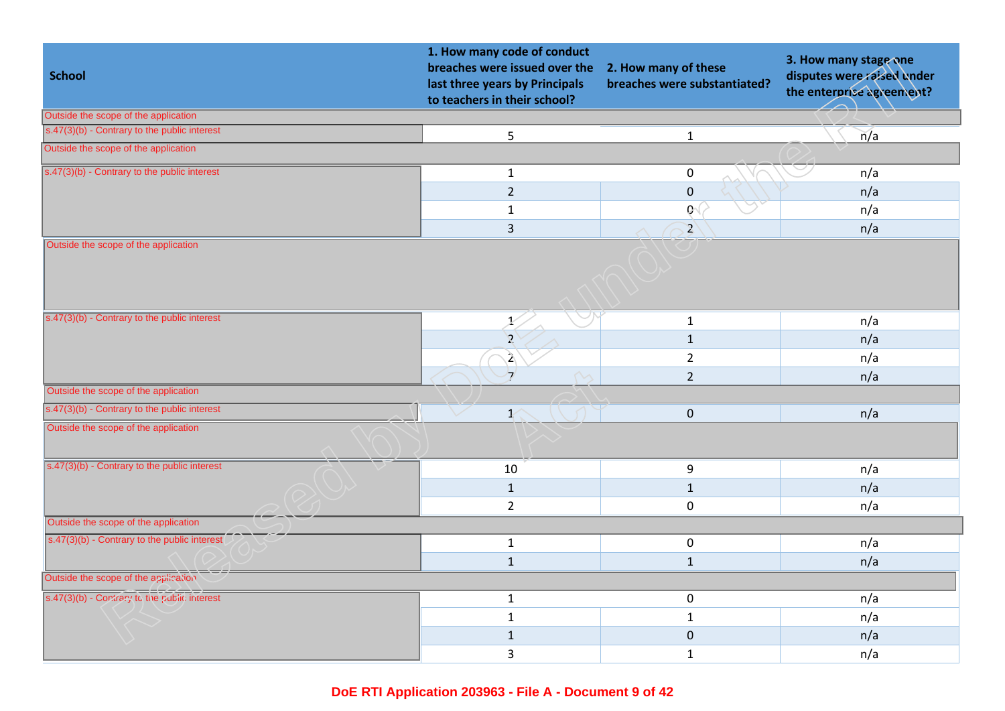| <b>School</b>                                           | 1. How many code of conduct<br>breaches were issued over the<br>last three years by Principals<br>to teachers in their school? | 2. How many of these<br>breaches were substantiated? | 3. How many stage one<br>disputes were raised under<br>the enterprise agreement? |
|---------------------------------------------------------|--------------------------------------------------------------------------------------------------------------------------------|------------------------------------------------------|----------------------------------------------------------------------------------|
| Outside the scope of the application                    |                                                                                                                                |                                                      |                                                                                  |
| s.47(3)(b) - Contrary to the public interest            | 5                                                                                                                              | $\mathbf 1$                                          | n/a                                                                              |
| Outside the scope of the application                    |                                                                                                                                |                                                      |                                                                                  |
| $s.47(3)(b)$ - Contrary to the public interest          | $\mathbf{1}$                                                                                                                   | $\pmb{0}$                                            | n/a                                                                              |
|                                                         | $\overline{2}$                                                                                                                 | $\pmb{0}$                                            | n/a                                                                              |
|                                                         | $\mathbf{1}$                                                                                                                   | $Q_1$                                                | n/a                                                                              |
|                                                         | $\overline{3}$                                                                                                                 | $\mathbf{Z}$                                         | n/a                                                                              |
| Outside the scope of the application                    |                                                                                                                                |                                                      |                                                                                  |
| $s.47(3)(b)$ - Contrary to the public interest          | X.                                                                                                                             | $\mathbf{1}$                                         | n/a                                                                              |
|                                                         | $\mathbf{Z}$                                                                                                                   | $\mathbf 1$                                          | n/a                                                                              |
|                                                         | $\mathbf{\hat{2}}$                                                                                                             | $\overline{2}$                                       | n/a                                                                              |
|                                                         | $\mathcal{I}$                                                                                                                  | $\overline{2}$                                       | n/a                                                                              |
| Outside the scope of the application                    |                                                                                                                                |                                                      |                                                                                  |
| s.47(3)(b) - Contrary to the public interest            | $\mathcal{X}$                                                                                                                  | $\mathbf 0$                                          | n/a                                                                              |
| Outside the scope of the application                    |                                                                                                                                |                                                      |                                                                                  |
| $\sqrt{(s.47(3)(b))}$ - Contrary to the public interest | 10                                                                                                                             | 9                                                    | n/a                                                                              |
|                                                         | $\mathbf 1$                                                                                                                    | $\mathbf{1}$                                         | n/a                                                                              |
|                                                         | $\overline{2}$                                                                                                                 | $\mathbf 0$                                          | n/a                                                                              |
| Outside the scope of the application                    |                                                                                                                                |                                                      |                                                                                  |
| s.47(3)(b) - Contrary to the public interest            | $\mathbf{1}$                                                                                                                   | $\mathbf 0$                                          | n/a                                                                              |
|                                                         | $\mathbf{1}$                                                                                                                   | $\mathbf{1}$                                         | n/a                                                                              |
| Outside the scope of the application                    |                                                                                                                                |                                                      |                                                                                  |
| s.47(3)(b) - Contrary to the public interest            | $\mathbf{1}$                                                                                                                   | $\pmb{0}$                                            | n/a                                                                              |
|                                                         | $\mathbf{1}$                                                                                                                   | $\mathbf{1}$                                         | n/a                                                                              |
|                                                         | $\mathbf{1}$                                                                                                                   | $\mathbf 0$                                          | n/a                                                                              |
|                                                         | 3                                                                                                                              | $\mathbf 1$                                          | n/a                                                                              |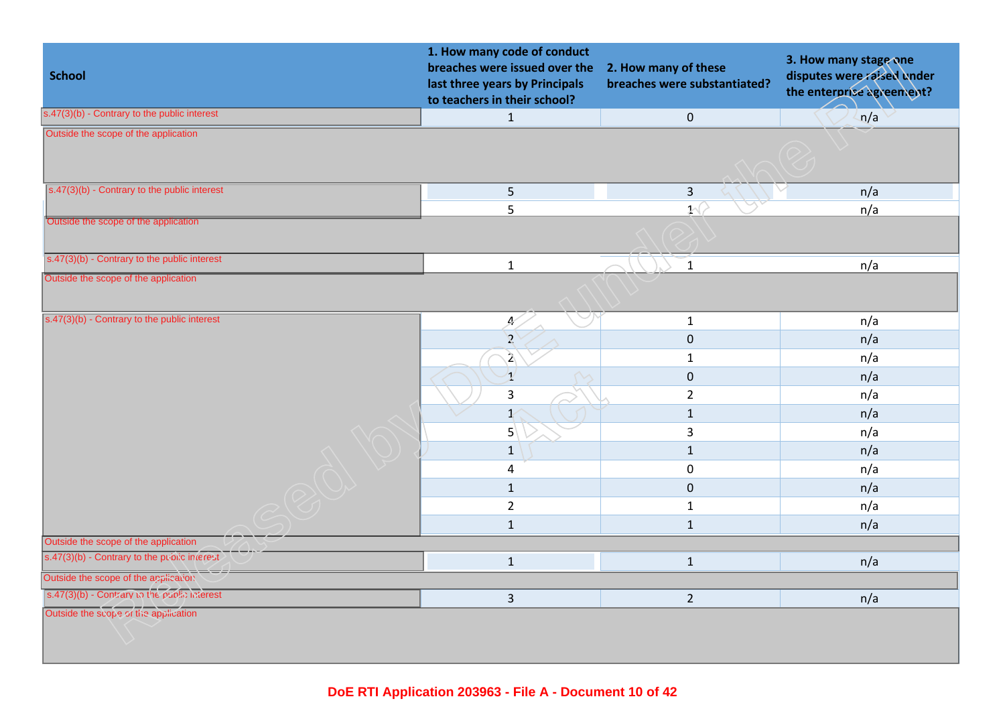| <b>School</b>                                  | 1. How many code of conduct<br>breaches were issued over the<br>last three years by Principals<br>to teachers in their school? | 2. How many of these<br>breaches were substantiated? | 3. How many stage one<br>disputes were raised under<br>the enterprise agreement? |
|------------------------------------------------|--------------------------------------------------------------------------------------------------------------------------------|------------------------------------------------------|----------------------------------------------------------------------------------|
| $s.47(3)(b)$ - Contrary to the public interest | $\mathbf{1}$                                                                                                                   | $\mathbf{0}$                                         | n/a                                                                              |
| Outside the scope of the application           |                                                                                                                                |                                                      |                                                                                  |
| s.47(3)(b) - Contrary to the public interest   | 5                                                                                                                              | $\mathbf{3}$                                         | n/a                                                                              |
|                                                | 5                                                                                                                              | 1 <sup>6</sup>                                       | n/a                                                                              |
| Outside the scope of the application           |                                                                                                                                |                                                      |                                                                                  |
| s.47(3)(b) - Contrary to the public interest   | $\mathbf 1$                                                                                                                    | $\mathbf{1}$                                         | n/a                                                                              |
| Outside the scope of the application           |                                                                                                                                |                                                      |                                                                                  |
| s.47(3)(b) - Contrary to the public interest   | Æ,                                                                                                                             | $\mathbf{1}$                                         | n/a                                                                              |
|                                                | $\overline{2}$                                                                                                                 | $\mathbf 0$                                          | n/a                                                                              |
|                                                | $\mathbf{z}$                                                                                                                   | $\mathbf{1}$                                         | n/a                                                                              |
|                                                | $\mathbf{1}$                                                                                                                   | $\mathbf 0$                                          | n/a                                                                              |
|                                                | 3                                                                                                                              | $\overline{2}$                                       | n/a                                                                              |
|                                                | $\mathbf{1}$                                                                                                                   | $\mathbf{1}$                                         | n/a                                                                              |
|                                                | 5 <sup>2</sup>                                                                                                                 | 3                                                    | n/a                                                                              |
|                                                | $1\,$                                                                                                                          | $1\,$                                                | n/a                                                                              |
|                                                | $\overline{\mathbf{4}}$                                                                                                        | $\mathbf 0$                                          | n/a                                                                              |
|                                                | $\mathbf{1}$                                                                                                                   | $\mathbf{0}$                                         | n/a                                                                              |
|                                                | $\overline{2}$                                                                                                                 | $\mathbf{1}$                                         | n/a                                                                              |
|                                                | $\mathbf{1}$                                                                                                                   | $\mathbf{1}$                                         | n/a                                                                              |
| Outside the scope of the application           |                                                                                                                                |                                                      |                                                                                  |
| s.47(3)(b) - Contrary to the public interest   | $\mathbf{1}$                                                                                                                   | $\mathbf{1}$                                         | n/a                                                                              |
| Outside the scope of the application           |                                                                                                                                |                                                      |                                                                                  |
| s.47(3)(b) - Contrary to the public interest   | $\overline{3}$                                                                                                                 | $2^{\circ}$                                          | n/a                                                                              |
| Outside the scope of the application           |                                                                                                                                |                                                      |                                                                                  |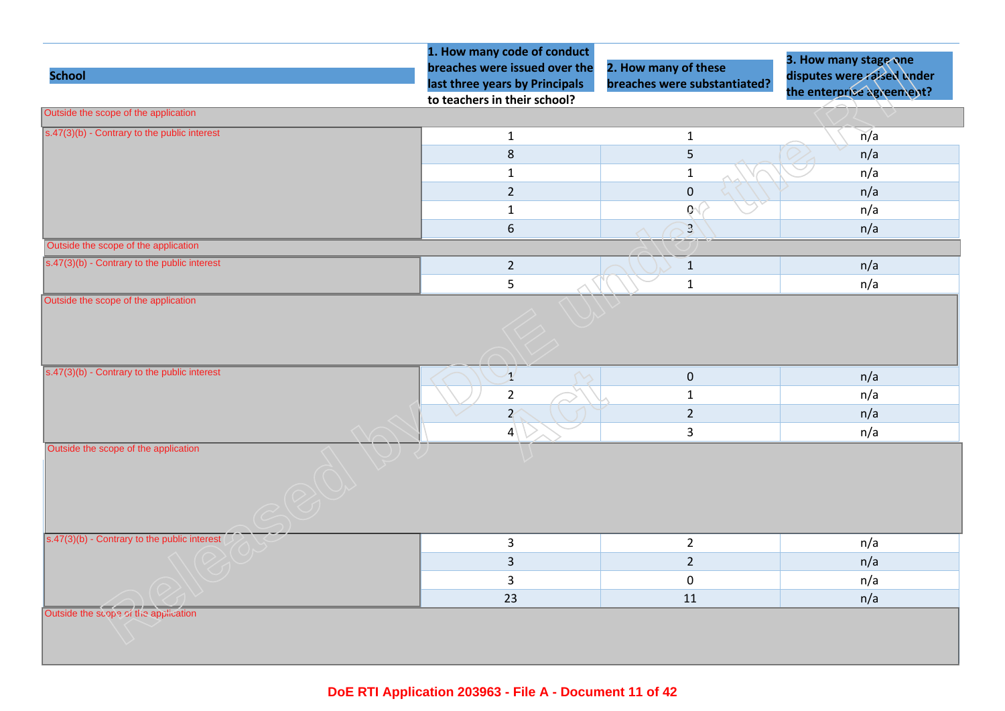| <b>School</b>                                  | 1. How many code of conduct<br>breaches were issued over the<br>last three years by Principals<br>to teachers in their school? | 2. How many of these<br>breaches were substantiated? | 3. How many stage one<br>disputes were raised under<br>the enterprise agreement? |
|------------------------------------------------|--------------------------------------------------------------------------------------------------------------------------------|------------------------------------------------------|----------------------------------------------------------------------------------|
| Outside the scope of the application           |                                                                                                                                |                                                      |                                                                                  |
| $s.47(3)(b)$ - Contrary to the public interest | $\mathbf{1}$                                                                                                                   | $\mathbf{1}$                                         | n/a                                                                              |
|                                                | $\,8\,$                                                                                                                        | 5                                                    | n/a                                                                              |
|                                                | $\mathbf{1}$                                                                                                                   | $1\,$                                                | n/a                                                                              |
|                                                | $\overline{2}$                                                                                                                 | $\pmb{0}$                                            | n/a                                                                              |
|                                                | $\mathbf{1}$                                                                                                                   | Q(                                                   | n/a                                                                              |
|                                                | $\boldsymbol{6}$                                                                                                               | $\mathbf{3}$                                         | n/a                                                                              |
| Outside the scope of the application           |                                                                                                                                |                                                      |                                                                                  |
| s.47(3)(b) - Contrary to the public interest   | $\overline{2}$                                                                                                                 | $\mathbf{1}$                                         | n/a                                                                              |
| Outside the scope of the application           | 5                                                                                                                              | $\mathbf 1$                                          | n/a                                                                              |
| s.47(3)(b) - Contrary to the public interest   | $\mathcal{I}$                                                                                                                  | $\pmb{0}$                                            | n/a                                                                              |
|                                                | $\overline{2}$                                                                                                                 | $\mathbf{1}$                                         | n/a                                                                              |
|                                                | $\overline{Z}$                                                                                                                 | $\overline{2}$                                       | n/a                                                                              |
| Outside the scope of the application           | $\vert 4 \vert$                                                                                                                | $\overline{3}$                                       | n/a                                                                              |
| $s.47(3)(b)$ - Contrary to the public interest | $\overline{3}$                                                                                                                 | $\overline{2}$                                       | n/a                                                                              |
|                                                | $\overline{3}$                                                                                                                 | $\overline{2}$                                       | n/a                                                                              |
|                                                | $\mathsf{3}$                                                                                                                   | $\pmb{0}$                                            | n/a                                                                              |
|                                                | 23                                                                                                                             | 11                                                   | n/a                                                                              |
| Outside the scope of the application           |                                                                                                                                |                                                      |                                                                                  |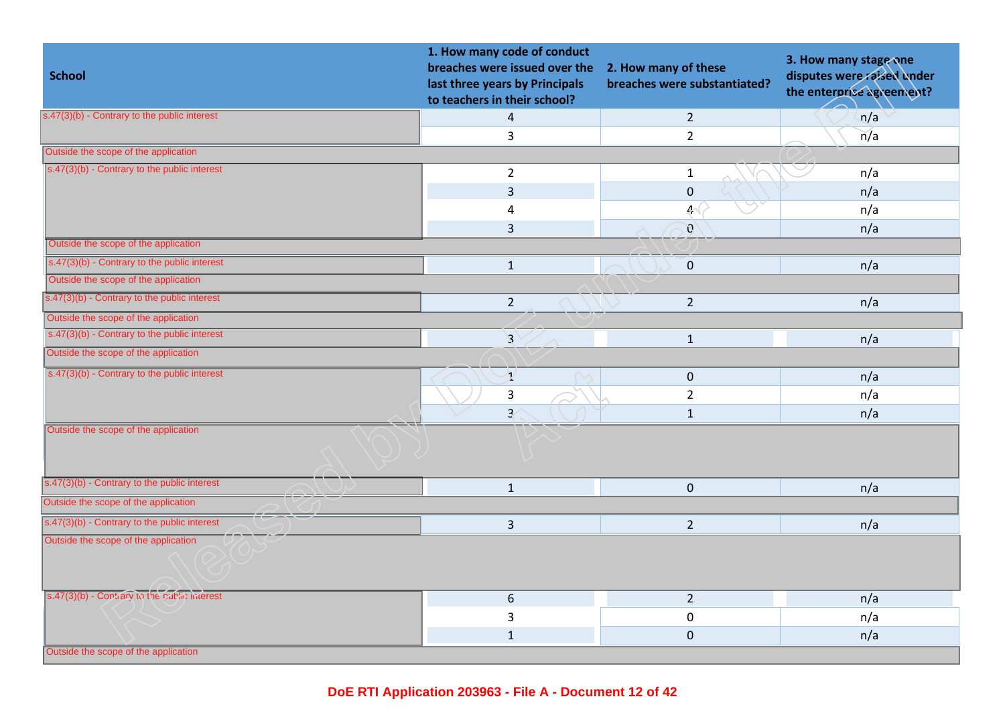| <b>School</b>                                              | 1. How many code of conduct<br>breaches were issued over the<br>last three years by Principals<br>to teachers in their school? | 2. How many of these<br>breaches were substantiated? | 3. How many stage one<br>disputes were raised under<br>the enterprise agreement? |
|------------------------------------------------------------|--------------------------------------------------------------------------------------------------------------------------------|------------------------------------------------------|----------------------------------------------------------------------------------|
| s.47(3)(b) - Contrary to the public interest               | 4                                                                                                                              | $\overline{2}$                                       | n/a                                                                              |
|                                                            | $\overline{3}$                                                                                                                 | $2^{\circ}$                                          | n/a                                                                              |
| Outside the scope of the application                       |                                                                                                                                |                                                      |                                                                                  |
| $\sqrt{(s.47(3)(b) -$ Contrary to the public interest      | $\overline{2}$                                                                                                                 | $\mathbf{1}$                                         | n/a                                                                              |
|                                                            | $\overline{3}$                                                                                                                 | $\mathbf 0$                                          | n/a                                                                              |
|                                                            | 4                                                                                                                              | 4<                                                   | n/a                                                                              |
|                                                            | $\mathsf{3}$                                                                                                                   | $\mathcal{G}$                                        | n/a                                                                              |
| Outside the scope of the application                       |                                                                                                                                |                                                      |                                                                                  |
| s.47(3)(b) - Contrary to the public interest               | $\mathbf 1$                                                                                                                    | $\mathbf 0$                                          | n/a                                                                              |
| Outside the scope of the application                       |                                                                                                                                |                                                      |                                                                                  |
| $\overline{s}$ .47(3)(b) - Contrary to the public interest | $\overline{2}$                                                                                                                 | $\overline{2}$                                       | n/a                                                                              |
| Outside the scope of the application                       |                                                                                                                                |                                                      |                                                                                  |
| s.47(3)(b) - Contrary to the public interest               | $\overline{3}$                                                                                                                 | $\mathbf{1}$                                         | n/a                                                                              |
| Outside the scope of the application                       |                                                                                                                                |                                                      |                                                                                  |
| s.47(3)(b) - Contrary to the public interest               | $\mathbf{1}$                                                                                                                   | $\mathbf 0$                                          | n/a                                                                              |
|                                                            | 3                                                                                                                              | $\overline{2}$                                       | n/a                                                                              |
|                                                            | $\overline{3}$                                                                                                                 | $1\,$                                                | n/a                                                                              |
| Outside the scope of the application                       |                                                                                                                                |                                                      |                                                                                  |
| $\sqrt{s.47(3)(b)}$ - Contrary to the public interest      | $\mathbf 1$                                                                                                                    | $\mathbf{0}$                                         | n/a                                                                              |
| Outside the scope of the application                       |                                                                                                                                |                                                      |                                                                                  |
| $s.47(3)(b)$ - Contrary to the public interest             | $\overline{3}$                                                                                                                 | $\overline{2}$                                       | n/a                                                                              |
| Outside the scope of the application                       |                                                                                                                                |                                                      |                                                                                  |
| s.47(3)(b) - Contrary to the public interest               | $\boldsymbol{6}$                                                                                                               | $\overline{2}$                                       | n/a                                                                              |
|                                                            | $\overline{3}$                                                                                                                 | $\mathbf 0$                                          | n/a                                                                              |
|                                                            | $\mathbf{1}$                                                                                                                   | $\mathbf 0$                                          | n/a                                                                              |
| Outside the scope of the application                       |                                                                                                                                |                                                      |                                                                                  |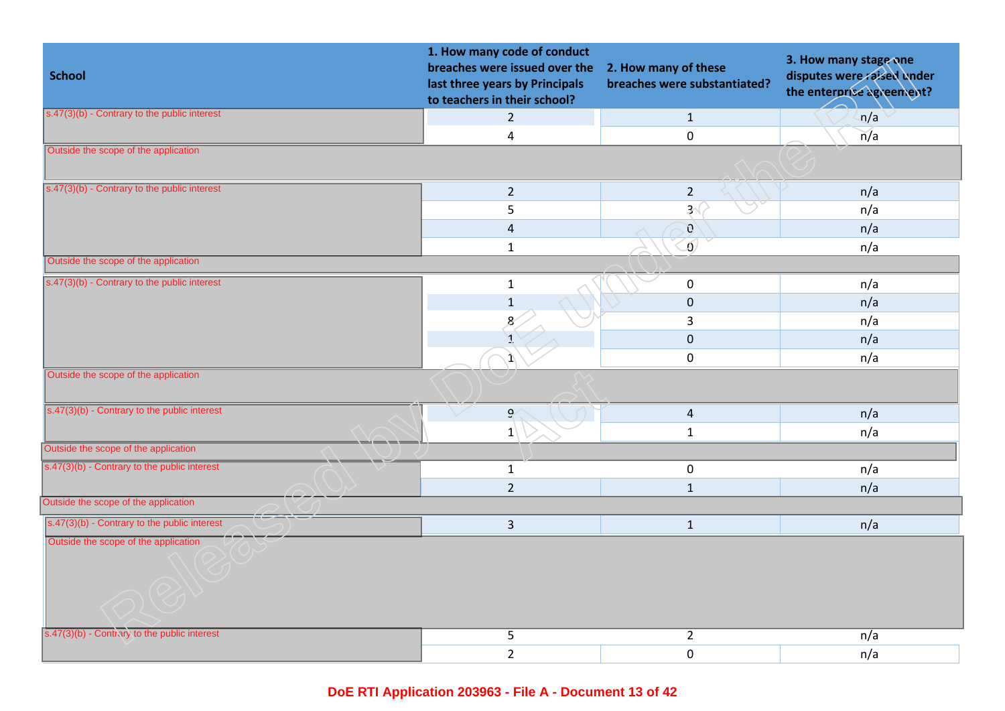| <b>School</b>                                  | 1. How many code of conduct<br>breaches were issued over the<br>last three years by Principals<br>to teachers in their school? | 2. How many of these<br>breaches were substantiated? | 3. How many stage one<br>disputes were raised under<br>the enterprise agreement? |
|------------------------------------------------|--------------------------------------------------------------------------------------------------------------------------------|------------------------------------------------------|----------------------------------------------------------------------------------|
| $s.47(3)(b)$ - Contrary to the public interest | $\overline{2}$                                                                                                                 | $\mathbf{1}$                                         | n/a                                                                              |
|                                                | $\overline{\mathbf{4}}$                                                                                                        | $\mathbf 0$                                          | n/a                                                                              |
| Outside the scope of the application           |                                                                                                                                |                                                      |                                                                                  |
| $s.47(3)(b)$ - Contrary to the public interest | $\overline{2}$                                                                                                                 | $\overline{2}$                                       | n/a                                                                              |
|                                                | 5                                                                                                                              | 3 <sup>′</sup>                                       | n/a                                                                              |
|                                                | $\sqrt{4}$                                                                                                                     | $\mathcal{O}$                                        | n/a                                                                              |
|                                                | $\mathbf 1$                                                                                                                    | $\delta$                                             | n/a                                                                              |
| Outside the scope of the application           |                                                                                                                                |                                                      |                                                                                  |
| s.47(3)(b) - Contrary to the public interest   | $\mathbf{1}$                                                                                                                   | $\pmb{0}$                                            | n/a                                                                              |
|                                                | $\mathbf{1}$                                                                                                                   | $\mathbf 0$                                          | n/a                                                                              |
|                                                | $\mathbf{8}$                                                                                                                   | 3                                                    | n/a                                                                              |
|                                                |                                                                                                                                | $\mathbf 0$                                          | n/a                                                                              |
|                                                |                                                                                                                                | $\mathsf{O}\xspace$                                  | n/a                                                                              |
| Outside the scope of the application           |                                                                                                                                |                                                      |                                                                                  |
| s.47(3)(b) - Contrary to the public interest   | $\mathbf{S}$                                                                                                                   | $\overline{4}$                                       | n/a                                                                              |
|                                                | $1\overline{ }$                                                                                                                | $\mathbf{1}$                                         | n/a                                                                              |
| Outside the scope of the application           |                                                                                                                                |                                                      |                                                                                  |
| s.47(3)(b) - Contrary to the public interest   | $\mathbf{1}$                                                                                                                   | $\mathbf 0$                                          | n/a                                                                              |
|                                                | $\overline{2}$                                                                                                                 | $\mathbf{1}$                                         | n/a                                                                              |
| Outside the scope of the application           |                                                                                                                                |                                                      |                                                                                  |
| $s.47(3)(b)$ - Contrary to the public interest | $\overline{3}$                                                                                                                 | $\mathbf{1}$                                         | n/a                                                                              |
| Outside the scope of the application           |                                                                                                                                |                                                      |                                                                                  |
| s.47(3)(b) - Contrary to the public interest   | 5                                                                                                                              | $\overline{2}$                                       | n/a                                                                              |
|                                                | $\overline{2}$                                                                                                                 | $\mathbf 0$                                          | n/a                                                                              |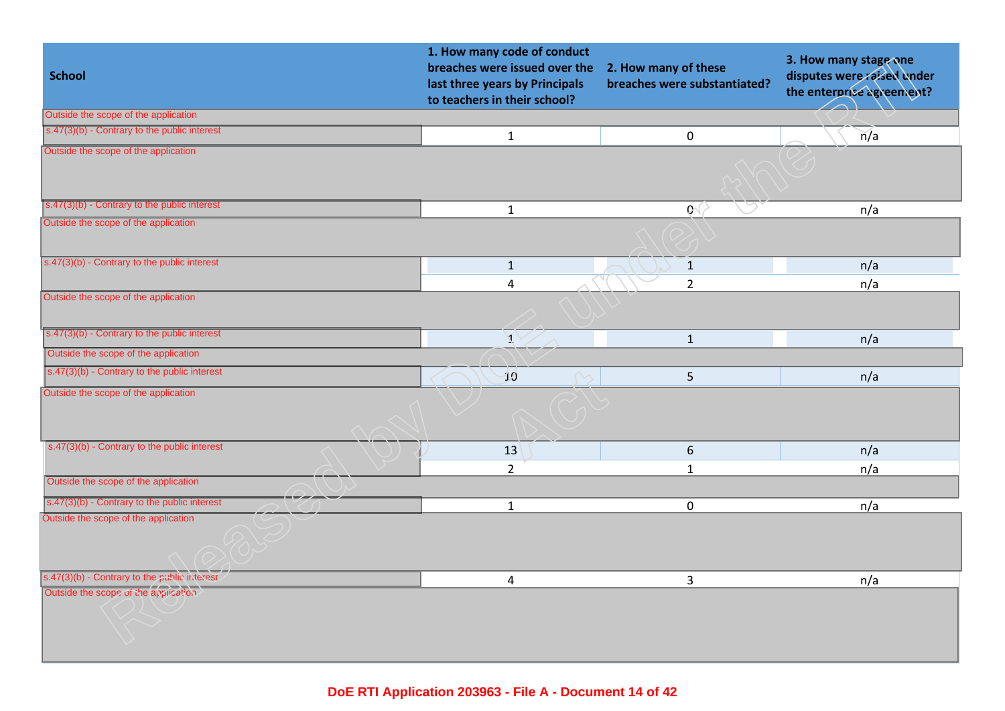| <b>School</b>                                  | 1. How many code of conduct<br>breaches were issued over the<br>last three years by Principals<br>to teachers in their school? | 2. How many of these<br>breaches were substantiated? | 3. How many stage one<br>disputes were raised under<br>the enterprise agreement? |
|------------------------------------------------|--------------------------------------------------------------------------------------------------------------------------------|------------------------------------------------------|----------------------------------------------------------------------------------|
| Outside the scope of the application           |                                                                                                                                |                                                      |                                                                                  |
| s.47(3)(b) - Contrary to the public interest   | $\mathbf{1}$                                                                                                                   | $\mathbf 0$                                          | n/a                                                                              |
| Outside the scope of the application           |                                                                                                                                |                                                      |                                                                                  |
| s.47(3)(b) - Contrary to the public interest   | $\mathbf{1}$                                                                                                                   | $\mathbf{G}$                                         | n/a                                                                              |
| Outside the scope of the application           |                                                                                                                                |                                                      |                                                                                  |
| $s.47(3)(b)$ - Contrary to the public interest | $\mathbf{1}$                                                                                                                   | $\mathbf{1}$                                         | n/a                                                                              |
|                                                | $\overline{\mathbf{4}}$                                                                                                        | $\overline{2}$                                       | n/a                                                                              |
| Outside the scope of the application           |                                                                                                                                |                                                      |                                                                                  |
| s.47(3)(b) - Contrary to the public interest   | T                                                                                                                              | $\mathbf{1}$                                         | n/a                                                                              |
| Outside the scope of the application           |                                                                                                                                |                                                      |                                                                                  |
| s.47(3)(b) - Contrary to the public interest   | 10 <sup>°</sup>                                                                                                                | 5                                                    | n/a                                                                              |
| Outside the scope of the application           |                                                                                                                                |                                                      |                                                                                  |
| $s.47(3)(b)$ - Contrary to the public interest | 13                                                                                                                             | 6                                                    | n/a                                                                              |
|                                                | $\overline{2}$                                                                                                                 | $\mathbf{1}$                                         | n/a                                                                              |
| Outside the scope of the application           |                                                                                                                                |                                                      |                                                                                  |
| s.47(3)(b) - Contrary to the public interest   | $\mathbf{1}$                                                                                                                   | $\mathbf 0$                                          | n/a                                                                              |
| Outside the scope of the application           |                                                                                                                                |                                                      |                                                                                  |
| s.47(3)(b) - Contrary to the public interest   | 4                                                                                                                              | $\overline{3}$                                       | n/a                                                                              |
| Outside the scope of the application           |                                                                                                                                |                                                      |                                                                                  |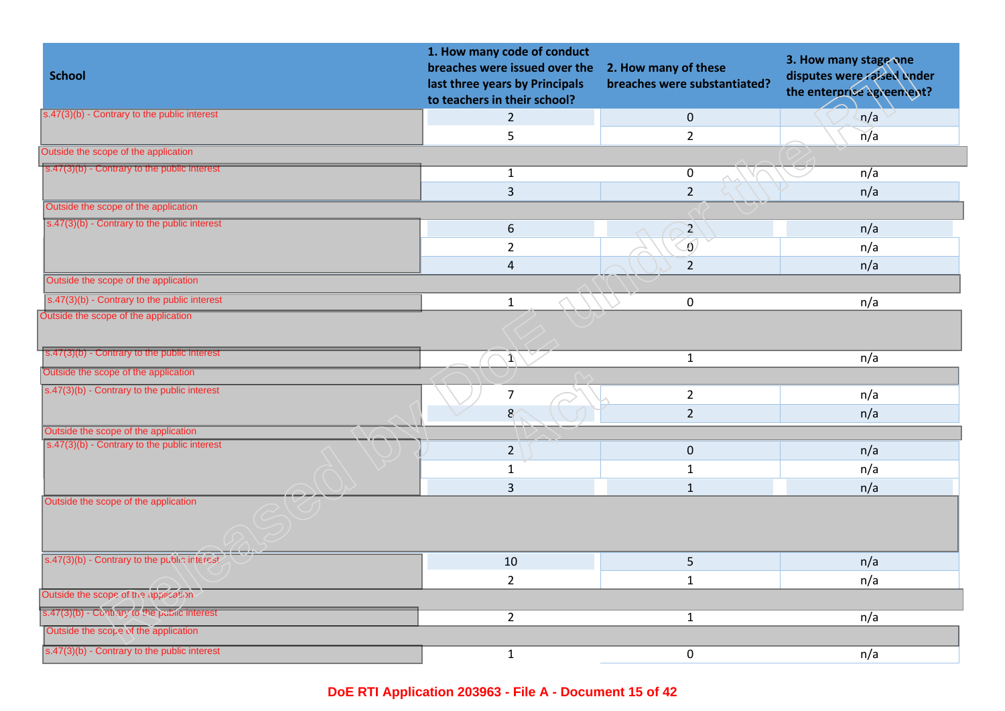| <b>School</b>                                         | 1. How many code of conduct<br>breaches were issued over the<br>last three years by Principals<br>to teachers in their school? | 2. How many of these<br>breaches were substantiated? | 3. How many stage one<br>disputes were raised under<br>the enterprise agreement? |
|-------------------------------------------------------|--------------------------------------------------------------------------------------------------------------------------------|------------------------------------------------------|----------------------------------------------------------------------------------|
| s.47(3)(b) - Contrary to the public interest          | $\overline{2}$                                                                                                                 | $\pmb{0}$                                            | n/a                                                                              |
|                                                       | 5                                                                                                                              | $\overline{2}$                                       | n/a                                                                              |
| Outside the scope of the application                  |                                                                                                                                |                                                      |                                                                                  |
| $s.47(3)(b)$ - Contrary to the public interest        | $\mathbf{1}$                                                                                                                   | $\mathbf 0$                                          | n/a                                                                              |
|                                                       | $\overline{3}$                                                                                                                 | $\overline{2}$                                       | n/a                                                                              |
| Outside the scope of the application                  |                                                                                                                                |                                                      |                                                                                  |
| $s.47(3)(b)$ - Contrary to the public interest        | 6                                                                                                                              | $\overline{2}$                                       | n/a                                                                              |
|                                                       | $\overline{2}$                                                                                                                 | Ō                                                    | n/a                                                                              |
|                                                       | $\overline{\mathbf{4}}$                                                                                                        | $\overline{2}$                                       | n/a                                                                              |
| Outside the scope of the application                  |                                                                                                                                |                                                      |                                                                                  |
| $s.47(3)(b)$ - Contrary to the public interest        | $\mathbf{1}$                                                                                                                   | $\pmb{0}$                                            | n/a                                                                              |
| Outside the scope of the application                  |                                                                                                                                |                                                      |                                                                                  |
| $s.47(3)(b)$ - Contrary to the public interest        | $\Lambda$                                                                                                                      | $\mathbf 1$                                          | n/a                                                                              |
| Outside the scope of the application                  |                                                                                                                                |                                                      |                                                                                  |
| s.47(3)(b) - Contrary to the public interest          | $\overline{7}$                                                                                                                 | $\overline{2}$                                       | n/a                                                                              |
|                                                       | 8                                                                                                                              | $\overline{2}$                                       | n/a                                                                              |
| Outside the scope of the application                  |                                                                                                                                |                                                      |                                                                                  |
| $\sqrt{(s.47(3)(b) -$ Contrary to the public interest | $\overline{2}$                                                                                                                 | $\pmb{0}$                                            | n/a                                                                              |
|                                                       | $\mathbf{1}$                                                                                                                   | $\mathbf{1}$                                         | n/a                                                                              |
|                                                       | $\overline{3}$                                                                                                                 | $\mathbf{1}$                                         | n/a                                                                              |
| Outside the scope of the application                  |                                                                                                                                |                                                      |                                                                                  |
| s.47(3)(b) - Contrary to the public interest          | 10                                                                                                                             | 5                                                    | n/a                                                                              |
|                                                       | $\overline{2}$                                                                                                                 | $\mathbf{1}$                                         | n/a                                                                              |
| Outside the scope of the application                  |                                                                                                                                |                                                      |                                                                                  |
| s.47(3)(b) - Continery to the public interest         | $2^{\circ}$                                                                                                                    | $1\,$                                                | n/a                                                                              |
| Outside the scope of the application                  |                                                                                                                                |                                                      |                                                                                  |
| s.47(3)(b) - Contrary to the public interest          | $\mathbf{1}$                                                                                                                   | $\pmb{0}$                                            | n/a                                                                              |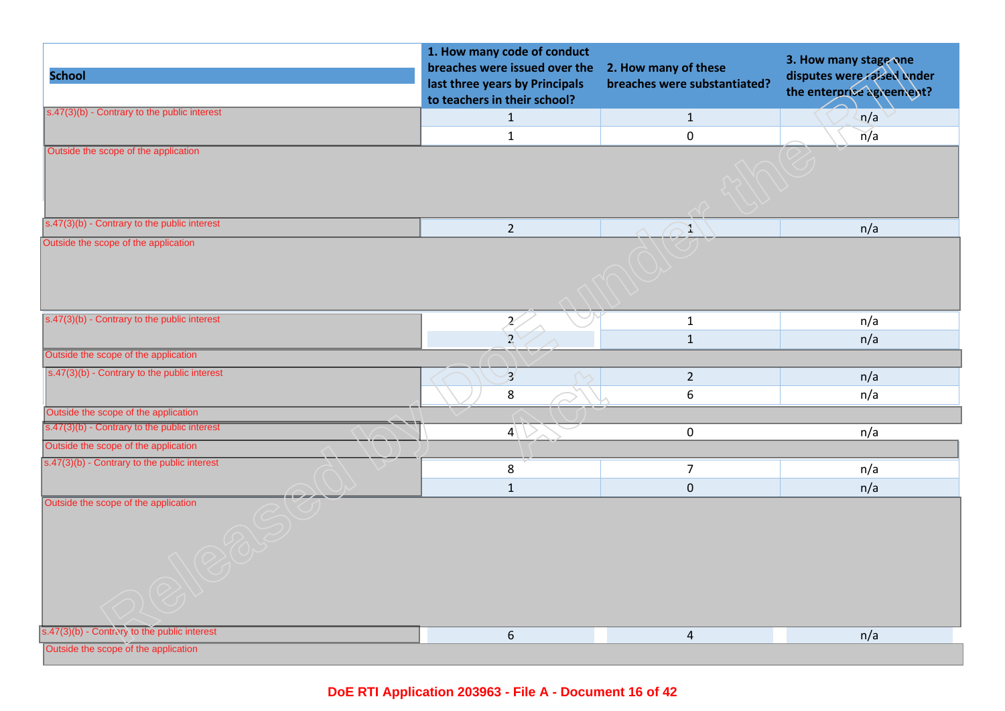| <b>School</b>                                                                        | 1. How many code of conduct<br>breaches were issued over the<br>last three years by Principals<br>to teachers in their school? | 2. How many of these<br>breaches were substantiated? | 3. How many stage one<br>disputes were raised under<br>the enterprise agreement? |
|--------------------------------------------------------------------------------------|--------------------------------------------------------------------------------------------------------------------------------|------------------------------------------------------|----------------------------------------------------------------------------------|
| $s.47(3)(b)$ - Contrary to the public interest                                       | $\mathbf{1}$                                                                                                                   | $\mathbf{1}$                                         | n/a                                                                              |
|                                                                                      | $\mathbf{1}$                                                                                                                   | $\mathbf 0$                                          | n/a                                                                              |
| Outside the scope of the application                                                 |                                                                                                                                |                                                      |                                                                                  |
| $s.47(3)(b)$ - Contrary to the public interest                                       | $\overline{2}$                                                                                                                 | X)                                                   | n/a                                                                              |
| Outside the scope of the application                                                 |                                                                                                                                |                                                      |                                                                                  |
| s.47(3)(b) - Contrary to the public interest                                         | Ľ,                                                                                                                             | $\mathbf{1}$                                         | n/a                                                                              |
|                                                                                      | $\overline{2}$                                                                                                                 | $\mathbf 1$                                          | n/a                                                                              |
| Outside the scope of the application                                                 |                                                                                                                                |                                                      |                                                                                  |
| $s.47(3)(b)$ - Contrary to the public interest                                       | $\overline{\mathbf{3}}$                                                                                                        | $\overline{2}$                                       | n/a                                                                              |
|                                                                                      | 8                                                                                                                              | 6                                                    | n/a                                                                              |
| Outside the scope of the application                                                 |                                                                                                                                |                                                      |                                                                                  |
| s.47(3)(b) - Contrary to the public interest                                         | $ 4\rangle$                                                                                                                    | $\mathbf 0$                                          | n/a                                                                              |
| Outside the scope of the application                                                 |                                                                                                                                |                                                      |                                                                                  |
| s.47(3)(b) - Contrary to the public interest                                         | $\bf 8$                                                                                                                        | $\overline{7}$                                       | n/a                                                                              |
|                                                                                      | $\mathbf 1$                                                                                                                    | $\pmb{0}$                                            | n/a                                                                              |
| Outside the scope of the application<br>s.47(3)(b) - Contrary to the public interest | $\sqrt{6}$                                                                                                                     | 4                                                    | n/a                                                                              |
| Outside the scope of the application                                                 |                                                                                                                                |                                                      |                                                                                  |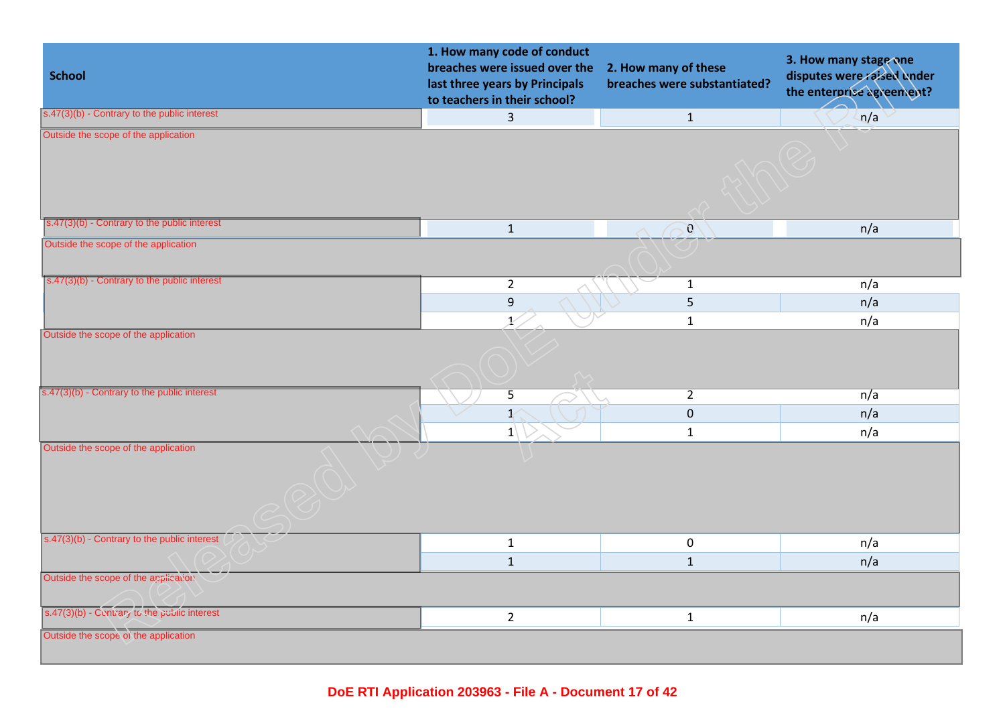| <b>School</b>                                                                        | 1. How many code of conduct<br>breaches were issued over the<br>last three years by Principals<br>to teachers in their school? | 2. How many of these<br>breaches were substantiated? | 3. How many stage one<br>disputes were raised under<br>the enterprise agreement? |
|--------------------------------------------------------------------------------------|--------------------------------------------------------------------------------------------------------------------------------|------------------------------------------------------|----------------------------------------------------------------------------------|
| $s.47(3)(b)$ - Contrary to the public interest                                       | $\overline{3}$                                                                                                                 | $\mathbf{1}$                                         | n/a                                                                              |
| Outside the scope of the application<br>s.47(3)(b) - Contrary to the public interest |                                                                                                                                |                                                      |                                                                                  |
|                                                                                      | $\mathbf 1$                                                                                                                    | $\mathcal{O}$                                        | n/a                                                                              |
| Outside the scope of the application                                                 |                                                                                                                                |                                                      |                                                                                  |
| s.47(3)(b) - Contrary to the public interest                                         | $\overline{2}$                                                                                                                 | $\mathbf{1}$                                         | n/a                                                                              |
|                                                                                      | $\boldsymbol{9}$                                                                                                               | $\overline{5}$                                       | n/a                                                                              |
|                                                                                      | X.                                                                                                                             | $\mathbf 1$                                          | n/a                                                                              |
| Outside the scope of the application                                                 |                                                                                                                                |                                                      |                                                                                  |
| $s.47(3)(b)$ - Contrary to the public interest                                       | $\overline{5}$                                                                                                                 | $\overline{2}$                                       | n/a                                                                              |
|                                                                                      | $\mathbf{1}^{\prime}$                                                                                                          | $\mathbf 0$                                          | n/a                                                                              |
|                                                                                      | $ 1\rangle$                                                                                                                    | $\mathbf 1$                                          | n/a                                                                              |
| Outside the scope of the application                                                 |                                                                                                                                |                                                      |                                                                                  |
| s.47(3)(b) - Contrary to the public interest                                         | $\mathbf 1$                                                                                                                    | $\mathbf 0$                                          | n/a                                                                              |
|                                                                                      | $\mathbf 1$                                                                                                                    | $\mathbf{1}$                                         | n/a                                                                              |
| Outside the scope of the application                                                 |                                                                                                                                |                                                      |                                                                                  |
| s.47(3)(b) - Contrary to the public interest                                         | $\overline{2}$                                                                                                                 | $\mathbf{1}$                                         | n/a                                                                              |
| Outside the scope of the application                                                 |                                                                                                                                |                                                      |                                                                                  |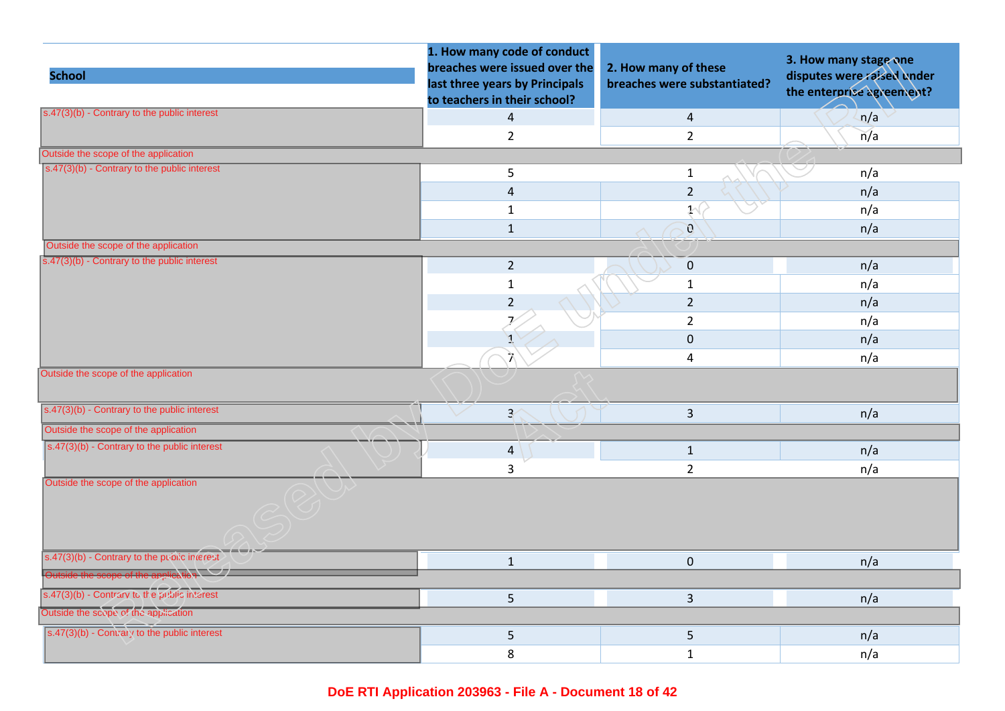|                                                        | 1. How many code of conduct<br>breaches were issued over the   | 2. How many of these         | 3. How many stage one                                   |
|--------------------------------------------------------|----------------------------------------------------------------|------------------------------|---------------------------------------------------------|
| <b>School</b>                                          | last three years by Principals<br>to teachers in their school? | breaches were substantiated? | disputes were raised under<br>the enterprise agreement? |
| $s.47(3)(b)$ - Contrary to the public interest         | $\overline{4}$                                                 | $\overline{4}$               | n/a                                                     |
|                                                        | $\overline{2}$                                                 | $\overline{2}$               | n/a                                                     |
| Outside the scope of the application                   |                                                                |                              |                                                         |
| s.47(3)(b) - Contrary to the public interest           | 5                                                              | $\mathbf{1}$                 | n/a                                                     |
|                                                        | $\overline{4}$                                                 | $\overline{2}$               | n/a                                                     |
|                                                        | $\mathbf{1}$                                                   | $\mathcal{N}$                | n/a                                                     |
|                                                        | $\mathbf{1}$                                                   | $\mathbf{C}$                 | n/a                                                     |
| Outside the scope of the application                   |                                                                |                              |                                                         |
| s.47(3)(b) - Contrary to the public interest           | $2^{\circ}$                                                    | $\pmb{0}$                    | n/a                                                     |
|                                                        | $\mathbf 1$                                                    | $\mathbf{1}$                 | n/a                                                     |
|                                                        | $\overline{2}$                                                 | $\overline{2}$               | n/a                                                     |
|                                                        | $\overline{\lambda}$                                           | $\overline{2}$               | n/a                                                     |
|                                                        | $\mathbf{I}$                                                   | $\mathbf{0}$                 | n/a                                                     |
|                                                        | ्रो                                                            | 4                            | n/a                                                     |
| Outside the scope of the application                   |                                                                |                              |                                                         |
| s.47(3)(b) - Contrary to the public interest           | $\overline{3}$                                                 | $\overline{3}$               | n/a                                                     |
| Outside the scope of the application                   |                                                                |                              |                                                         |
| $s.47(3)(b)$ - Contrary to the public interest         | $\overline{4}$                                                 | $\mathbf{1}$                 | n/a                                                     |
|                                                        | 3                                                              | $\overline{2}$               | n/a                                                     |
| Outside the scope of the application                   |                                                                |                              |                                                         |
| s.47(3)(b) - Contrary to the public interest           | $\mathbf{1}$                                                   | $\mathbf 0$                  | n/a                                                     |
| Outside the scope of the application                   |                                                                |                              |                                                         |
| s.47(3)(b) - Contrary to the public interest           | 5                                                              | $\overline{3}$               | n/a                                                     |
| Outside the scope of the application                   |                                                                |                              |                                                         |
| $\sqrt{(s.47(3)(b) - Contrai)}$ to the public interest | 5                                                              | $\overline{5}$               | n/a                                                     |
|                                                        | 8                                                              | $\mathbf{1}$                 | n/a                                                     |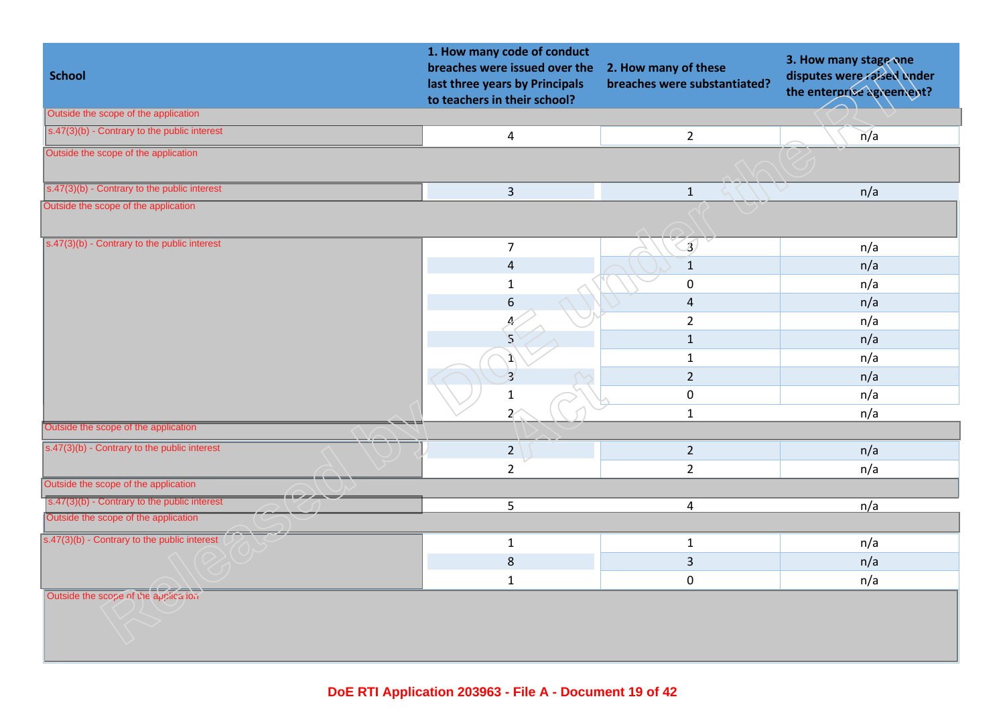| <b>School</b>                                  | 1. How many code of conduct<br>breaches were issued over the<br>last three years by Principals<br>to teachers in their school? | 2. How many of these<br>breaches were substantiated? | 3. How many stage one<br>disputes were raised under<br>the enterprise agreement? |
|------------------------------------------------|--------------------------------------------------------------------------------------------------------------------------------|------------------------------------------------------|----------------------------------------------------------------------------------|
| Outside the scope of the application           |                                                                                                                                |                                                      |                                                                                  |
| s.47(3)(b) - Contrary to the public interest   | $\overline{\mathbf{4}}$                                                                                                        | $\overline{2}$                                       | $\overline{n}/a$                                                                 |
| Outside the scope of the application           |                                                                                                                                |                                                      |                                                                                  |
| s.47(3)(b) - Contrary to the public interest   | $\overline{3}$                                                                                                                 | $\mathbf{1}$                                         | n/a                                                                              |
| Outside the scope of the application           |                                                                                                                                |                                                      |                                                                                  |
| s.47(3)(b) - Contrary to the public interest   | $\overline{7}$                                                                                                                 | $\mathfrak{D}$                                       | n/a                                                                              |
|                                                | 4                                                                                                                              | $\mathbf{1}$                                         | n/a                                                                              |
|                                                | 1                                                                                                                              | $\pmb{0}$                                            | n/a                                                                              |
|                                                | 6                                                                                                                              | $\overline{4}$                                       | n/a                                                                              |
|                                                | 4                                                                                                                              | $\overline{2}$                                       | n/a                                                                              |
|                                                | $\mathbf{z}$                                                                                                                   | $\mathbf 1$                                          | n/a                                                                              |
|                                                | 1                                                                                                                              | $\mathbf{1}$                                         | n/a                                                                              |
|                                                | $\overline{\mathbf{3}}$                                                                                                        | $\overline{2}$                                       | n/a                                                                              |
|                                                | $\mathbf{1}$                                                                                                                   | $\pmb{0}$                                            | n/a                                                                              |
|                                                | $\overline{z}$                                                                                                                 | $\mathbf{1}$                                         | n/a                                                                              |
| Outside the scope of the application           |                                                                                                                                |                                                      |                                                                                  |
| $s.47(3)(b)$ - Contrary to the public interest | 2 <sup>1</sup>                                                                                                                 | $\overline{2}$                                       | n/a                                                                              |
|                                                | $\overline{2}$                                                                                                                 | $\overline{2}$                                       | n/a                                                                              |
| Outside the scope of the application           |                                                                                                                                |                                                      |                                                                                  |
| s.47(3)(b) - Contrary to the public interest   | 5                                                                                                                              | 4                                                    | n/a                                                                              |
| Outside the scope of the application           |                                                                                                                                |                                                      |                                                                                  |
| $s.47(3)(b)$ - Contrary to the public interest | $\mathbf{1}$                                                                                                                   | $\mathbf{1}$                                         | n/a                                                                              |
|                                                | $\bf 8$                                                                                                                        | $\overline{3}$                                       | n/a                                                                              |
|                                                | $\mathbf 1$                                                                                                                    | $\pmb{0}$                                            | n/a                                                                              |
| Outside the scope of the application           |                                                                                                                                |                                                      |                                                                                  |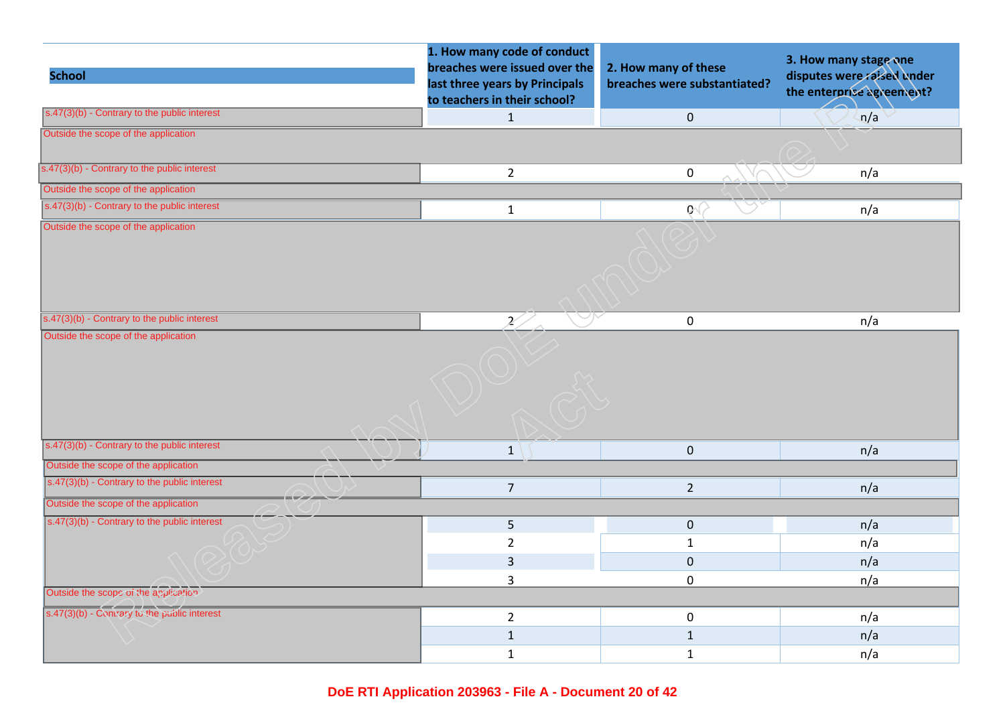| <b>School</b>                                         | 1. How many code of conduct<br>breaches were issued over the<br>last three years by Principals<br>to teachers in their school? | 2. How many of these<br>breaches were substantiated? | 3. How many stage one<br>disputes were raised under<br>the enterprise agreement? |
|-------------------------------------------------------|--------------------------------------------------------------------------------------------------------------------------------|------------------------------------------------------|----------------------------------------------------------------------------------|
| $s.47(3)(b)$ - Contrary to the public interest        | $\mathbf{1}$                                                                                                                   | $\pmb{0}$                                            | n/a                                                                              |
| Outside the scope of the application                  |                                                                                                                                |                                                      |                                                                                  |
| s.47(3)(b) - Contrary to the public interest          | $\overline{2}$                                                                                                                 | $\pmb{0}$                                            | n/a                                                                              |
| Outside the scope of the application                  |                                                                                                                                |                                                      |                                                                                  |
| $\sqrt{(s.47(3)(b) -$ Contrary to the public interest | $\mathbf{1}$                                                                                                                   | $\mathbf{Q} \subset$                                 | n/a                                                                              |
| Outside the scope of the application                  |                                                                                                                                |                                                      |                                                                                  |
| s.47(3)(b) - Contrary to the public interest          | 2                                                                                                                              | $\mathbf 0$                                          | n/a                                                                              |
|                                                       |                                                                                                                                |                                                      |                                                                                  |
| $s.47(3)(b)$ - Contrary to the public interest        | $\mathbf{1}$                                                                                                                   | $\mathbf 0$                                          | n/a                                                                              |
| Outside the scope of the application                  |                                                                                                                                |                                                      |                                                                                  |
| $s.47(3)(b)$ - Contrary to the public interest        | $\overline{7}$                                                                                                                 | $\overline{2}$                                       | n/a                                                                              |
| Outside the scope of the application                  |                                                                                                                                |                                                      |                                                                                  |
| $\sqrt{(s.47(3)(b) -$ Contrary to the public interest | 5                                                                                                                              | $\mathbf 0$                                          | n/a                                                                              |
|                                                       | $\overline{2}$                                                                                                                 | $\mathbf{1}$                                         | n/a                                                                              |
|                                                       | $\overline{3}$                                                                                                                 | $\mathbf 0$                                          | n/a                                                                              |
|                                                       | 3                                                                                                                              | $\pmb{0}$                                            | n/a                                                                              |
| Outside the scope of the application                  |                                                                                                                                |                                                      |                                                                                  |
| s.47(3)(b) - Comrary to the public interest           | $\overline{2}$                                                                                                                 | $\mathbf 0$                                          | n/a                                                                              |
|                                                       | $\mathbf 1$                                                                                                                    | $\mathbf{1}$                                         | n/a                                                                              |
|                                                       | $\mathbf{1}$                                                                                                                   | $\mathbf{1}$                                         | n/a                                                                              |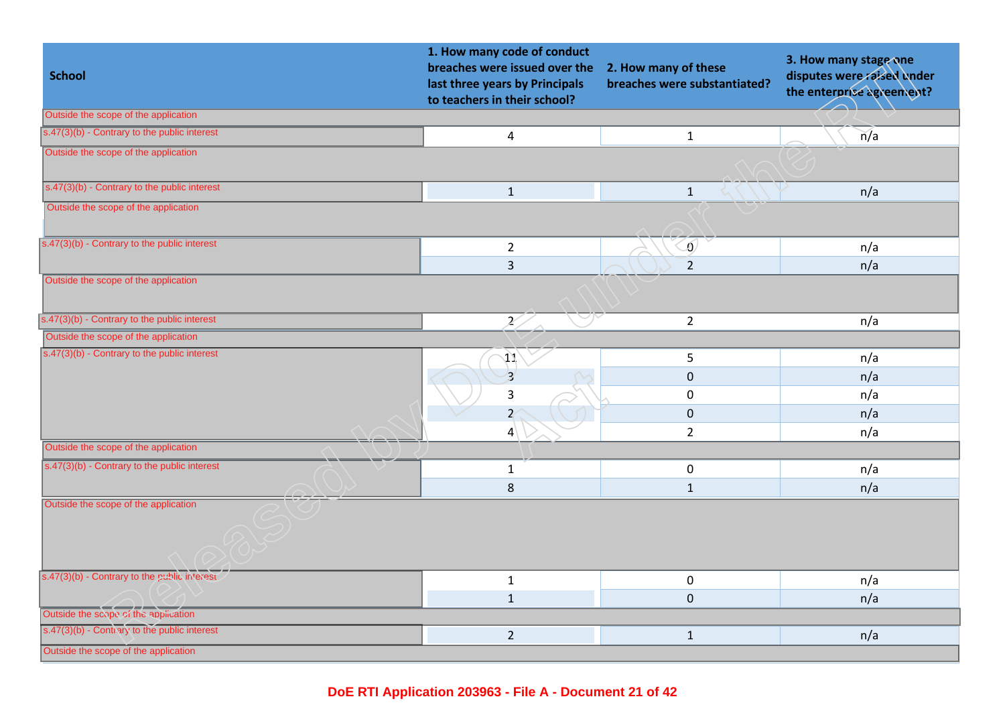| <b>School</b>                                         | 1. How many code of conduct<br>breaches were issued over the<br>last three years by Principals<br>to teachers in their school? | 2. How many of these<br>breaches were substantiated? | 3. How many stage one<br>disputes were raised under<br>the enterprise agreement? |
|-------------------------------------------------------|--------------------------------------------------------------------------------------------------------------------------------|------------------------------------------------------|----------------------------------------------------------------------------------|
| Outside the scope of the application                  |                                                                                                                                |                                                      |                                                                                  |
| $\sqrt{(s.47(3)(b) -$ Contrary to the public interest | $\pmb{4}$                                                                                                                      | $\mathbf{1}$                                         | n/a                                                                              |
| Outside the scope of the application                  |                                                                                                                                |                                                      |                                                                                  |
| $s.47(3)(b)$ - Contrary to the public interest        | $\mathbf{1}$                                                                                                                   | $\mathbf{1}$                                         | n/a                                                                              |
| Outside the scope of the application                  |                                                                                                                                |                                                      |                                                                                  |
| s.47(3)(b) - Contrary to the public interest          | $\overline{2}$                                                                                                                 | $\omega$                                             | n/a                                                                              |
|                                                       | $\overline{3}$                                                                                                                 | $\overline{2}$                                       | n/a                                                                              |
| Outside the scope of the application                  |                                                                                                                                |                                                      |                                                                                  |
| s.47(3)(b) - Contrary to the public interest          | 27                                                                                                                             | $\overline{2}$                                       | n/a                                                                              |
| Outside the scope of the application                  |                                                                                                                                |                                                      |                                                                                  |
| $s.47(3)(b)$ - Contrary to the public interest        | 41                                                                                                                             | 5                                                    | n/a                                                                              |
|                                                       | $\overline{\mathbf{3}}$                                                                                                        | $\mathbf 0$                                          | n/a                                                                              |
|                                                       | 3                                                                                                                              | $\pmb{0}$                                            | n/a                                                                              |
|                                                       | $\overline{z}$                                                                                                                 | $\pmb{0}$                                            | n/a                                                                              |
|                                                       | 4                                                                                                                              | $\overline{2}$                                       | n/a                                                                              |
| Outside the scope of the application                  |                                                                                                                                |                                                      |                                                                                  |
| $s.47(3)(b)$ - Contrary to the public interest        | $\mathbf{1}$                                                                                                                   | $\mathbf 0$                                          | n/a                                                                              |
|                                                       | $\bf 8$                                                                                                                        | $\mathbf{1}$                                         | n/a                                                                              |
| Outside the scope of the application                  |                                                                                                                                |                                                      |                                                                                  |
| s.47(3)(b) - Contrary to the public interest          | $\mathbf 1$                                                                                                                    | $\pmb{0}$                                            | n/a                                                                              |
|                                                       | $\mathbf{1}$                                                                                                                   | $\pmb{0}$                                            | n/a                                                                              |
| Outside the scope of the application                  |                                                                                                                                |                                                      |                                                                                  |
| s.47(3)(b) - Contrary to the public interest          | $\overline{2}$                                                                                                                 | $\mathbf{1}$                                         | n/a                                                                              |
| Outside the scope of the application                  |                                                                                                                                |                                                      |                                                                                  |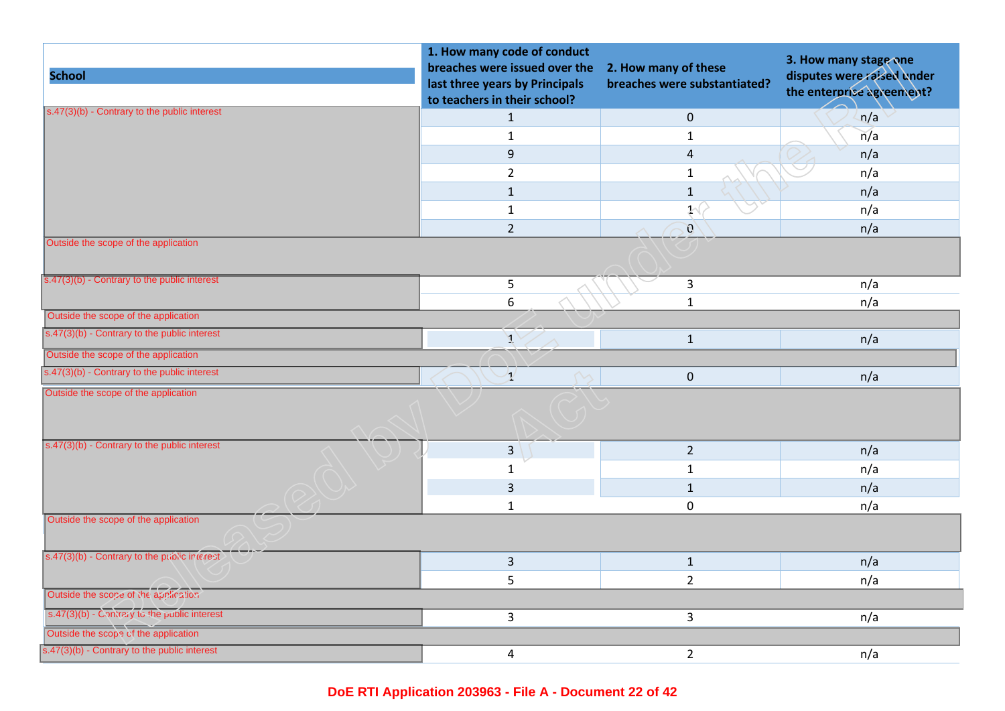| <b>School</b>                                  | 1. How many code of conduct<br>breaches were issued over the<br>last three years by Principals<br>to teachers in their school? | 2. How many of these<br>breaches were substantiated? | 3. How many stage one<br>disputes were raised under<br>the enterprise agreement? |
|------------------------------------------------|--------------------------------------------------------------------------------------------------------------------------------|------------------------------------------------------|----------------------------------------------------------------------------------|
| s.47(3)(b) - Contrary to the public interest   | $\mathbf{1}$                                                                                                                   | $\mathbf 0$                                          | n/a                                                                              |
|                                                | $\mathbf{1}$                                                                                                                   | $1\,$                                                | n/a                                                                              |
|                                                | $9\,$                                                                                                                          | $\overline{4}$                                       | n/a                                                                              |
|                                                | $\overline{2}$                                                                                                                 | $1\,$                                                | n/a                                                                              |
|                                                | $\mathbf{1}$                                                                                                                   | $\mathbf{1}$                                         | n/a                                                                              |
|                                                | $\mathbf{1}$                                                                                                                   | $\mathcal{Y}^{\langle}$                              | n/a                                                                              |
|                                                | $\overline{2}$                                                                                                                 | $\mathcal{O}$                                        | n/a                                                                              |
| Outside the scope of the application           |                                                                                                                                |                                                      |                                                                                  |
| s.47(3)(b) - Contrary to the public interest   | 5                                                                                                                              | $\mathbf{3}$                                         | n/a                                                                              |
|                                                | $\boldsymbol{6}$                                                                                                               | $\mathbf{1}$                                         | n/a                                                                              |
| Outside the scope of the application           |                                                                                                                                |                                                      |                                                                                  |
| s.47(3)(b) - Contrary to the public interest   | $\mathcal{J}_{\mathcal{A}}$                                                                                                    | $\mathbf{1}$                                         | n/a                                                                              |
| Outside the scope of the application           |                                                                                                                                |                                                      |                                                                                  |
| s.47(3)(b) - Contrary to the public interest   | $\mathcal{I}$                                                                                                                  | $\mathbf{0}$                                         | n/a                                                                              |
| Outside the scope of the application           |                                                                                                                                |                                                      |                                                                                  |
| $s.47(3)(b)$ - Contrary to the public interest | $\overline{3}$                                                                                                                 | $\overline{2}$                                       | n/a                                                                              |
|                                                | 1                                                                                                                              | $\mathbf{1}$                                         | n/a                                                                              |
|                                                | 3                                                                                                                              | $\mathbf{1}$                                         | n/a                                                                              |
|                                                | $\mathbf{1}$                                                                                                                   | $\mathbf 0$                                          | n/a                                                                              |
| Outside the scope of the application           |                                                                                                                                |                                                      |                                                                                  |
| s.47(3)(b) - Contrary to the public interest   | $\overline{3}$                                                                                                                 | $\mathbf{1}$                                         | n/a                                                                              |
|                                                | 5                                                                                                                              | $\overline{2}$                                       | n/a                                                                              |
| Outside the scope of the application           |                                                                                                                                |                                                      |                                                                                  |
| s.47(3)(b) - Contrary to the public interest   | $\overline{\mathbf{3}}$                                                                                                        | $\mathbf{3}$                                         | n/a                                                                              |
| Outside the scope of the application           |                                                                                                                                |                                                      |                                                                                  |
| s.47(3)(b) - Contrary to the public interest   | $\overline{a}$                                                                                                                 | $\overline{2}$                                       | n/a                                                                              |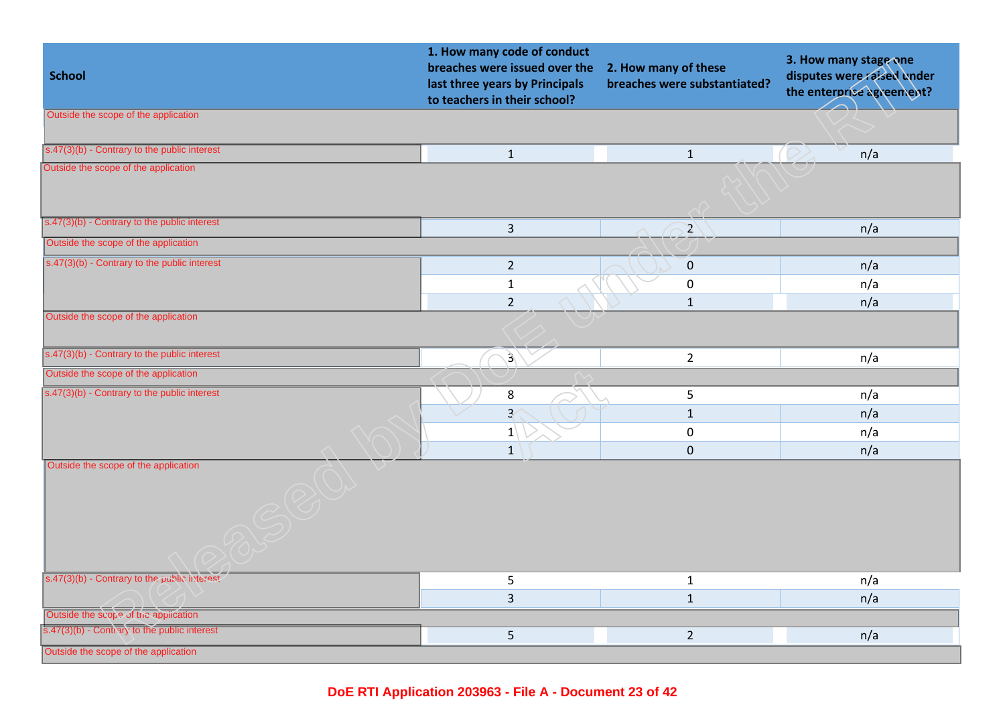| <b>School</b>                                             | 1. How many code of conduct<br>breaches were issued over the<br>last three years by Principals<br>to teachers in their school? | 2. How many of these<br>breaches were substantiated? | 3. How many stage one<br>disputes were raised under<br>the enterprise agreement? |
|-----------------------------------------------------------|--------------------------------------------------------------------------------------------------------------------------------|------------------------------------------------------|----------------------------------------------------------------------------------|
| Outside the scope of the application                      |                                                                                                                                |                                                      |                                                                                  |
| s.47(3)(b) - Contrary to the public interest              | $\mathbf{1}$                                                                                                                   | $\mathbf{1}$                                         | n/a                                                                              |
| Outside the scope of the application                      |                                                                                                                                |                                                      |                                                                                  |
| s.47(3)(b) - Contrary to the public interest              | $\overline{3}$                                                                                                                 | $\mathbf{Z}$                                         | n/a                                                                              |
| Outside the scope of the application                      |                                                                                                                                |                                                      |                                                                                  |
| s.47(3)(b) - Contrary to the public interest              | $\overline{2}$                                                                                                                 | $\pmb{0}$                                            | n/a                                                                              |
|                                                           | $\mathbf{1}$                                                                                                                   | $\mathbf 0$                                          | n/a                                                                              |
|                                                           | $\overline{2}$                                                                                                                 | $\mathbf{1}$                                         | n/a                                                                              |
| Outside the scope of the application                      |                                                                                                                                |                                                      |                                                                                  |
| s.47(3)(b) - Contrary to the public interest              | $\mathfrak{Z}$                                                                                                                 | $\overline{2}$                                       | n/a                                                                              |
| Outside the scope of the application                      |                                                                                                                                |                                                      |                                                                                  |
| $\overline{s.47(3)(b)}$ - Contrary to the public interest | 8                                                                                                                              | 5                                                    | n/a                                                                              |
|                                                           | $\overline{3}$                                                                                                                 | $\mathbf{1}$                                         | n/a                                                                              |
|                                                           | 1                                                                                                                              | 0                                                    | n/a                                                                              |
|                                                           | $\mathbf{1}$                                                                                                                   | $\pmb{0}$                                            | n/a                                                                              |
| Outside the scope of the application                      |                                                                                                                                |                                                      |                                                                                  |
| s.47(3)(b) - Contrary to the public interest              | 5                                                                                                                              | $\mathbf{1}$                                         | n/a                                                                              |
|                                                           | $\overline{3}$                                                                                                                 | $\mathbf{1}$                                         | n/a                                                                              |
| Outside the scope of the application                      |                                                                                                                                |                                                      |                                                                                  |
| s.47(3)(b) - Contrary to the public interest              | 5                                                                                                                              | $\overline{2}$                                       | n/a                                                                              |
| Outside the scope of the application                      |                                                                                                                                |                                                      |                                                                                  |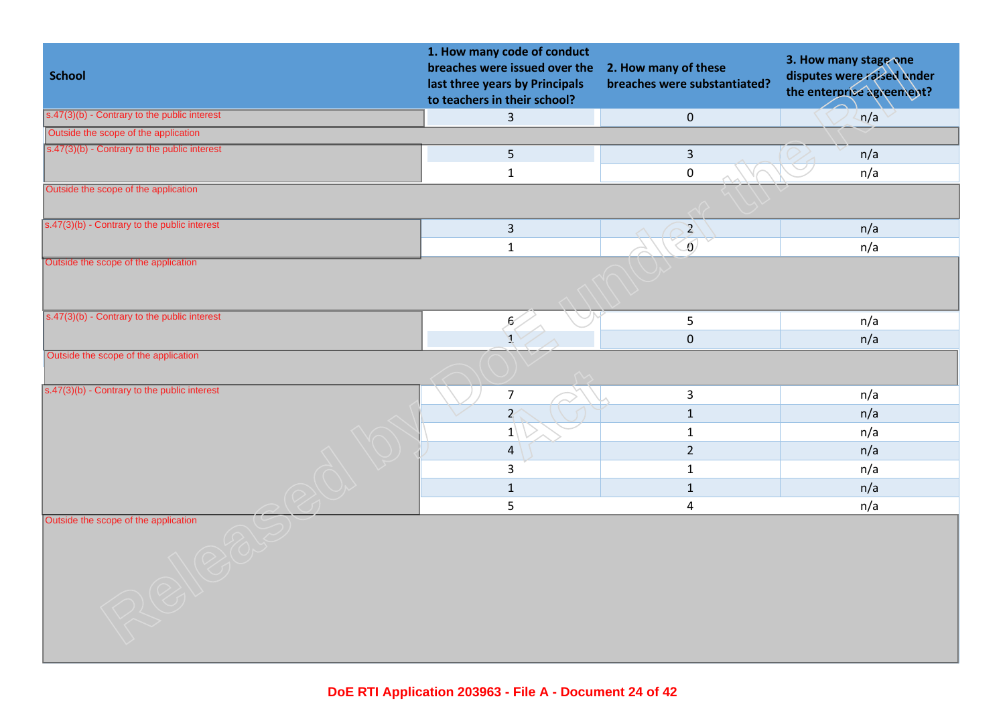| <b>School</b>                                  | 1. How many code of conduct<br>breaches were issued over the<br>last three years by Principals<br>to teachers in their school? | 2. How many of these<br>breaches were substantiated? | 3. How many stage one<br>disputes were raised under<br>the enterprise agreement? |
|------------------------------------------------|--------------------------------------------------------------------------------------------------------------------------------|------------------------------------------------------|----------------------------------------------------------------------------------|
| s.47(3)(b) - Contrary to the public interest   | $\overline{3}$                                                                                                                 | $\pmb{0}$                                            | n/a                                                                              |
| Outside the scope of the application           |                                                                                                                                |                                                      |                                                                                  |
| s.47(3)(b) - Contrary to the public interest   | 5                                                                                                                              | $\mathsf{3}$                                         | n/a                                                                              |
|                                                | $\mathbf{1}$                                                                                                                   | $\mathbf 0$                                          | n/a                                                                              |
| Outside the scope of the application           |                                                                                                                                |                                                      |                                                                                  |
| s.47(3)(b) - Contrary to the public interest   | $\overline{3}$                                                                                                                 | $\mathbf{Z}^{\prime}$                                | n/a                                                                              |
|                                                | $\mathbf 1$                                                                                                                    | $\overline{0}$                                       | n/a                                                                              |
| Outside the scope of the application           |                                                                                                                                |                                                      |                                                                                  |
| s.47(3)(b) - Contrary to the public interest   | $\mathcal{E}$                                                                                                                  | $5\phantom{.}$                                       | n/a                                                                              |
|                                                |                                                                                                                                | $\pmb{0}$                                            | n/a                                                                              |
| Outside the scope of the application           |                                                                                                                                |                                                      |                                                                                  |
| $s.47(3)(b)$ - Contrary to the public interest | $\overline{7}$                                                                                                                 | $\mathbf{3}$                                         | n/a                                                                              |
|                                                | $\overline{z}$                                                                                                                 | $\mathbf{1}$                                         | n/a                                                                              |
|                                                | $ 1\rangle$                                                                                                                    | $\mathbf 1$                                          | n/a                                                                              |
|                                                | $\overline{4}$                                                                                                                 | $\overline{2}$                                       | n/a                                                                              |
|                                                | $\overline{3}$                                                                                                                 | $\mathbf{1}$                                         | n/a                                                                              |
|                                                | $\mathbf{1}$                                                                                                                   | $\mathbf{1}$                                         | n/a                                                                              |
|                                                | 5                                                                                                                              | 4                                                    | n/a                                                                              |
| Outside the scope of the application           |                                                                                                                                |                                                      |                                                                                  |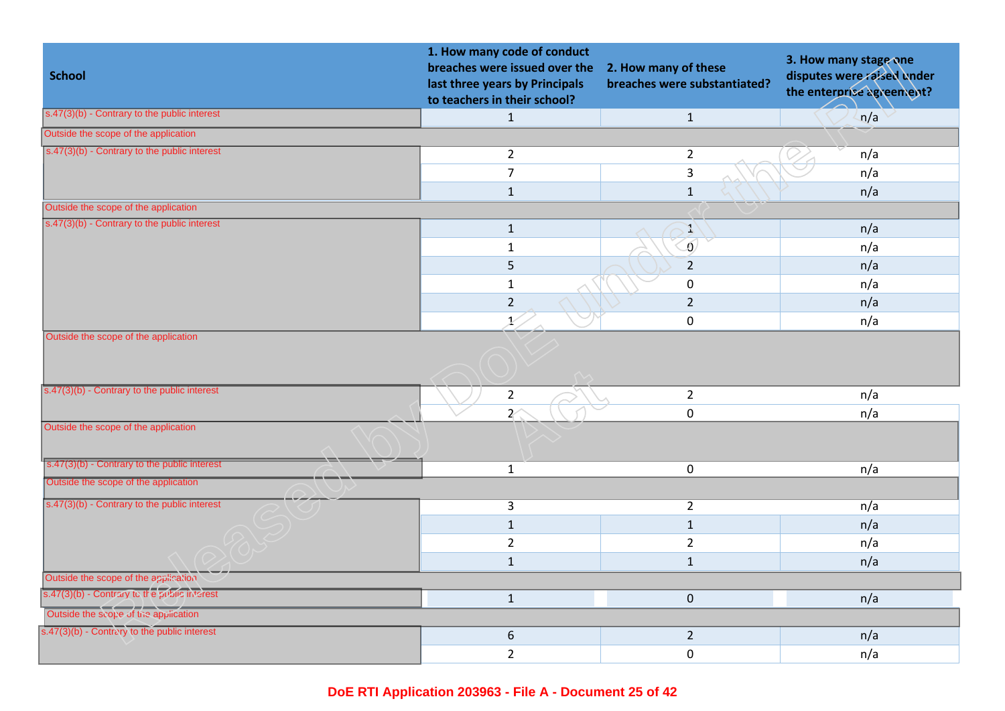| <b>School</b>                                         | 1. How many code of conduct<br>breaches were issued over the<br>last three years by Principals<br>to teachers in their school? | 2. How many of these<br>breaches were substantiated? | 3. How many stage one<br>disputes were raised under<br>the enterprise agreement? |
|-------------------------------------------------------|--------------------------------------------------------------------------------------------------------------------------------|------------------------------------------------------|----------------------------------------------------------------------------------|
| $s.47(3)(b)$ - Contrary to the public interest        | $\mathbf{1}$                                                                                                                   | $\mathbf{1}$                                         | n/a                                                                              |
| Outside the scope of the application                  |                                                                                                                                |                                                      |                                                                                  |
| $\sqrt{(s.47(3)(b) -$ Contrary to the public interest | $\overline{2}$                                                                                                                 | $\overline{2}$                                       | n/a                                                                              |
|                                                       | $\overline{7}$                                                                                                                 | $\mathsf{3}$                                         | n/a                                                                              |
|                                                       | $\mathbf{1}$                                                                                                                   | $1\,$                                                | n/a                                                                              |
| Outside the scope of the application                  |                                                                                                                                |                                                      |                                                                                  |
| s.47(3)(b) - Contrary to the public interest          | $\mathbf{1}$                                                                                                                   | X                                                    | n/a                                                                              |
|                                                       | $\mathbf{1}$                                                                                                                   | $\delta$                                             | n/a                                                                              |
|                                                       | 5                                                                                                                              | $\overline{2}$                                       | n/a                                                                              |
|                                                       | $\mathbf{1}$                                                                                                                   | $\mathbf 0$                                          | n/a                                                                              |
|                                                       | $\overline{2}$                                                                                                                 | $\overline{2}$                                       | n/a                                                                              |
|                                                       | X.                                                                                                                             | $\mathbf 0$                                          | n/a                                                                              |
| Outside the scope of the application                  |                                                                                                                                |                                                      |                                                                                  |
| s.47(3)(b) - Contrary to the public interest          | $\overline{2}$                                                                                                                 | $\overline{2}$                                       | n/a                                                                              |
|                                                       | $\overline{z}$                                                                                                                 | $\mathbf 0$                                          | n/a                                                                              |
| Outside the scope of the application                  |                                                                                                                                |                                                      |                                                                                  |
| s.47(3)(b) - Contrary to the public interest          | $\mathbf{1}$                                                                                                                   | $\mathbf 0$                                          | n/a                                                                              |
| Outside the scope of the application                  |                                                                                                                                |                                                      |                                                                                  |
| s.47(3)(b) - Contrary to the public interest          | $\overline{3}$                                                                                                                 | $\overline{2}$                                       | n/a                                                                              |
|                                                       | $\mathbf{1}$                                                                                                                   | $\mathbf{1}$                                         | n/a                                                                              |
|                                                       | $\overline{2}$                                                                                                                 | $\overline{2}$                                       | n/a                                                                              |
|                                                       | $\mathbf{1}$                                                                                                                   | $\mathbf{1}$                                         | n/a                                                                              |
| Outside the scope of the application                  |                                                                                                                                |                                                      |                                                                                  |
| s.47(3)(b) - Contrary in the public interest          | $\mathbf{1}$                                                                                                                   | $\mathbf 0$                                          | n/a                                                                              |
| Outside the scope of the application                  |                                                                                                                                |                                                      |                                                                                  |
| s.47(3)(b) - Contrary to the public interest          | $\boldsymbol{6}$                                                                                                               | $\overline{2}$                                       | n/a                                                                              |
|                                                       | $\overline{2}$                                                                                                                 | $\mathbf 0$                                          | n/a                                                                              |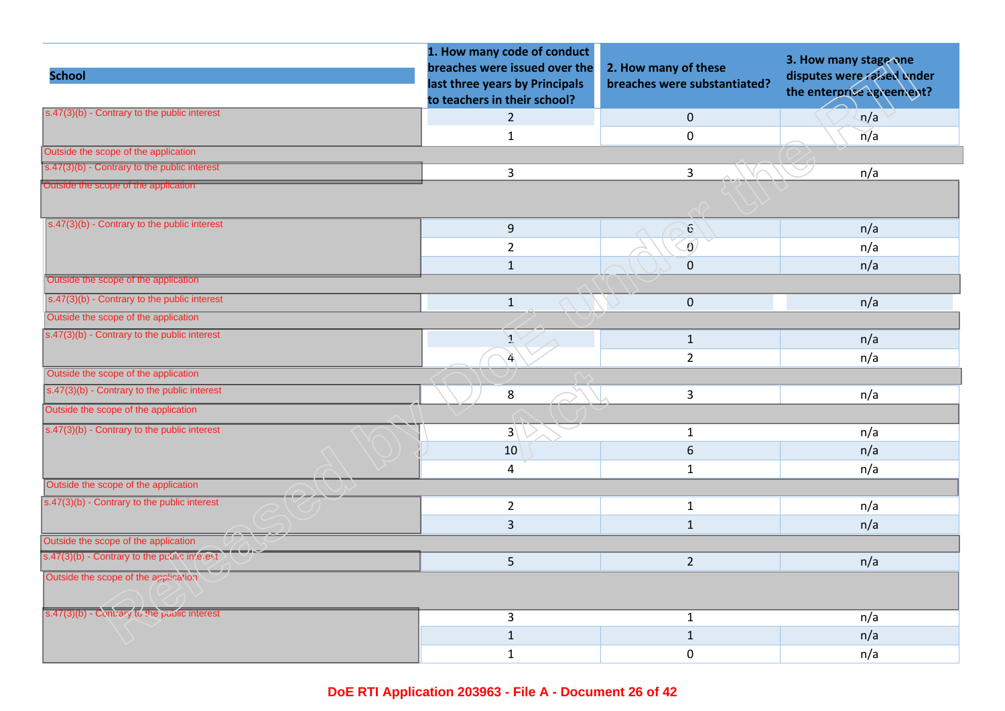| <b>School</b>                                         | 1. How many code of conduct<br>breaches were issued over the<br>last three years by Principals | 2. How many of these<br>breaches were substantiated? | 3. How many stage one<br>disputes were raised under<br>the enterprise agreement? |
|-------------------------------------------------------|------------------------------------------------------------------------------------------------|------------------------------------------------------|----------------------------------------------------------------------------------|
|                                                       | to teachers in their school?                                                                   |                                                      |                                                                                  |
| $s.47(3)(b)$ - Contrary to the public interest        | $\overline{2}$                                                                                 | $\mathbf 0$                                          | n/a                                                                              |
|                                                       | $\mathbf 1$                                                                                    | $\mathbf 0$                                          | n/a                                                                              |
| Outside the scope of the application                  |                                                                                                |                                                      |                                                                                  |
| $s.47(3)(b)$ - Contrary to the public interest        | 3                                                                                              | $\overline{3}$                                       | n/a                                                                              |
| Outside the scope of the application                  |                                                                                                |                                                      |                                                                                  |
| $s.47(3)(b)$ - Contrary to the public interest        | 9                                                                                              | 6                                                    | n/a                                                                              |
|                                                       | $\overline{2}$                                                                                 | $\overline{0}$                                       | n/a                                                                              |
|                                                       | $\mathbf{1}$                                                                                   | $\mathbf 0$                                          | n/a                                                                              |
| Outside the scope of the application                  |                                                                                                |                                                      |                                                                                  |
| $s.47(3)(b)$ - Contrary to the public interest        | $\mathbf{1}$                                                                                   | $\mathbf 0$                                          | n/a                                                                              |
| Outside the scope of the application                  |                                                                                                |                                                      |                                                                                  |
| $s.47(3)(b)$ - Contrary to the public interest        | Y                                                                                              | $\mathbf{1}$                                         | n/a                                                                              |
|                                                       | $\mathbf{A}$                                                                                   | $\overline{2}$                                       | n/a                                                                              |
| Outside the scope of the application                  |                                                                                                |                                                      |                                                                                  |
| $\sqrt{(s.47(3)(b) -$ Contrary to the public interest | $\bf 8$                                                                                        | 3                                                    | n/a                                                                              |
| Outside the scope of the application                  |                                                                                                |                                                      |                                                                                  |
| $s.47(3)(b)$ - Contrary to the public interest        | $3\sqrt{ }$                                                                                    | $\mathbf{1}$                                         | n/a                                                                              |
|                                                       | 10                                                                                             | $\sqrt{6}$                                           | n/a                                                                              |
|                                                       | 4                                                                                              | $1\,$                                                | n/a                                                                              |
| Outside the scope of the application                  |                                                                                                |                                                      |                                                                                  |
| $s.47(3)(b)$ - Contrary to the public interest        | $\overline{2}$                                                                                 | $\mathbf{1}$                                         | n/a                                                                              |
|                                                       | 3                                                                                              | $\mathbf{1}$                                         | n/a                                                                              |
| Outside the scope of the application                  |                                                                                                |                                                      |                                                                                  |
| s.47(3)(b) - Contrary to the public interest          | 5                                                                                              | $\overline{2}$                                       | n/a                                                                              |
| Outside the scope of the application                  |                                                                                                |                                                      |                                                                                  |
|                                                       |                                                                                                |                                                      |                                                                                  |
| s.47(3)(b) - Contrary to the public interest          | 3                                                                                              | $\mathbf{1}$                                         | n/a                                                                              |
|                                                       | $\mathbf 1$                                                                                    | $\mathbf{1}$                                         | n/a                                                                              |
|                                                       | $\mathbf{1}$                                                                                   | $\mathbf 0$                                          | n/a                                                                              |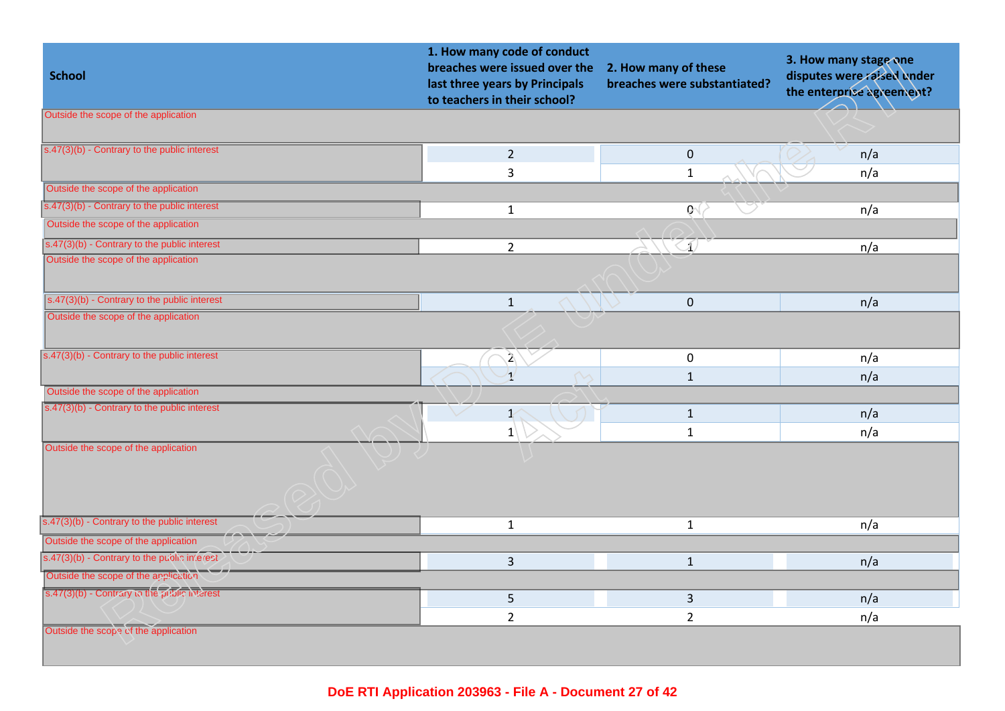| <b>School</b>                                                   | 1. How many code of conduct<br>breaches were issued over the<br>last three years by Principals<br>to teachers in their school? | 2. How many of these<br>breaches were substantiated? | 3. How many stage one<br>disputes were raised under<br>the enterprise agreement? |
|-----------------------------------------------------------------|--------------------------------------------------------------------------------------------------------------------------------|------------------------------------------------------|----------------------------------------------------------------------------------|
| Outside the scope of the application                            |                                                                                                                                |                                                      |                                                                                  |
| $s.47(3)(b)$ - Contrary to the public interest                  | $2^{\circ}$                                                                                                                    | $\mathbf{0}$                                         | n/a                                                                              |
|                                                                 | 3                                                                                                                              | $\mathbf{1}$                                         | n/a                                                                              |
| Outside the scope of the application                            |                                                                                                                                |                                                      |                                                                                  |
| $\sqrt{\frac{1}{5.47(3)(b)}}$ - Contrary to the public interest | $\mathbf{1}$                                                                                                                   | $\mathfrak{g}$                                       | n/a                                                                              |
| Outside the scope of the application                            |                                                                                                                                |                                                      |                                                                                  |
| $\sqrt{(s.47(3)(b) -$ Contrary to the public interest           | $\overline{2}$                                                                                                                 | $\textcircled{\scriptsize{1}}$                       | n/a                                                                              |
| Outside the scope of the application                            |                                                                                                                                |                                                      |                                                                                  |
| s.47(3)(b) - Contrary to the public interest                    | $\mathbf 1$                                                                                                                    | $\mathbf 0$                                          | n/a                                                                              |
| Outside the scope of the application                            |                                                                                                                                |                                                      |                                                                                  |
| $s.47(3)(b)$ - Contrary to the public interest                  | $\mathbf{A}$                                                                                                                   | $\mathbf 0$                                          | n/a                                                                              |
|                                                                 | $\mathbf{1}^{\prime}$                                                                                                          | $\mathbf{1}$                                         | n/a                                                                              |
| Outside the scope of the application                            |                                                                                                                                |                                                      |                                                                                  |
| $\overline{s}$ .47(3)(b) - Contrary to the public interest      | $\bigvee$<br>$\mathbf{1}^{\prime}$                                                                                             | $\mathbf 1$                                          | n/a                                                                              |
|                                                                 | $1 \vert$                                                                                                                      | $\mathbf{1}$                                         | n/a                                                                              |
| Outside the scope of the application                            |                                                                                                                                |                                                      |                                                                                  |
| s.47(3)(b) - Contrary to the public interest                    | $\mathbf{1}$                                                                                                                   | $\mathbf{1}$                                         | n/a                                                                              |
| Outside the scope of the application                            |                                                                                                                                |                                                      |                                                                                  |
| s.47(3)(b) - Contrary to the public interest                    | $\overline{3}$                                                                                                                 | $\mathbf{1}$                                         | n/a                                                                              |
| Outside the scope of the application                            |                                                                                                                                |                                                      |                                                                                  |
| s.47(3)(b) - Contrary to the public interest                    | 5                                                                                                                              | $\overline{3}$                                       | n/a                                                                              |
|                                                                 | $\overline{2}$                                                                                                                 | $\overline{2}$                                       | n/a                                                                              |
| Outside the scope of the application                            |                                                                                                                                |                                                      |                                                                                  |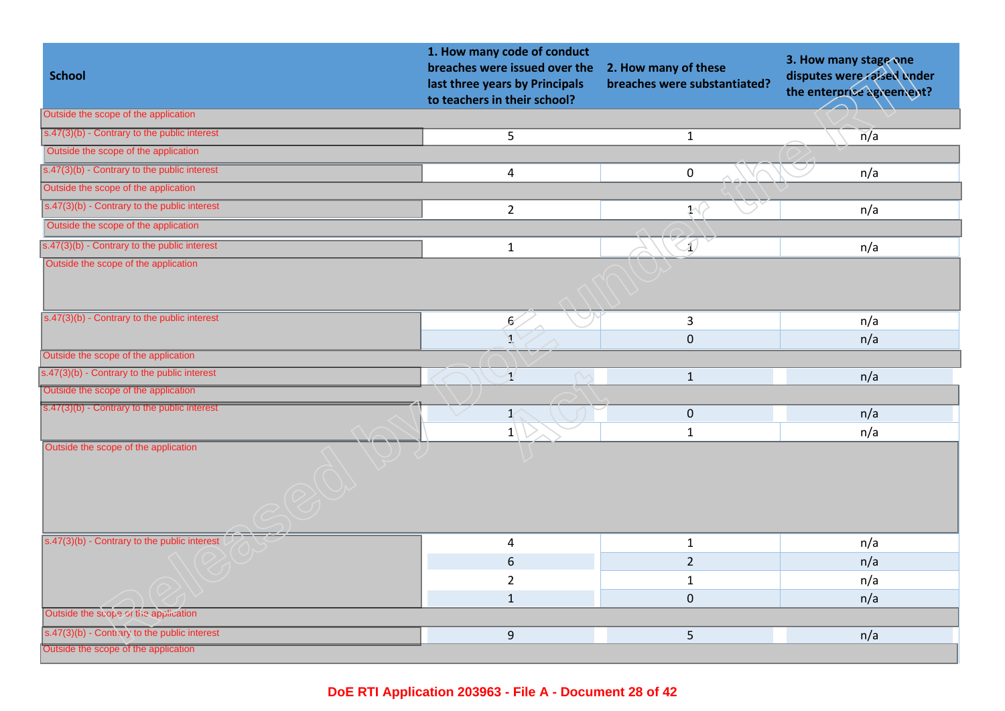| <b>School</b>                                                | 1. How many code of conduct<br>breaches were issued over the<br>last three years by Principals<br>to teachers in their school? | 2. How many of these<br>breaches were substantiated? | 3. How many stage one<br>disputes were raised under<br>the enterprise agreement? |
|--------------------------------------------------------------|--------------------------------------------------------------------------------------------------------------------------------|------------------------------------------------------|----------------------------------------------------------------------------------|
| Outside the scope of the application                         |                                                                                                                                |                                                      |                                                                                  |
| s.47(3)(b) - Contrary to the public interest                 | $\overline{5}$                                                                                                                 | $\mathbf{1}$                                         | $\overline{n}/a$                                                                 |
| Outside the scope of the application                         |                                                                                                                                |                                                      |                                                                                  |
| $\overline{s.47(3)(b)}$ - Contrary to the public interest    | $\overline{\mathbf{4}}$                                                                                                        | $\mathbf 0$                                          | n/a                                                                              |
| Outside the scope of the application                         |                                                                                                                                |                                                      |                                                                                  |
| $s.47(3)(b)$ - Contrary to the public interest               | $\overline{2}$                                                                                                                 | $\mathcal{Y}(\mathcal{X})$                           | n/a                                                                              |
| Outside the scope of the application                         |                                                                                                                                |                                                      |                                                                                  |
| s.47(3)(b) - Contrary to the public interest                 | $\mathbf 1$                                                                                                                    | $\oslash$                                            | n/a                                                                              |
| Outside the scope of the application                         |                                                                                                                                |                                                      |                                                                                  |
| $s.47(3)(b)$ - Contrary to the public interest               |                                                                                                                                |                                                      |                                                                                  |
|                                                              | $\mathcal{E}$                                                                                                                  | $\mathsf{3}$                                         | n/a                                                                              |
| Outside the scope of the application                         |                                                                                                                                | $\mathbf 0$                                          | n/a                                                                              |
| s.47(3)(b) - Contrary to the public interest                 |                                                                                                                                |                                                      |                                                                                  |
| Outside the scope of the application                         | $\mathbf{1}$                                                                                                                   | $\mathbf{1}$                                         | n/a                                                                              |
| $\boxed{\text{s.47(3)(b)}$ - Contrary to the public interest |                                                                                                                                |                                                      |                                                                                  |
|                                                              | $\mathbf{1}$                                                                                                                   | $\mathbf 0$                                          | n/a                                                                              |
| Outside the scope of the application                         | $ 1\rangle$                                                                                                                    | $\mathbf{1}$                                         | n/a                                                                              |
|                                                              |                                                                                                                                |                                                      |                                                                                  |
| $s.47(3)(b)$ - Contrary to the public interest               | $\overline{4}$                                                                                                                 | $\mathbf{1}$                                         | n/a                                                                              |
|                                                              | $6\,$                                                                                                                          | $\overline{2}$                                       | n/a                                                                              |
|                                                              | $\overline{2}$                                                                                                                 | $\mathbf{1}$                                         | n/a                                                                              |
|                                                              | $\mathbf{1}$                                                                                                                   | $\bf 0$                                              | n/a                                                                              |
| Outside the scope of the application                         |                                                                                                                                |                                                      |                                                                                  |
| s.47(3)(b) - Contrary to the public interest                 | 9                                                                                                                              | 5                                                    | n/a                                                                              |
| Outside the scope of the application                         |                                                                                                                                |                                                      |                                                                                  |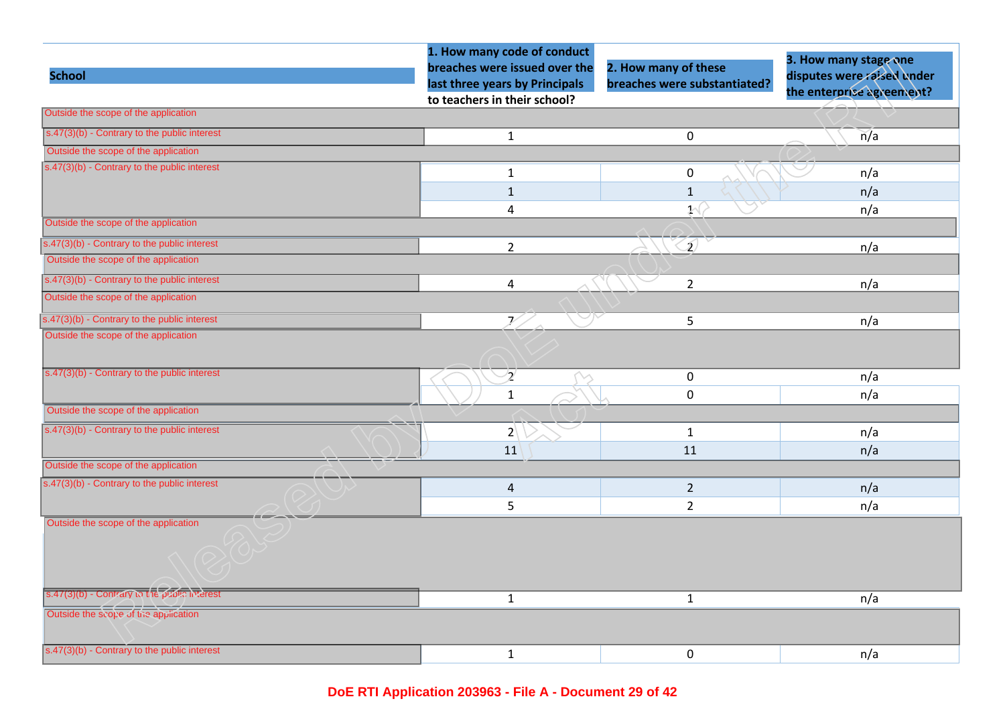|                                                           | 1. How many code of conduct<br>breaches were issued over the   | 2. How many of these         | 3. How many stage one                                   |
|-----------------------------------------------------------|----------------------------------------------------------------|------------------------------|---------------------------------------------------------|
| <b>School</b>                                             | last three years by Principals<br>to teachers in their school? | breaches were substantiated? | disputes were raised under<br>the enterprise agreement? |
| Outside the scope of the application                      |                                                                |                              |                                                         |
| $s.47(3)(b)$ - Contrary to the public interest            | $\mathbf{1}$                                                   | $\mathbf 0$                  | n/a                                                     |
| Outside the scope of the application                      |                                                                |                              |                                                         |
| $\overline{s.47(3)(b)}$ - Contrary to the public interest | $\mathbf{1}$                                                   | $\pmb{0}$                    | n/a                                                     |
|                                                           | $\mathbf{1}$                                                   | $\mathbf{1}$                 | n/a                                                     |
|                                                           | 4                                                              | $\mathcal{Y}(\mathcal{X})$   | n/a                                                     |
| Outside the scope of the application                      |                                                                |                              |                                                         |
| s.47(3)(b) - Contrary to the public interest              | $\overline{2}$                                                 | S)                           | n/a                                                     |
| Outside the scope of the application                      |                                                                |                              |                                                         |
| $s.47(3)(b)$ - Contrary to the public interest            | $\overline{4}$                                                 | $\overline{2}$               | n/a                                                     |
| Outside the scope of the application                      |                                                                |                              |                                                         |
| s.47(3)(b) - Contrary to the public interest              | 7                                                              | 5                            | n/a                                                     |
| Outside the scope of the application                      |                                                                |                              |                                                         |
| s.47(3)(b) - Contrary to the public interest              | $\overline{2}$                                                 | $\mathbf 0$                  | n/a                                                     |
|                                                           | $\mathbf{1}$                                                   | $\mathsf 0$                  | n/a                                                     |
| Outside the scope of the application                      |                                                                |                              |                                                         |
| $s.47(3)(b)$ - Contrary to the public interest            | $2\sqrt{ }$                                                    | $\mathbf{1}$                 | n/a                                                     |
|                                                           | 11                                                             | 11                           | n/a                                                     |
| Outside the scope of the application                      |                                                                |                              |                                                         |
| $s.47(3)(b)$ - Contrary to the public interest            | $\overline{4}$                                                 | $\overline{2}$               | n/a                                                     |
|                                                           | 5                                                              | $\overline{2}$               | n/a                                                     |
| Outside the scope of the application                      |                                                                |                              |                                                         |
| s.47(3)(b) - Contrary to the public interest              | $\mathbf{1}$                                                   | $\mathbf{1}$                 | n/a                                                     |
| Outside the scope of the application                      |                                                                |                              |                                                         |
| $s.47(3)(b)$ - Contrary to the public interest            | $\mathbf{1}$                                                   | $\mathbf 0$                  | n/a                                                     |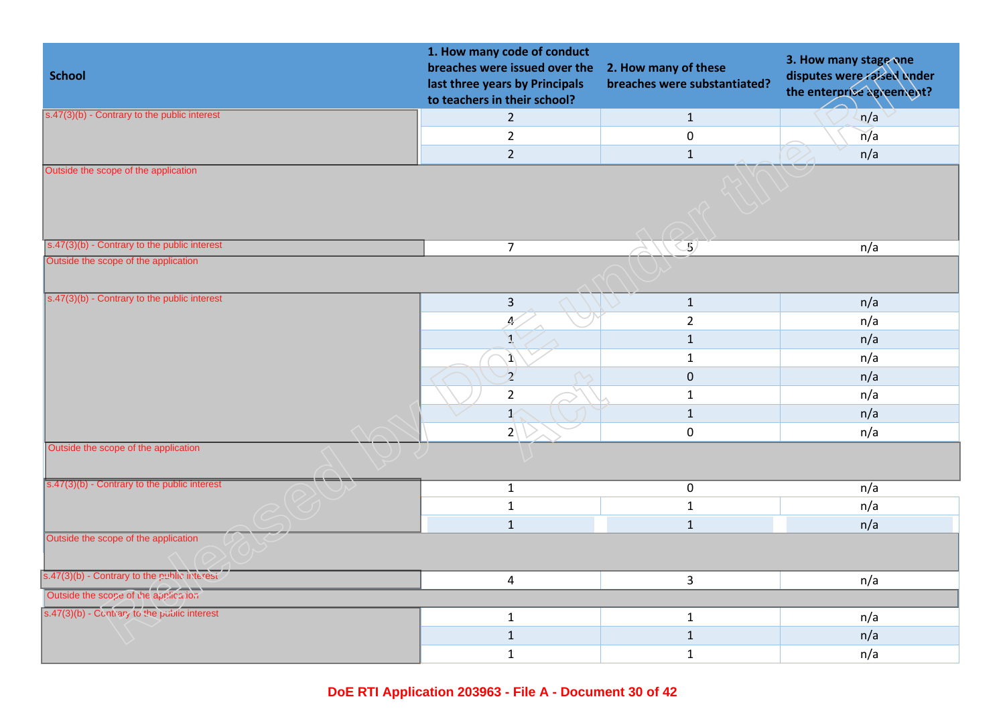| <b>School</b>                                         | 1. How many code of conduct<br>breaches were issued over the<br>last three years by Principals<br>to teachers in their school? | 2. How many of these<br>breaches were substantiated? | 3. How many stage one<br>disputes were raised under<br>the enterprise agreement? |
|-------------------------------------------------------|--------------------------------------------------------------------------------------------------------------------------------|------------------------------------------------------|----------------------------------------------------------------------------------|
| s.47(3)(b) - Contrary to the public interest          | $\overline{2}$                                                                                                                 | $\mathbf{1}$                                         | n/a                                                                              |
|                                                       | $\overline{2}$                                                                                                                 | $\pmb{0}$                                            | n/a                                                                              |
|                                                       | $\overline{2}$                                                                                                                 | $\mathbf{1}$                                         | n/a                                                                              |
| Outside the scope of the application                  |                                                                                                                                |                                                      |                                                                                  |
| s.47(3)(b) - Contrary to the public interest          | $\overline{7}$                                                                                                                 | $\oslash 5$                                          | n/a                                                                              |
| Outside the scope of the application                  |                                                                                                                                |                                                      |                                                                                  |
| $s.47(3)(b)$ - Contrary to the public interest        | $\overline{\mathbf{3}}$                                                                                                        | $\mathbf{1}$                                         | n/a                                                                              |
|                                                       | 4                                                                                                                              | $\overline{2}$                                       | n/a                                                                              |
|                                                       | Ā                                                                                                                              | $\mathbf{1}$                                         | n/a                                                                              |
|                                                       | $\mathbf{1}$                                                                                                                   | $\mathbf 1$                                          | n/a                                                                              |
|                                                       | $\overline{2}$                                                                                                                 | $\mathbf 0$                                          | n/a                                                                              |
|                                                       | $\overline{2}$                                                                                                                 | $1\,$                                                | n/a                                                                              |
|                                                       | $\mathbf{1}^{\prime}$                                                                                                          | $\mathbf{1}$                                         | n/a                                                                              |
|                                                       | $2\sqrt{ }$                                                                                                                    | $\mathbf 0$                                          | n/a                                                                              |
| Outside the scope of the application                  |                                                                                                                                |                                                      |                                                                                  |
| $\sqrt{(s.47(3)(b) -$ Contrary to the public interest | $\mathbf{1}$                                                                                                                   | $\overline{0}$                                       | n/a                                                                              |
|                                                       | $\mathbf 1$                                                                                                                    | $\mathbf 1$                                          | n/a                                                                              |
|                                                       | $\mathbf 1$                                                                                                                    | $\mathbf{1}$                                         | n/a                                                                              |
| Outside the scope of the application                  |                                                                                                                                |                                                      |                                                                                  |
| s.47(3)(b) - Contrary to the public interest          | $\overline{4}$                                                                                                                 | $\overline{3}$                                       | n/a                                                                              |
| Outside the scope of the application                  |                                                                                                                                |                                                      |                                                                                  |
| s.47(3)(b) - Contrary to the public interest          | $\mathbf{1}$                                                                                                                   | $\mathbf{1}$                                         | n/a                                                                              |
|                                                       | $\mathbf 1$                                                                                                                    | $\mathbf 1$                                          | n/a                                                                              |
|                                                       | $\mathbf{1}$                                                                                                                   | $1\,$                                                | n/a                                                                              |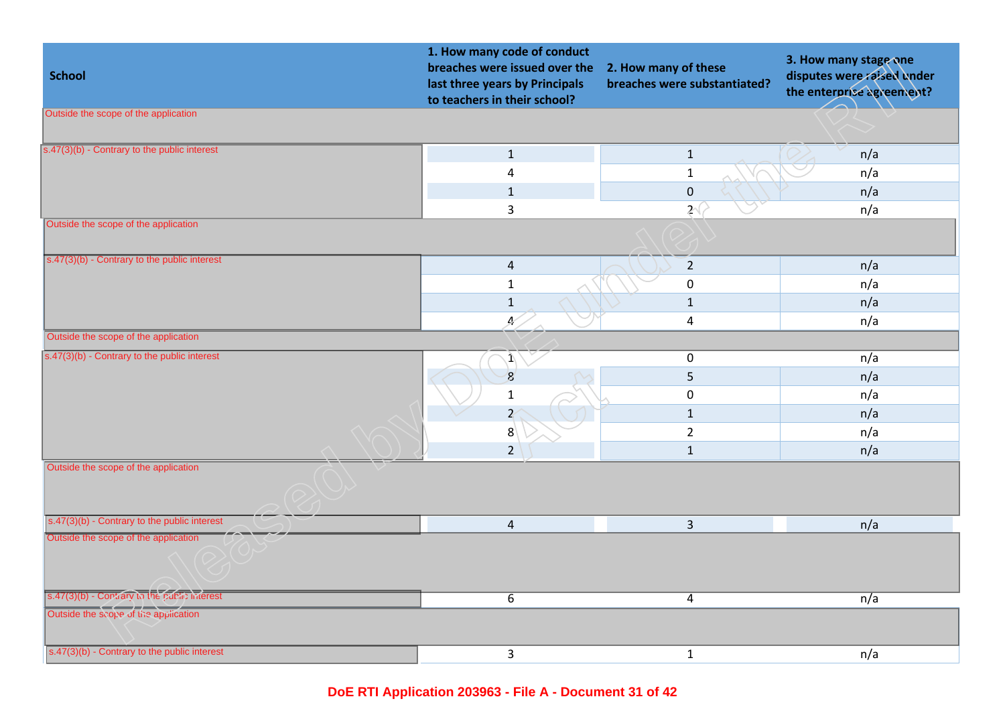| <b>School</b>                                         | 1. How many code of conduct<br>breaches were issued over the<br>last three years by Principals<br>to teachers in their school? | 2. How many of these<br>breaches were substantiated? | 3. How many stage one<br>disputes were raised under<br>the enterprise agreement? |
|-------------------------------------------------------|--------------------------------------------------------------------------------------------------------------------------------|------------------------------------------------------|----------------------------------------------------------------------------------|
| Outside the scope of the application                  |                                                                                                                                |                                                      |                                                                                  |
| s.47(3)(b) - Contrary to the public interest          | $\mathbf 1$                                                                                                                    | $\mathbf{1}$                                         | n/a                                                                              |
|                                                       | 4                                                                                                                              | $\mathbf 1$                                          | n/a                                                                              |
|                                                       | $\mathbf{1}$                                                                                                                   | $\mathbf 0$                                          | n/a                                                                              |
|                                                       | 3                                                                                                                              | 2 <sup>′</sup>                                       | n/a                                                                              |
| Outside the scope of the application                  |                                                                                                                                |                                                      |                                                                                  |
| s.47(3)(b) - Contrary to the public interest          | $\overline{4}$                                                                                                                 | $\overline{2}$                                       | n/a                                                                              |
|                                                       | $\mathbf{1}$                                                                                                                   | $\mathbf 0$                                          | n/a                                                                              |
|                                                       | $1\,$                                                                                                                          | $\mathbf{1}$                                         | n/a                                                                              |
|                                                       | Æ,                                                                                                                             | $\overline{4}$                                       | n/a                                                                              |
| Outside the scope of the application                  |                                                                                                                                |                                                      |                                                                                  |
| $\sqrt{(s.47(3)(b) -$ Contrary to the public interest | $\ket{\mathbf{1}}$                                                                                                             | $\pmb{0}$                                            | n/a                                                                              |
|                                                       | $\mathbf{g}$                                                                                                                   | 5                                                    | n/a                                                                              |
|                                                       | $\mathbf{1}$                                                                                                                   | $\mathbf 0$                                          | n/a                                                                              |
|                                                       | $\overline{z}$                                                                                                                 | $\mathbf{1}$                                         | n/a                                                                              |
|                                                       | 8                                                                                                                              | $\overline{2}$                                       | n/a                                                                              |
|                                                       | $\overline{2}$                                                                                                                 | $\mathbf{1}$                                         | n/a                                                                              |
| Outside the scope of the application                  |                                                                                                                                |                                                      |                                                                                  |
| s.47(3)(b) - Contrary to the public interest          | 4                                                                                                                              | $\overline{3}$                                       | n/a                                                                              |
| Outside the scope of the application                  |                                                                                                                                |                                                      |                                                                                  |
| s.47(3)(b) - Contrary to the public interest          | $\overline{6}$                                                                                                                 | $\overline{a}$                                       | n/a                                                                              |
| Outside the scope of the application                  |                                                                                                                                |                                                      |                                                                                  |
| s.47(3)(b) - Contrary to the public interest          | 3                                                                                                                              | $\mathbf{1}$                                         | n/a                                                                              |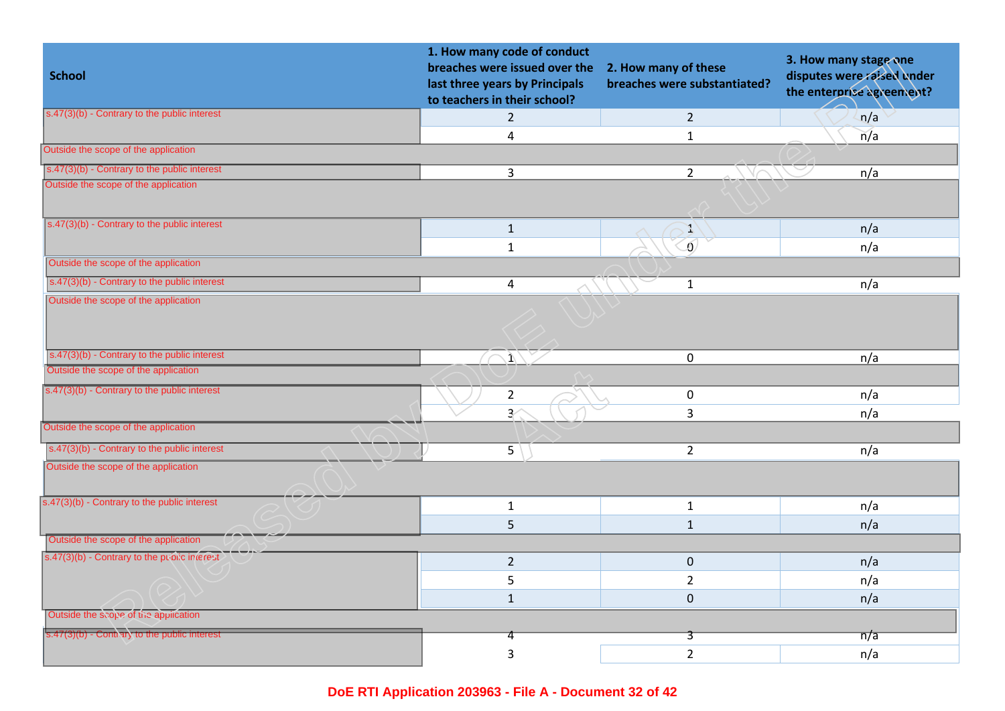| <b>School</b>                                                   | 1. How many code of conduct<br>breaches were issued over the<br>last three years by Principals<br>to teachers in their school? | 2. How many of these<br>breaches were substantiated? | 3. How many stage one<br>disputes were raised under<br>the enterprise agreement? |
|-----------------------------------------------------------------|--------------------------------------------------------------------------------------------------------------------------------|------------------------------------------------------|----------------------------------------------------------------------------------|
| $s.47(3)(b)$ - Contrary to the public interest                  | $\overline{2}$                                                                                                                 | $\overline{2}$                                       | n/a                                                                              |
|                                                                 | $\overline{4}$                                                                                                                 | $\mathbf{1}$                                         | n/a                                                                              |
| Outside the scope of the application                            |                                                                                                                                |                                                      |                                                                                  |
| $s.47(3)(b)$ - Contrary to the public interest                  | $\overline{3}$                                                                                                                 | $\overline{2}$                                       | n/a                                                                              |
| Outside the scope of the application                            |                                                                                                                                |                                                      |                                                                                  |
| s.47(3)(b) - Contrary to the public interest                    | $\mathbf{1}$                                                                                                                   | E.                                                   | n/a                                                                              |
|                                                                 | $\mathbf{1}$                                                                                                                   | Ō.                                                   | n/a                                                                              |
| Outside the scope of the application                            |                                                                                                                                |                                                      |                                                                                  |
| s.47(3)(b) - Contrary to the public interest                    | $\overline{4}$                                                                                                                 | $\mathbf{1}$                                         | n/a                                                                              |
| Outside the scope of the application                            |                                                                                                                                |                                                      |                                                                                  |
| $s.47(3)(b)$ - Contrary to the public interest                  | $\ket{1}$<br>$\curvearrowright$                                                                                                | $\mathbf 0$                                          | n/a                                                                              |
| Outside the scope of the application                            |                                                                                                                                |                                                      |                                                                                  |
| s.47(3)(b) - Contrary to the public interest                    | $\overline{2}$                                                                                                                 | $\mathbf 0$                                          | n/a                                                                              |
|                                                                 | $\overline{3}$                                                                                                                 | $\overline{3}$                                       | n/a                                                                              |
| Outside the scope of the application                            |                                                                                                                                |                                                      |                                                                                  |
| $s.47(3)(b)$ - Contrary to the public interest                  | 5                                                                                                                              | $2^{\circ}$                                          | n/a                                                                              |
| Outside the scope of the application                            |                                                                                                                                |                                                      |                                                                                  |
| s.47(3)(b) - Contrary to the public interest                    | $\mathbf{1}$                                                                                                                   | $\mathbf{1}$                                         | n/a                                                                              |
|                                                                 | 5                                                                                                                              | $1\,$                                                | n/a                                                                              |
| Outside the scope of the application                            |                                                                                                                                |                                                      |                                                                                  |
| s.47(3)(b) - Contrary to the public interest                    | $\overline{2}$                                                                                                                 | $\mathbf 0$                                          | n/a                                                                              |
|                                                                 | 5                                                                                                                              | $\overline{2}$                                       | n/a                                                                              |
|                                                                 | $\mathbf{1}$                                                                                                                   | $\overline{0}$                                       | n/a                                                                              |
| Outside the scope of the application                            |                                                                                                                                |                                                      |                                                                                  |
| $\sqrt{\frac{1}{5.47(3)(b)}}$ - Contrary to the public interest | 4                                                                                                                              | 3                                                    | $\overline{n}/\overline{a}$                                                      |
|                                                                 | 3                                                                                                                              | $\overline{2}$                                       | n/a                                                                              |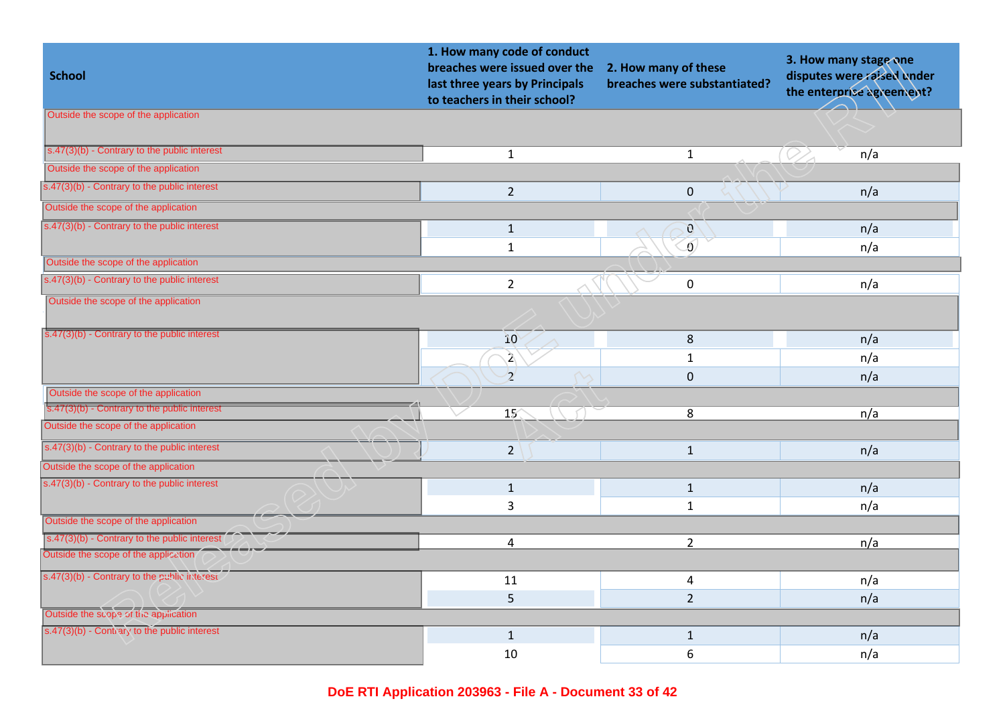| <b>School</b>                                                       | 1. How many code of conduct<br>breaches were issued over the<br>last three years by Principals<br>to teachers in their school? | 2. How many of these<br>breaches were substantiated? | 3. How many stage one<br>disputes were raised under<br>the enterprise agreement? |
|---------------------------------------------------------------------|--------------------------------------------------------------------------------------------------------------------------------|------------------------------------------------------|----------------------------------------------------------------------------------|
| Outside the scope of the application                                |                                                                                                                                |                                                      |                                                                                  |
|                                                                     |                                                                                                                                |                                                      |                                                                                  |
| $s.47(3)(b)$ - Contrary to the public interest                      | $\mathbf{1}$                                                                                                                   | $\mathbf{1}$                                         | $\oslash$<br>n/a                                                                 |
| Outside the scope of the application                                |                                                                                                                                |                                                      |                                                                                  |
| $\sqrt{\frac{1}{100}}$ s.47(3)(b) - Contrary to the public interest | $2^{\circ}$                                                                                                                    | $\pmb{0}$                                            | n/a                                                                              |
| Outside the scope of the application                                |                                                                                                                                |                                                      |                                                                                  |
| $s.47(3)(b)$ - Contrary to the public interest                      | $\mathbf{1}$                                                                                                                   | $\boldsymbol{0}$                                     | n/a                                                                              |
|                                                                     | $\mathbf{1}$                                                                                                                   | $\overline{0}$                                       | n/a                                                                              |
| Outside the scope of the application                                |                                                                                                                                |                                                      |                                                                                  |
| $s.47(3)(b)$ - Contrary to the public interest                      | $\overline{2}$                                                                                                                 | $\pmb{0}$                                            | n/a                                                                              |
| Outside the scope of the application                                |                                                                                                                                |                                                      |                                                                                  |
| $\sqrt{\frac{1}{5.47(3)(b)}}$ - Contrary to the public interest     | 10                                                                                                                             | 8                                                    | n/a                                                                              |
|                                                                     | $\mathbf{2}$                                                                                                                   | $\mathbf{1}$                                         | n/a                                                                              |
|                                                                     | $\overline{2}$                                                                                                                 | $\pmb{0}$                                            | n/a                                                                              |
| Outside the scope of the application                                |                                                                                                                                |                                                      |                                                                                  |
| s.47(3)(b) - Contrary to the public interest                        | 15 <sup>2</sup>                                                                                                                | 8                                                    | n/a                                                                              |
| Outside the scope of the application                                |                                                                                                                                |                                                      |                                                                                  |
| $s.47(3)(b)$ - Contrary to the public interest                      | $\overline{2}$                                                                                                                 | $\mathbf{1}$                                         | n/a                                                                              |
| Outside the scope of the application                                |                                                                                                                                |                                                      |                                                                                  |
| $s.47(3)(b)$ - Contrary to the public interest                      | $\mathbf{1}$                                                                                                                   | $\mathbf{1}$                                         | n/a                                                                              |
|                                                                     | 3                                                                                                                              | $\mathbf{1}$                                         | n/a                                                                              |
| Outside the scope of the application                                |                                                                                                                                |                                                      |                                                                                  |
| s.47(3)(b) - Contrary to the public interes                         | 4                                                                                                                              | $\overline{2}$                                       | n/a                                                                              |
| Outside the scope of the application                                |                                                                                                                                |                                                      |                                                                                  |
| s.47(3)(b) - Contrary to the public interest                        | 11                                                                                                                             | 4                                                    | n/a                                                                              |
|                                                                     | 5                                                                                                                              | $\overline{2}$                                       | n/a                                                                              |
| Outside the scope of the application                                |                                                                                                                                |                                                      |                                                                                  |
| s.47(3)(b) - Contrary to the public interest                        | $\mathbf{1}$                                                                                                                   | $\mathbf{1}$                                         | n/a                                                                              |
|                                                                     | 10                                                                                                                             | 6                                                    | n/a                                                                              |
|                                                                     |                                                                                                                                |                                                      |                                                                                  |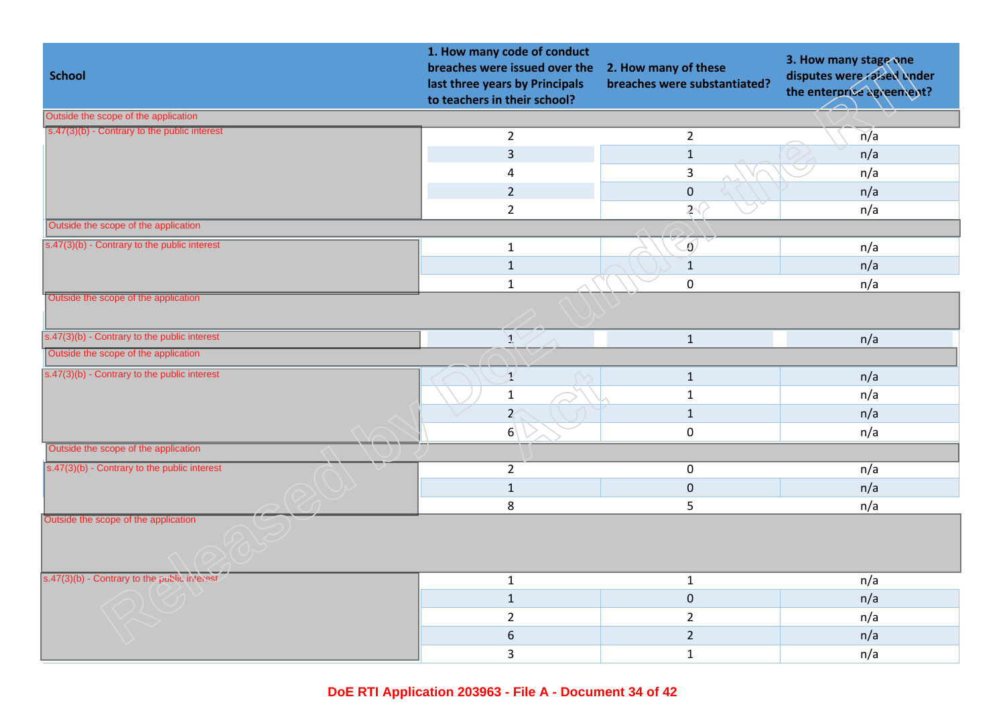| <b>School</b>                                  | 1. How many code of conduct<br>breaches were issued over the<br>last three years by Principals<br>to teachers in their school? | 2. How many of these<br>breaches were substantiated? | 3. How many stage one<br>disputes were raised under<br>the enterprise agreement? |
|------------------------------------------------|--------------------------------------------------------------------------------------------------------------------------------|------------------------------------------------------|----------------------------------------------------------------------------------|
| Outside the scope of the application           |                                                                                                                                |                                                      |                                                                                  |
| s.47(3)(b) - Contrary to the public interest   | $\overline{2}$                                                                                                                 | $\overline{2}$                                       | n/a                                                                              |
|                                                | 3                                                                                                                              | $\mathbf 1$                                          | n/a                                                                              |
|                                                | 4                                                                                                                              | $\mathbf{3}$                                         | n/a                                                                              |
|                                                | $\overline{2}$                                                                                                                 | $\pmb{0}$                                            | n/a                                                                              |
|                                                | $\overline{2}$                                                                                                                 | $2^{(}$                                              | n/a                                                                              |
| Outside the scope of the application           |                                                                                                                                |                                                      |                                                                                  |
| s.47(3)(b) - Contrary to the public interest   | $\mathbf{1}$                                                                                                                   | $\delta$                                             | n/a                                                                              |
|                                                | $\mathbf{1}$                                                                                                                   | $\mathbf{1}$                                         | n/a                                                                              |
|                                                | $\mathbf{1}$                                                                                                                   | $\mathbf 0$                                          | n/a                                                                              |
| Outside the scope of the application           |                                                                                                                                |                                                      |                                                                                  |
| $s.47(3)(b)$ - Contrary to the public interest | $\mathcal{F}$                                                                                                                  | $\mathbf 1$                                          | n/a                                                                              |
| Outside the scope of the application           |                                                                                                                                |                                                      |                                                                                  |
| $s.47(3)(b)$ - Contrary to the public interest | $\mathcal{V}$                                                                                                                  | $\mathbf{1}$                                         | n/a                                                                              |
|                                                | $\mathbf{1}$                                                                                                                   | $\mathbf 1$                                          | n/a                                                                              |
|                                                | $\overline{Z}$                                                                                                                 | $\mathbf{1}$                                         | n/a                                                                              |
|                                                | 6 <sup>1</sup>                                                                                                                 | $\pmb{0}$                                            | n/a                                                                              |
| Outside the scope of the application           |                                                                                                                                |                                                      |                                                                                  |
| $s.47(3)(b)$ - Contrary to the public interest | $\overline{2}$                                                                                                                 | $\mathbf 0$                                          | n/a                                                                              |
|                                                | $\mathbf 1$                                                                                                                    | $\pmb{0}$                                            | n/a                                                                              |
|                                                | 8                                                                                                                              | 5                                                    | n/a                                                                              |
| Outside the scope of the application           |                                                                                                                                |                                                      |                                                                                  |
| s.47(3)(b) - Contrary to the public interest   | $\mathbf{1}$                                                                                                                   | $\mathbf{1}$                                         | n/a                                                                              |
|                                                | $\mathbf{1}$                                                                                                                   | $\pmb{0}$                                            | n/a                                                                              |
|                                                | $\overline{2}$                                                                                                                 | $\overline{2}$                                       | n/a                                                                              |
|                                                | 6                                                                                                                              | $\overline{2}$                                       | n/a                                                                              |
|                                                | 3                                                                                                                              | $\mathbf{1}$                                         | n/a                                                                              |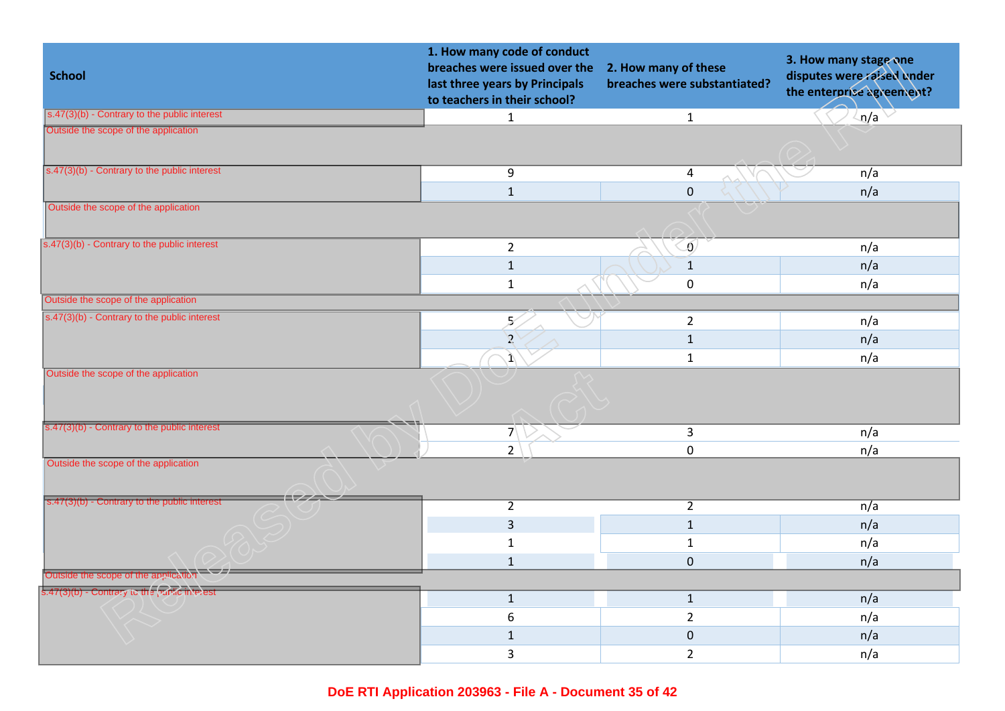| <b>School</b>                                  | 1. How many code of conduct<br>breaches were issued over the<br>last three years by Principals<br>to teachers in their school? | 2. How many of these<br>breaches were substantiated? | 3. How many stage one<br>disputes were raised under<br>the enterprise agreement? |
|------------------------------------------------|--------------------------------------------------------------------------------------------------------------------------------|------------------------------------------------------|----------------------------------------------------------------------------------|
| $s.47(3)(b)$ - Contrary to the public interest | $\mathbf{1}$                                                                                                                   | $\mathbf{1}$                                         | n/a                                                                              |
| Outside the scope of the application           |                                                                                                                                |                                                      |                                                                                  |
| $s.47(3)(b)$ - Contrary to the public interest | 9                                                                                                                              | $\overline{4}$                                       | n/a                                                                              |
|                                                | $\mathbf 1$                                                                                                                    | $\mathbf 0$                                          | n/a                                                                              |
| Outside the scope of the application           |                                                                                                                                |                                                      |                                                                                  |
| s.47(3)(b) - Contrary to the public interest   | $\overline{2}$                                                                                                                 | Ō,                                                   | n/a                                                                              |
|                                                | $\mathbf 1$                                                                                                                    | $\mathbf 1$                                          | n/a                                                                              |
|                                                | $\mathbf{1}$                                                                                                                   | $\pmb{0}$                                            | n/a                                                                              |
| Outside the scope of the application           |                                                                                                                                |                                                      |                                                                                  |
| s.47(3)(b) - Contrary to the public interest   | 5                                                                                                                              | $\overline{2}$                                       | n/a                                                                              |
|                                                | $\mathbf{Z}$                                                                                                                   | $\mathbf 1$                                          | n/a                                                                              |
|                                                | $\mathbf{1}$                                                                                                                   | $\mathbf{1}$                                         | n/a                                                                              |
| Outside the scope of the application           |                                                                                                                                |                                                      |                                                                                  |
| s.47(3)(b) - Contrary to the public interest   | $7\sqrt{ }$                                                                                                                    | $\mathsf{3}$                                         | n/a                                                                              |
|                                                | $2^{\circ}$                                                                                                                    | $\pmb{0}$                                            | n/a                                                                              |
| Outside the scope of the application           |                                                                                                                                |                                                      |                                                                                  |
| $s.47(3)(b)$ - Contrary to the public interest | $\overline{2}$                                                                                                                 | $\overline{2}$                                       | n/a                                                                              |
|                                                | $\overline{3}$                                                                                                                 | $1\,$                                                | n/a                                                                              |
|                                                | $\mathbf{1}$                                                                                                                   | $1\,$                                                | n/a                                                                              |
|                                                | $\mathbf{1}$                                                                                                                   | $\overline{0}$                                       | n/a                                                                              |
| Outside the scope of the application           |                                                                                                                                |                                                      |                                                                                  |
| s.47(3)(b) - Contrary to the public interest   | $\mathbf{1}$                                                                                                                   | $\mathbf{1}$                                         | n/a                                                                              |
|                                                | 6                                                                                                                              | $\overline{2}$                                       | n/a                                                                              |
|                                                | $\mathbf 1$                                                                                                                    | $\pmb{0}$                                            | n/a                                                                              |
|                                                | 3                                                                                                                              | $\overline{2}$                                       | n/a                                                                              |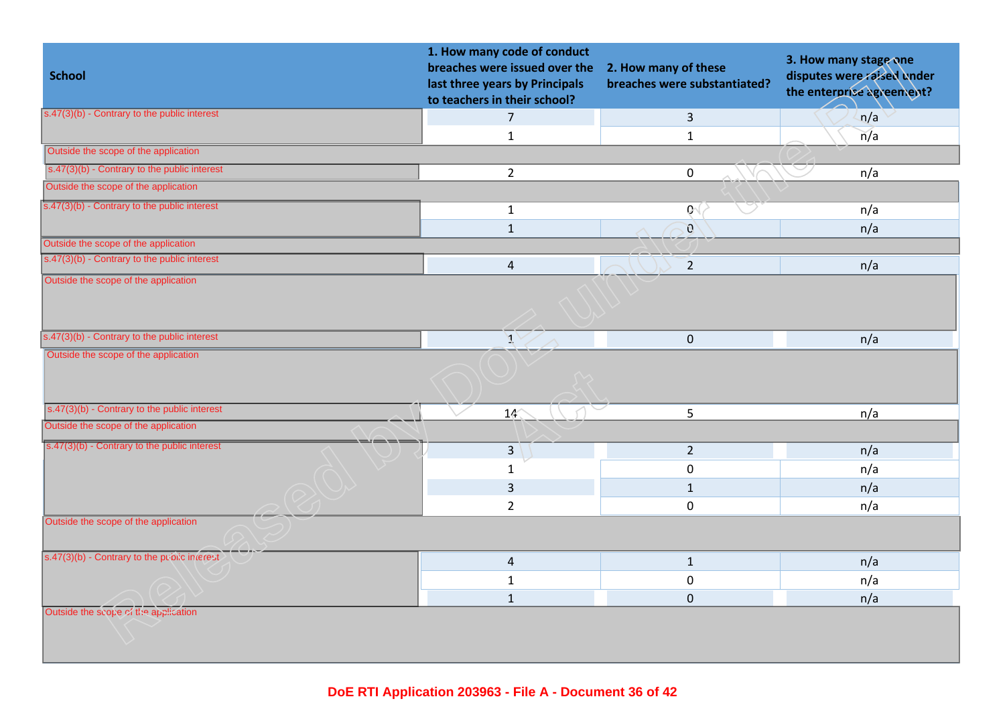| <b>School</b>                                  | 1. How many code of conduct<br>breaches were issued over the<br>last three years by Principals<br>to teachers in their school? | 2. How many of these<br>breaches were substantiated? | 3. How many stage one<br>disputes were raised under<br>the enterprise agreement? |
|------------------------------------------------|--------------------------------------------------------------------------------------------------------------------------------|------------------------------------------------------|----------------------------------------------------------------------------------|
| $s.47(3)(b)$ - Contrary to the public interest | $\overline{7}$                                                                                                                 | $\overline{3}$                                       | n/a                                                                              |
|                                                | $\mathbf{1}$                                                                                                                   | $\mathbf{1}$                                         | $\overline{n}/a$                                                                 |
| Outside the scope of the application           |                                                                                                                                |                                                      |                                                                                  |
| s.47(3)(b) - Contrary to the public interest   | $\overline{2}$                                                                                                                 | 0                                                    | n/a                                                                              |
| Outside the scope of the application           |                                                                                                                                |                                                      |                                                                                  |
| s.47(3)(b) - Contrary to the public interest   | $\mathbf{1}$                                                                                                                   | $\mathbf{Q}$                                         | n/a                                                                              |
|                                                | $\mathbf{1}$                                                                                                                   | $\mathbf{0}$                                         | n/a                                                                              |
| Outside the scope of the application           |                                                                                                                                |                                                      |                                                                                  |
| s.47(3)(b) - Contrary to the public interest   | $\overline{4}$                                                                                                                 | $\overline{2}$                                       | n/a                                                                              |
| Outside the scope of the application           |                                                                                                                                |                                                      |                                                                                  |
| s.47(3)(b) - Contrary to the public interest   | $\mathcal{J}$                                                                                                                  | $\mathbf 0$                                          | n/a                                                                              |
| Outside the scope of the application           |                                                                                                                                |                                                      |                                                                                  |
| $s.47(3)(b)$ - Contrary to the public interest | 14                                                                                                                             | 5                                                    | n/a                                                                              |
| Outside the scope of the application           |                                                                                                                                |                                                      |                                                                                  |
| s.47(3)(b) - Contrary to the public interest   | $\overline{3}$                                                                                                                 | $\overline{2}$                                       | n/a                                                                              |
|                                                | $\mathbf{1}$                                                                                                                   | $\pmb{0}$                                            | n/a                                                                              |
|                                                | 3                                                                                                                              | $\mathbf{1}$                                         | n/a                                                                              |
|                                                | $\overline{2}$                                                                                                                 | $\mathbf 0$                                          | n/a                                                                              |
| Outside the scope of the application           |                                                                                                                                |                                                      |                                                                                  |
| s.47(3)(b) - Contrary to the public interest   | $\overline{4}$                                                                                                                 | $\mathbf{1}$                                         | n/a                                                                              |
|                                                | $\mathbf{1}$                                                                                                                   | $\pmb{0}$                                            | n/a                                                                              |
|                                                | $\mathbf{1}$                                                                                                                   | $\mathbf 0$                                          | n/a                                                                              |
| Outside the scope of the application           |                                                                                                                                |                                                      |                                                                                  |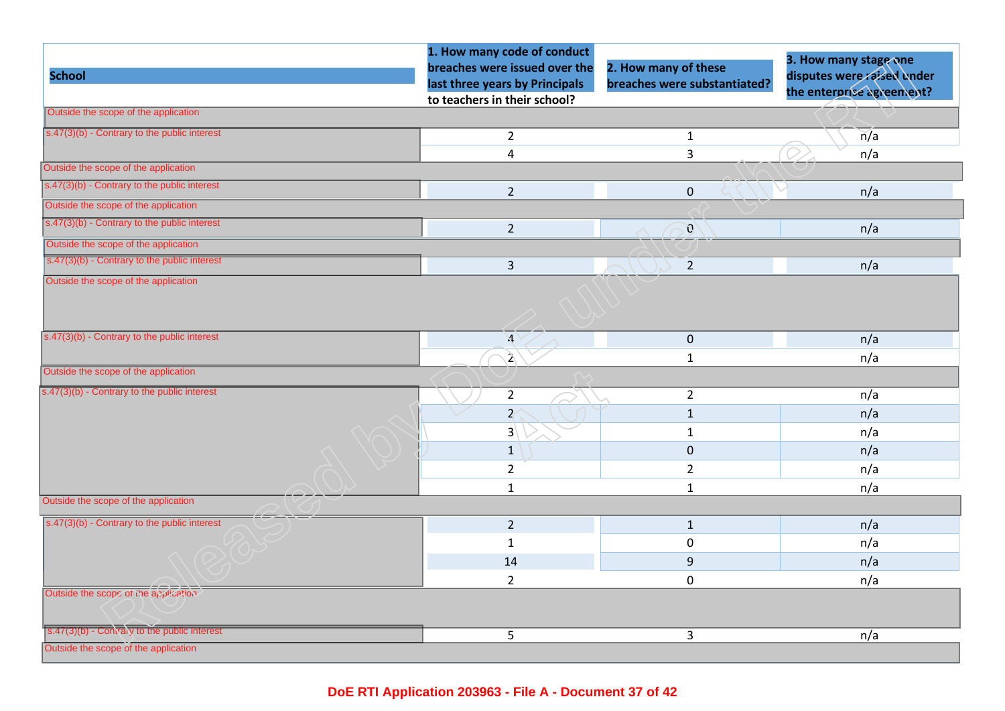| Outside the scope of the application<br>$s.47(3)(b)$ - Contrary to the public interest<br>Outside the scope of the application<br>$s.47(3)(b)$ - Contrary to the public interest<br>Outside the scope of the application<br>s.47(3)(b) - Contrary to the public interest<br>Outside the scope of the application<br>s.47(3)(b) - Contrary to the public interest<br>Outside the scope of the application | to teachers in their school?<br>$\overline{2}$<br>4<br>$\overline{2}$ | $\mathbf{1}$<br>$\overline{3}$ | n/a |
|----------------------------------------------------------------------------------------------------------------------------------------------------------------------------------------------------------------------------------------------------------------------------------------------------------------------------------------------------------------------------------------------------------|-----------------------------------------------------------------------|--------------------------------|-----|
|                                                                                                                                                                                                                                                                                                                                                                                                          |                                                                       |                                |     |
|                                                                                                                                                                                                                                                                                                                                                                                                          |                                                                       |                                |     |
|                                                                                                                                                                                                                                                                                                                                                                                                          |                                                                       |                                | n/a |
|                                                                                                                                                                                                                                                                                                                                                                                                          |                                                                       |                                |     |
|                                                                                                                                                                                                                                                                                                                                                                                                          |                                                                       | $\pmb{0}$                      | n/a |
|                                                                                                                                                                                                                                                                                                                                                                                                          |                                                                       |                                |     |
|                                                                                                                                                                                                                                                                                                                                                                                                          | $\overline{2}$                                                        | $\mathfrak{g}$                 | n/a |
|                                                                                                                                                                                                                                                                                                                                                                                                          |                                                                       |                                |     |
|                                                                                                                                                                                                                                                                                                                                                                                                          | $\mathbf{3}$                                                          | $\overline{2}$                 | n/a |
|                                                                                                                                                                                                                                                                                                                                                                                                          |                                                                       |                                |     |
| $s.47(3)(b)$ - Contrary to the public interest                                                                                                                                                                                                                                                                                                                                                           | $\mathfrak{A}$                                                        | $\mathbf 0$                    | n/a |
|                                                                                                                                                                                                                                                                                                                                                                                                          | $\mathfrak{Z}$                                                        | $\mathbf{1}$                   | n/a |
| Outside the scope of the application                                                                                                                                                                                                                                                                                                                                                                     |                                                                       |                                |     |
| s.47(3)(b) - Contrary to the public interest                                                                                                                                                                                                                                                                                                                                                             | $\overline{2}$                                                        | $\overline{2}$                 | n/a |
|                                                                                                                                                                                                                                                                                                                                                                                                          | $\overline{z}$                                                        | $\mathbf{1}$                   | n/a |
|                                                                                                                                                                                                                                                                                                                                                                                                          | 3 <sup>1</sup>                                                        | $\mathbf{1}$                   | n/a |
|                                                                                                                                                                                                                                                                                                                                                                                                          | $\mathbf 1$                                                           | $\pmb{0}$                      | n/a |
|                                                                                                                                                                                                                                                                                                                                                                                                          | $2^{\circ}$                                                           | $\overline{2}$                 | n/a |
|                                                                                                                                                                                                                                                                                                                                                                                                          | $\mathbf{1}$                                                          | $1\,$                          | n/a |
| Outside the scope of the application                                                                                                                                                                                                                                                                                                                                                                     |                                                                       |                                |     |
| s.47(3)(b) - Contrary to the public interest                                                                                                                                                                                                                                                                                                                                                             | $2^{\circ}$                                                           | $\mathbf{1}$                   | n/a |
|                                                                                                                                                                                                                                                                                                                                                                                                          | $\mathbf{1}$                                                          | $\mathbf 0$                    | n/a |
|                                                                                                                                                                                                                                                                                                                                                                                                          |                                                                       | $\boldsymbol{9}$               | n/a |
|                                                                                                                                                                                                                                                                                                                                                                                                          | 14                                                                    |                                | n/a |
| Outside the scope of the application                                                                                                                                                                                                                                                                                                                                                                     | $\overline{2}$                                                        | $\pmb{0}$                      |     |
| s.47(3)(b) - Contraly to the public interest<br>Outside the scope of the application                                                                                                                                                                                                                                                                                                                     |                                                                       |                                |     |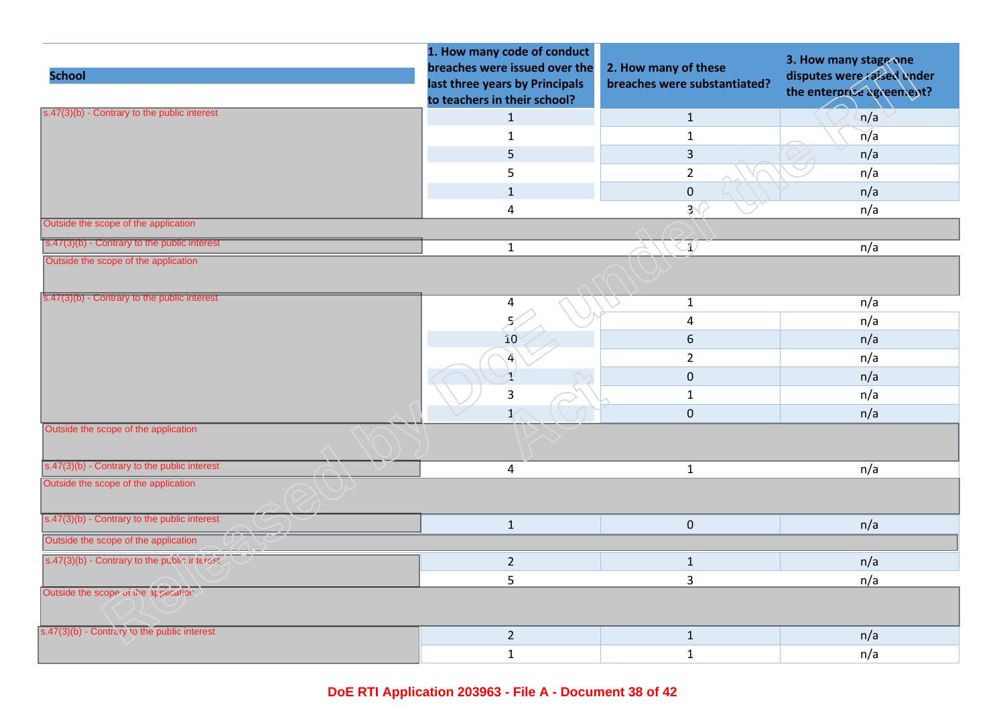| <b>School</b>                                                   | 1. How many code of conduct<br>breaches were issued over the<br>last three years by Principals<br>to teachers in their school? | 2. How many of these<br>breaches were substantiated? | 3. How many stage one<br>disputes were raised under<br>the enterprise agreement? |
|-----------------------------------------------------------------|--------------------------------------------------------------------------------------------------------------------------------|------------------------------------------------------|----------------------------------------------------------------------------------|
| $s.47(3)(b)$ - Contrary to the public interest                  | $\mathbf{1}$                                                                                                                   | $\mathbf{1}$                                         | n/a                                                                              |
|                                                                 | $\mathbf{1}$                                                                                                                   | $\mathbf{1}$                                         | n/a                                                                              |
|                                                                 | 5                                                                                                                              | $\overline{3}$                                       | n/a                                                                              |
|                                                                 | 5                                                                                                                              | $\overline{2}$                                       | n/a                                                                              |
|                                                                 | $\mathbf{1}$                                                                                                                   | $\mathbf 0$                                          | n/a                                                                              |
|                                                                 | $\overline{\mathbf{4}}$                                                                                                        | 3 <sup>′</sup>                                       | n/a                                                                              |
| Outside the scope of the application                            |                                                                                                                                |                                                      |                                                                                  |
| s.47(3)(b) - Contrary to the public interest                    | $\mathbf{1}$                                                                                                                   | $\langle \mathcal{N} \rangle$                        | n/a                                                                              |
| Outside the scope of the application                            |                                                                                                                                |                                                      |                                                                                  |
| $\sqrt{\frac{1}{5.47(3)(b)}}$ - Contrary to the public interest | 4                                                                                                                              | $\mathbf{1}$                                         | n/a                                                                              |
|                                                                 | 5                                                                                                                              | $\overline{4}$                                       | n/a                                                                              |
|                                                                 | 10                                                                                                                             | 6                                                    | n/a                                                                              |
|                                                                 | 4                                                                                                                              | $\overline{2}$                                       | n/a                                                                              |
|                                                                 | $\mathbf{1}$                                                                                                                   | $\mathbf 0$                                          | n/a                                                                              |
|                                                                 | 3                                                                                                                              | $\mathbf{1}$                                         | n/a                                                                              |
|                                                                 | $\mathbf{1}$                                                                                                                   | $\mathbf 0$                                          | n/a                                                                              |
| Outside the scope of the application                            |                                                                                                                                |                                                      |                                                                                  |
| s.47(3)(b) - Contrary to the public interest                    | $\overline{4}$                                                                                                                 | $\mathbf{1}$                                         | n/a                                                                              |
| Outside the scope of the application                            |                                                                                                                                |                                                      |                                                                                  |
| s.47(3)(b) - Contrary to the public interest                    | $\mathbf{1}$                                                                                                                   | $\mathbf 0$                                          | n/a                                                                              |
| Outside the scope of the application                            |                                                                                                                                |                                                      |                                                                                  |
| s.47(3)(b) - Contrary to the public interest                    | $2^{\circ}$                                                                                                                    | $\mathbf{1}$                                         | n/a                                                                              |
|                                                                 | $\mathsf S$                                                                                                                    | 3                                                    | n/a                                                                              |
| Outside the scope of the application                            |                                                                                                                                |                                                      |                                                                                  |
| s.47(3)(b) - Contrary to the public interest                    | $\overline{2}$                                                                                                                 | $\mathbf{1}$                                         | n/a                                                                              |
|                                                                 | $\mathbf 1$                                                                                                                    | $\mathbf{1}$                                         | n/a                                                                              |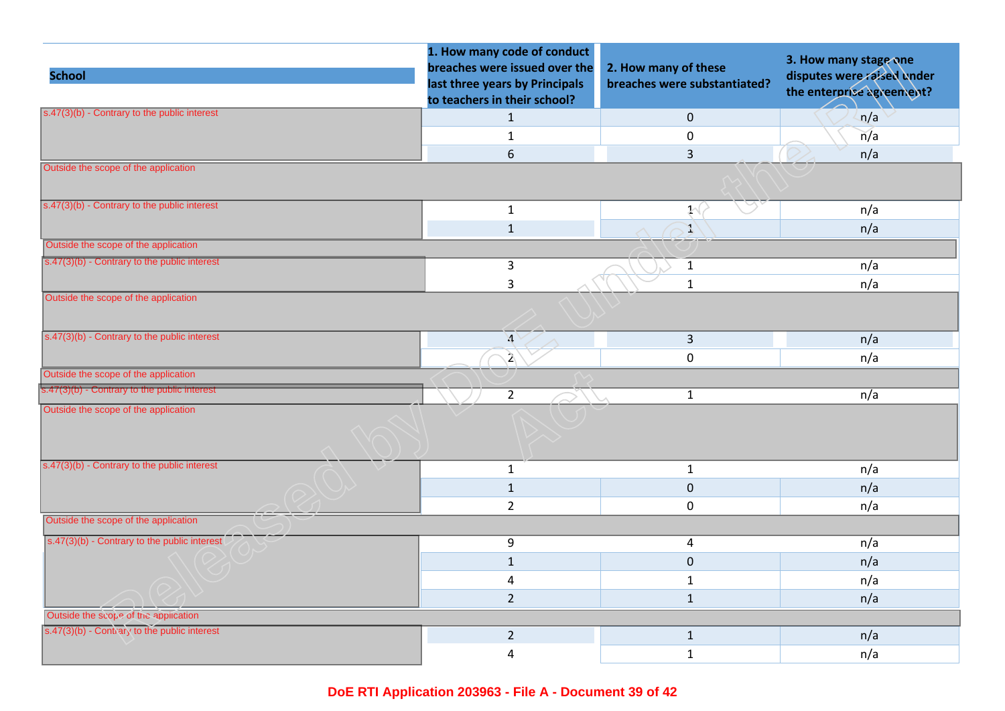|                                                       | 1. How many code of conduct<br>breaches were issued over the   |                                                      | 3. How many stage one                                   |
|-------------------------------------------------------|----------------------------------------------------------------|------------------------------------------------------|---------------------------------------------------------|
| <b>School</b>                                         | last three years by Principals<br>to teachers in their school? | 2. How many of these<br>breaches were substantiated? | disputes were raised under<br>the enterprise agreement? |
| $s.47(3)(b)$ - Contrary to the public interest        | $\mathbf{1}$                                                   | $\mathbf 0$                                          | n/a                                                     |
|                                                       | $\mathbf{1}$                                                   | $\mathbf 0$                                          | n/a                                                     |
|                                                       | 6                                                              | $\overline{3}$                                       | n/a                                                     |
| Outside the scope of the application                  |                                                                |                                                      |                                                         |
| $s.47(3)(b)$ - Contrary to the public interest        | $\mathbf{1}$                                                   | $\mathcal{Y}(\mathcal{X})$                           | n/a                                                     |
|                                                       | $\mathbf{1}$                                                   | T,                                                   | n/a                                                     |
| Outside the scope of the application                  |                                                                |                                                      |                                                         |
| s.47(3)(b) - Contrary to the public interest          | $\overline{3}$                                                 | $\mathbf{1}$                                         | n/a                                                     |
|                                                       | $\mathsf{3}$                                                   | $\mathbf{1}$                                         | n/a                                                     |
| Outside the scope of the application                  |                                                                |                                                      |                                                         |
| s.47(3)(b) - Contrary to the public interest          | $\mathcal{A}$                                                  | $\overline{3}$                                       | n/a                                                     |
|                                                       | $\mathcal{L}$                                                  | $\mathsf{O}\xspace$                                  | n/a                                                     |
| Outside the scope of the application                  |                                                                |                                                      |                                                         |
| s.47(3)(b) - Contrary to the public interest          | $\overline{2}$                                                 | $\mathbf{1}$                                         | n/a                                                     |
| Outside the scope of the application                  |                                                                |                                                      |                                                         |
| s.47(3)(b) - Contrary to the public interest          | $\mathbf{1}$                                                   | $\mathbf{1}$                                         | n/a                                                     |
|                                                       | $\mathbf{1}$                                                   | $\mathbf 0$                                          | n/a                                                     |
|                                                       | $\overline{2}$                                                 | 0                                                    | n/a                                                     |
| Outside the scope of the application                  |                                                                |                                                      |                                                         |
| $\sqrt{(s.47(3)(b) -$ Contrary to the public interest | 9                                                              | 4                                                    | n/a                                                     |
|                                                       | $\mathbf{1}$                                                   | $\mathbf 0$                                          | n/a                                                     |
|                                                       | $\overline{a}$                                                 | $\mathbf{1}$                                         | n/a                                                     |
|                                                       | $\overline{2}$                                                 | $\mathbf{1}$                                         | n/a                                                     |
| Outside the scope of the application                  |                                                                |                                                      |                                                         |
| s.47(3)(b) - Contrary to the public interest          | $\overline{2}$                                                 | $\mathbf{1}$                                         | n/a                                                     |
|                                                       | 4                                                              | $\mathbf{1}$                                         | n/a                                                     |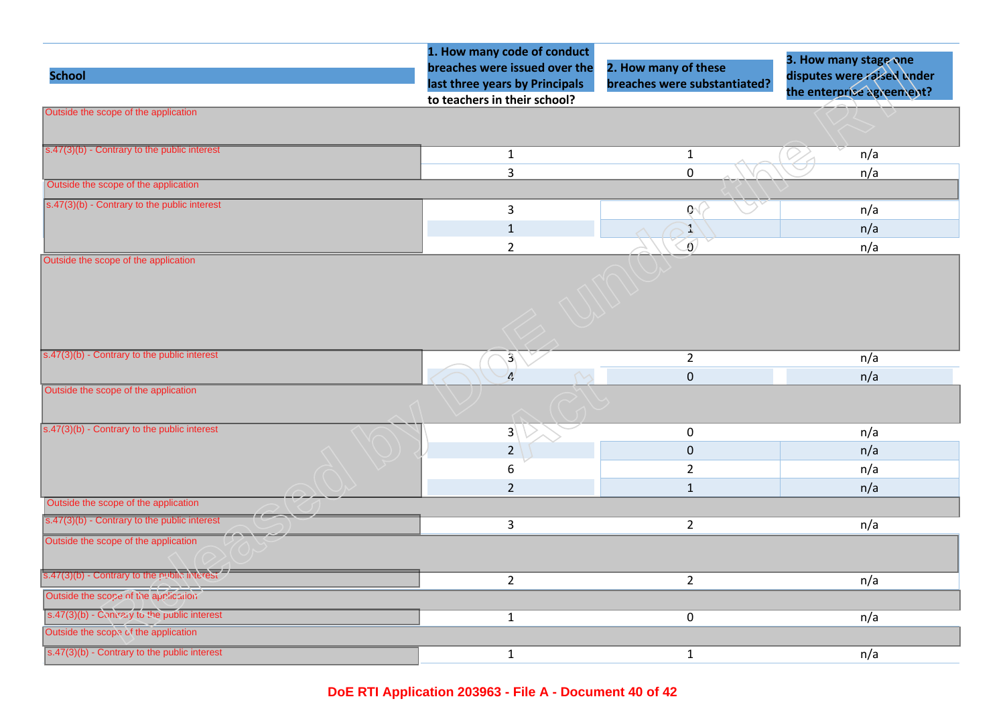|                                                       | 1. How many code of conduct    |                              | 3. How many stage one      |
|-------------------------------------------------------|--------------------------------|------------------------------|----------------------------|
| <b>School</b>                                         | breaches were issued over the  | 2. How many of these         | disputes were raised under |
|                                                       | last three years by Principals | breaches were substantiated? | the enterprise agreement?  |
| Outside the scope of the application                  | to teachers in their school?   |                              |                            |
|                                                       |                                |                              |                            |
|                                                       |                                |                              |                            |
| s.47(3)(b) - Contrary to the public interest          | $\mathbf{1}$                   | $\mathbf{1}$                 | n/a                        |
|                                                       | 3                              | $\mathbf 0$                  | n/a                        |
| Outside the scope of the application                  |                                |                              |                            |
| $\sqrt{(s.47(3)(b) -$ Contrary to the public interest | 3                              | $\mathfrak{g}$               | n/a                        |
|                                                       | $\mathbf{1}$                   | X                            | n/a                        |
|                                                       | $\overline{2}$                 | $\delta$                     | n/a                        |
| Outside the scope of the application                  |                                |                              |                            |
|                                                       |                                |                              |                            |
|                                                       |                                |                              |                            |
|                                                       |                                |                              |                            |
|                                                       |                                |                              |                            |
|                                                       |                                |                              |                            |
| s.47(3)(b) - Contrary to the public interest          | $\mathcal{E}_\ell$             | $\overline{2}$               | n/a                        |
|                                                       | $\mathbf{r}$                   | $\pmb{0}$                    | n/a                        |
| Outside the scope of the application                  |                                |                              |                            |
|                                                       |                                |                              |                            |
| $s.47(3)(b)$ - Contrary to the public interest        | $3\sqrt{ }$                    | $\mathbf 0$                  | n/a                        |
|                                                       | $\overline{2}$                 | $\pmb{0}$                    | n/a                        |
|                                                       | 6                              | $\overline{2}$               | n/a                        |
|                                                       | $\overline{2}$                 | $\mathbf 1$                  | n/a                        |
| Outside the scope of the application                  |                                |                              |                            |
| s.47(3)(b) - Contrary to the public interest          | 3                              | $\overline{2}$               | n/a                        |
| Outside the scope of the application                  |                                |                              |                            |
|                                                       |                                |                              |                            |
| s.47(3)(b) - Contrary to the public interest          |                                |                              |                            |
| Outside the scope of the application                  | $\overline{2}$                 | $\overline{2}$               | n/a                        |
|                                                       |                                |                              |                            |
| s.47(3)(b) - $Comirary$ to the public interest        | $\mathbf{1}$                   | $\mathbf 0$                  | n/a                        |
| Outside the scope of the application                  |                                |                              |                            |
| s.47(3)(b) - Contrary to the public interest          | $\mathbf{1}$                   | $\mathbf{1}$                 | n/a                        |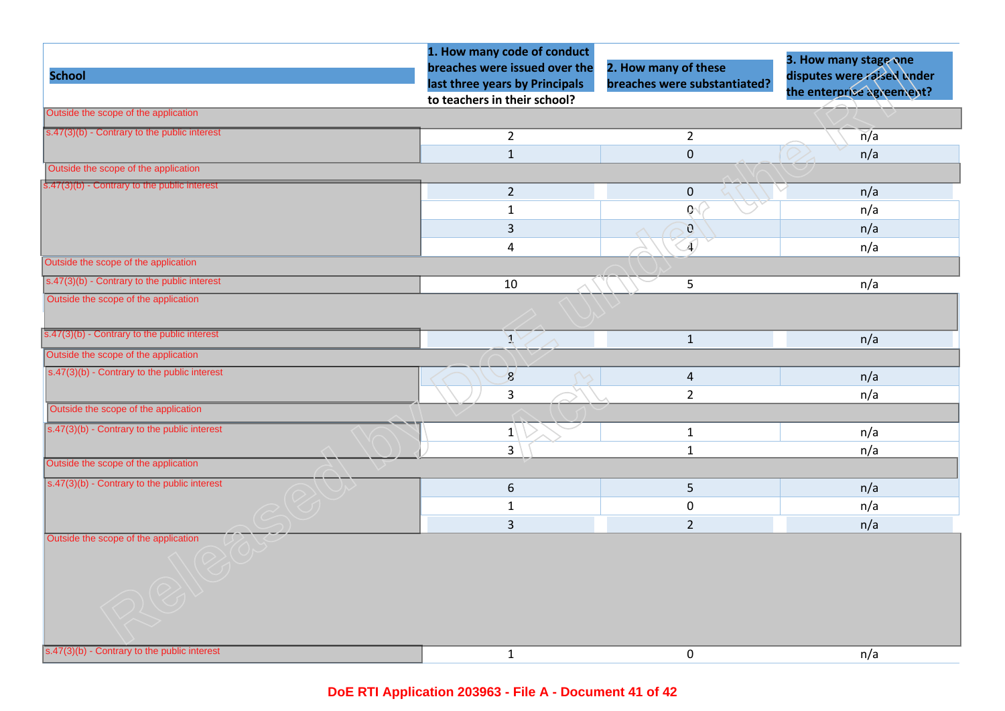| <b>School</b>                                                                        | 1. How many code of conduct<br>breaches were issued over the   | 2. How many of these         | 3. How many stage one<br>disputes were raised under |
|--------------------------------------------------------------------------------------|----------------------------------------------------------------|------------------------------|-----------------------------------------------------|
|                                                                                      | last three years by Principals<br>to teachers in their school? | breaches were substantiated? | the enterprise agreement?                           |
| Outside the scope of the application                                                 |                                                                |                              |                                                     |
| $s.47(3)(b)$ - Contrary to the public interest                                       | $\overline{2}$                                                 | $\overline{2}$               | $\overline{n}/a$                                    |
|                                                                                      | $\mathbf 1$                                                    | $\mathbf 0$                  | n/a                                                 |
| Outside the scope of the application                                                 |                                                                |                              |                                                     |
| s.47(3)(b) - Contrary to the public interest                                         | $\overline{2}$                                                 | $\pmb{0}$                    | n/a                                                 |
|                                                                                      | $\mathbf{1}$                                                   | $Q_1$                        | n/a                                                 |
|                                                                                      | 3                                                              | $\mathbf{C}$                 | n/a                                                 |
|                                                                                      | 4                                                              | $\overline{A}$               | n/a                                                 |
| Outside the scope of the application                                                 |                                                                |                              |                                                     |
| $\sqrt{(s.47(3)(b) -$ Contrary to the public interest                                | 10                                                             | 5                            | n/a                                                 |
| Outside the scope of the application                                                 |                                                                |                              |                                                     |
| s.47(3)(b) - Contrary to the public interest                                         | $\mathcal{X}$                                                  | $\mathbf{1}$                 | n/a                                                 |
| Outside the scope of the application                                                 |                                                                |                              |                                                     |
| $s.47(3)(b)$ - Contrary to the public interest                                       | $\mathbf{g}$                                                   | $\overline{a}$               | n/a                                                 |
|                                                                                      | 3                                                              | $\overline{2}$               | n/a                                                 |
| Outside the scope of the application                                                 |                                                                |                              |                                                     |
| $\overline{s.47(3)(b)}$ - Contrary to the public interest                            | $\mathbf{1}$                                                   | $\mathbf{1}$                 | n/a                                                 |
|                                                                                      | $\overline{3}$                                                 | $\mathbf 1$                  | n/a                                                 |
| Outside the scope of the application                                                 |                                                                |                              |                                                     |
| s.47(3)(b) - Contrary to the public interest                                         | 6                                                              | 5                            | n/a                                                 |
|                                                                                      | $\mathbf{1}$                                                   | 0                            | n/a                                                 |
|                                                                                      | $\overline{3}$                                                 | $\overline{2}$               | n/a                                                 |
| Outside the scope of the application<br>s.47(3)(b) - Contrary to the public interest |                                                                |                              |                                                     |
|                                                                                      | $\mathbf{1}$                                                   | 0                            | n/a                                                 |